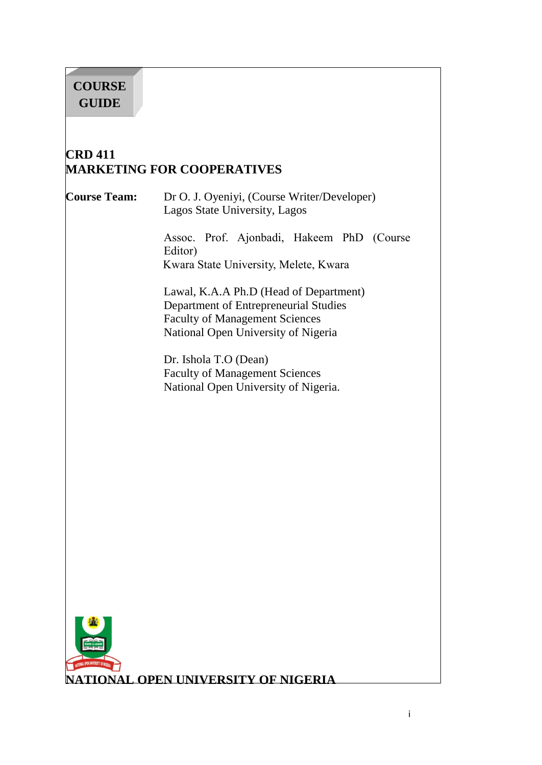# **COURSE GUIDE**

# **CRD 411 MARKETING FOR COOPERATIVES**

 $\overline{\phantom{a}}$ 

**Course Team:** Dr O. J. Oyeniyi, (Course Writer/Developer) Lagos State University, Lagos

> Assoc. Prof. Ajonbadi, Hakeem PhD (Course Editor) Kwara State University, Melete, Kwara

Lawal, K.A.A Ph.D (Head of Department) Department of Entrepreneurial Studies Faculty of Management Sciences National Open University of Nigeria

Dr. Ishola T.O (Dean) Faculty of Management Sciences National Open University of Nigeria.



**TIONAL OPEN UNIVERSITY OF NIGERIA**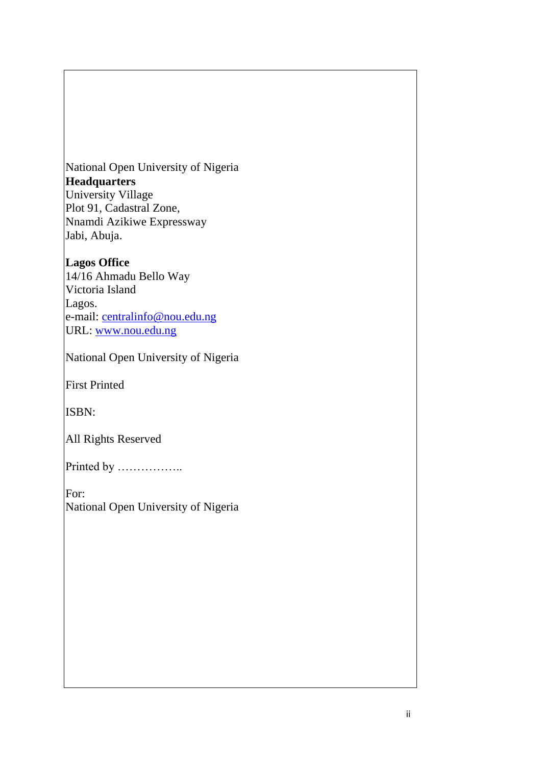National Open University of Nigeria **Headquarters** University Village Plot 91, Cadastral Zone, Nnamdi Azikiwe Expressway Jabi, Abuja.

### **Lagos Office**

14/16 Ahmadu Bello Way Victoria Island Lagos. e-mail: [centralinfo@nou.edu.ng](mailto:centralinfo@nou.edu.ng) URL: [www.nou.edu.ng](http://www.nou.edu.ng/)

National Open University of Nigeria

First Printed

ISBN:

All Rights Reserved

Printed by ………………

For: National Open University of Nigeria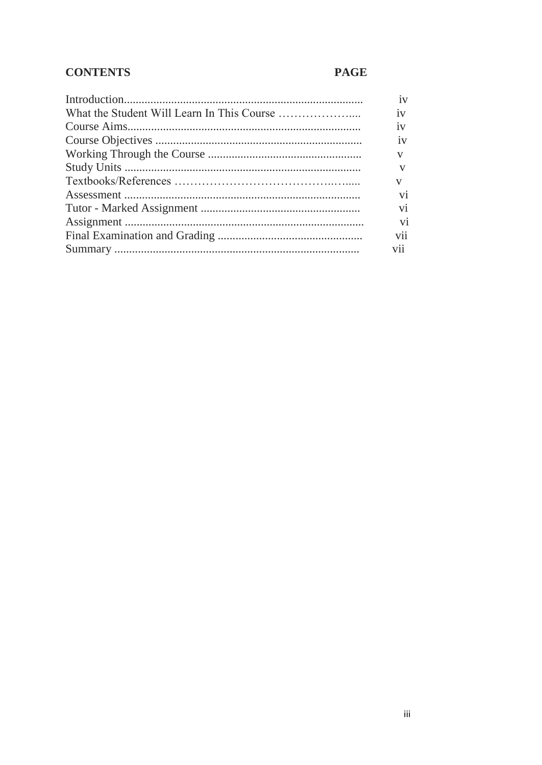# **CONTENTS**

# **PAGE**

| 1V             |
|----------------|
| 1V             |
| 1V             |
| 1V             |
| v              |
|                |
| $\mathbf{V}$   |
| V <sub>1</sub> |
| V <sub>1</sub> |
| V <sub>1</sub> |
| V11            |
| V11            |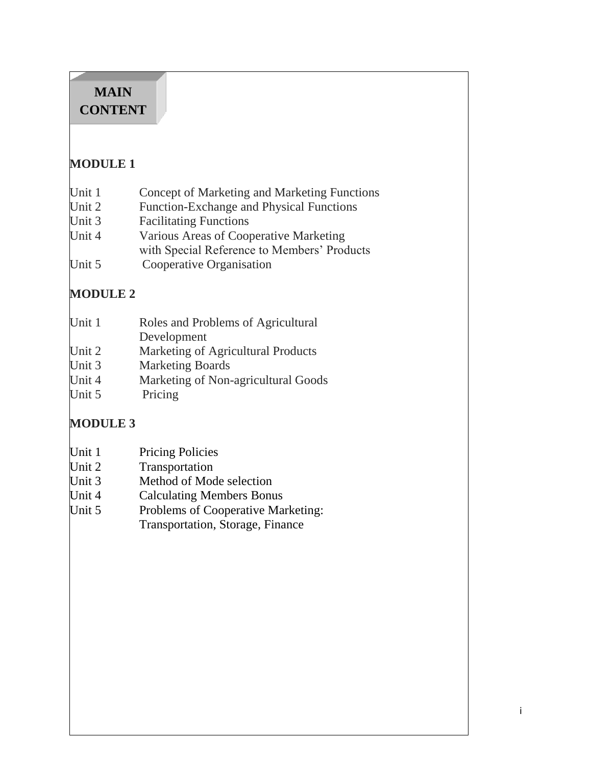# **MAIN CONTENT**

# **MODULE 1**

| Unit 1 |  | Concept of Marketing and Marketing Functions |  |
|--------|--|----------------------------------------------|--|
|        |  |                                              |  |

- Unit 2 Function-Exchange and Physical Functions
- Unit 3 Facilitating Functions
- Unit 4 Various Areas of Cooperative Marketing with Special Reference to Members' Products
- 
- Unit 5 Cooperative Organisation

# **MODULE 2**

| Unit 1 | Roles and Problems of Agricultural |
|--------|------------------------------------|
|        | Development                        |
| Unit 2 | Marketing of Agricultural Products |

- Unit 3 Marketing Boards
- Unit 4 Marketing of Non-agricultural Goods
- Unit 5 Pricing

# **MODULE 3**

| Unit 1 | <b>Pricing Policies</b> |
|--------|-------------------------|
|--------|-------------------------|

- Unit 2 Transportation
- Unit 3 Method of Mode selection
- Unit 4 Calculating Members Bonus
- Unit 5 Problems of Cooperative Marketing: Transportation, Storage, Finance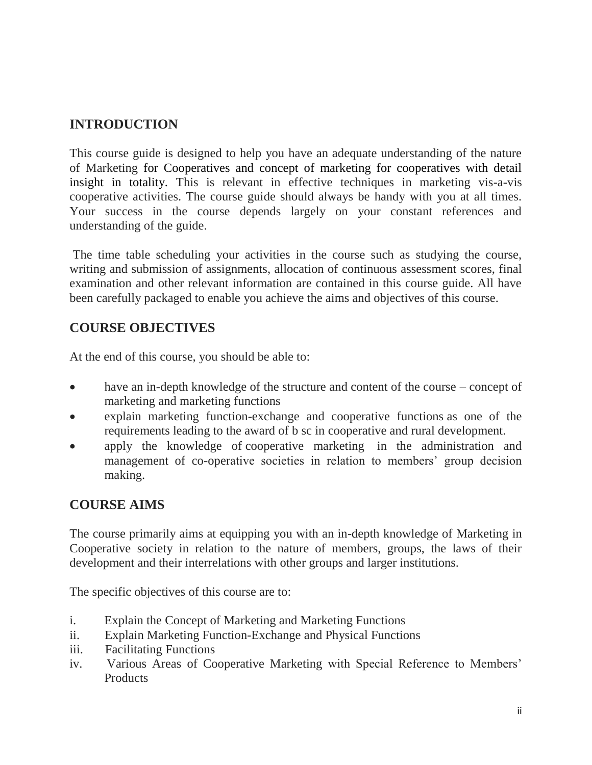# **INTRODUCTION**

This course guide is designed to help you have an adequate understanding of the nature of Marketing for Cooperatives and concept of marketing for cooperatives with detail insight in totality. This is relevant in effective techniques in marketing vis-a-vis cooperative activities. The course guide should always be handy with you at all times. Your success in the course depends largely on your constant references and understanding of the guide.

The time table scheduling your activities in the course such as studying the course, writing and submission of assignments, allocation of continuous assessment scores, final examination and other relevant information are contained in this course guide. All have been carefully packaged to enable you achieve the aims and objectives of this course.

# **COURSE OBJECTIVES**

At the end of this course, you should be able to:

- have an in-depth knowledge of the structure and content of the course concept of marketing and marketing functions
- explain marketing function-exchange and cooperative functions as one of the requirements leading to the award of b sc in cooperative and rural development.
- apply the knowledge of cooperative marketing in the administration and management of co-operative societies in relation to members' group decision making.

# **COURSE AIMS**

The course primarily aims at equipping you with an in-depth knowledge of Marketing in Cooperative society in relation to the nature of members, groups, the laws of their development and their interrelations with other groups and larger institutions.

The specific objectives of this course are to:

- i. Explain the Concept of Marketing and Marketing Functions
- ii. Explain Marketing Function-Exchange and Physical Functions
- iii. Facilitating Functions
- iv. Various Areas of Cooperative Marketing with Special Reference to Members" **Products**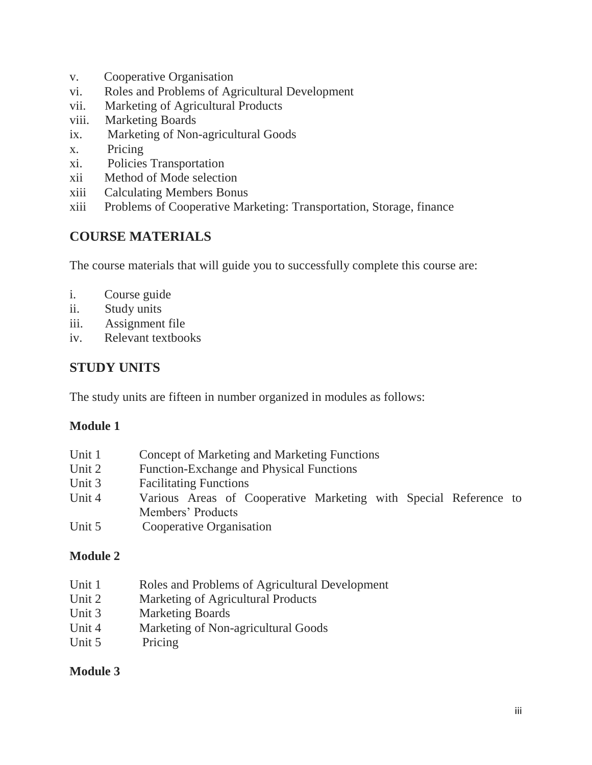- v. Cooperative Organisation
- vi. Roles and Problems of Agricultural Development
- vii. Marketing of Agricultural Products
- viii. Marketing Boards
- ix. Marketing of Non-agricultural Goods
- x. Pricing
- xi. Policies Transportation
- xii Method of Mode selection
- xiii Calculating Members Bonus
- xiii Problems of Cooperative Marketing: Transportation, Storage, finance

### **COURSE MATERIALS**

The course materials that will guide you to successfully complete this course are:

- i. Course guide
- ii. Study units
- iii. Assignment file
- iv. Relevant textbooks

# **STUDY UNITS**

The study units are fifteen in number organized in modules as follows:

### **Module 1**

| Unit 1    | Concept of Marketing and Marketing Functions                     |
|-----------|------------------------------------------------------------------|
| Unit 2    | <b>Function-Exchange and Physical Functions</b>                  |
| Unit 3    | <b>Facilitating Functions</b>                                    |
| Unit 4    | Various Areas of Cooperative Marketing with Special Reference to |
|           | Members' Products                                                |
| $T T$ $T$ |                                                                  |

Unit 5 Cooperative Organisation

### **Module 2**

- Unit 1 Roles and Problems of Agricultural Development
- Unit 2 Marketing of Agricultural Products
- Unit 3 Marketing Boards
- Unit 4 Marketing of Non-agricultural Goods
- Unit 5 Pricing

### **Module 3**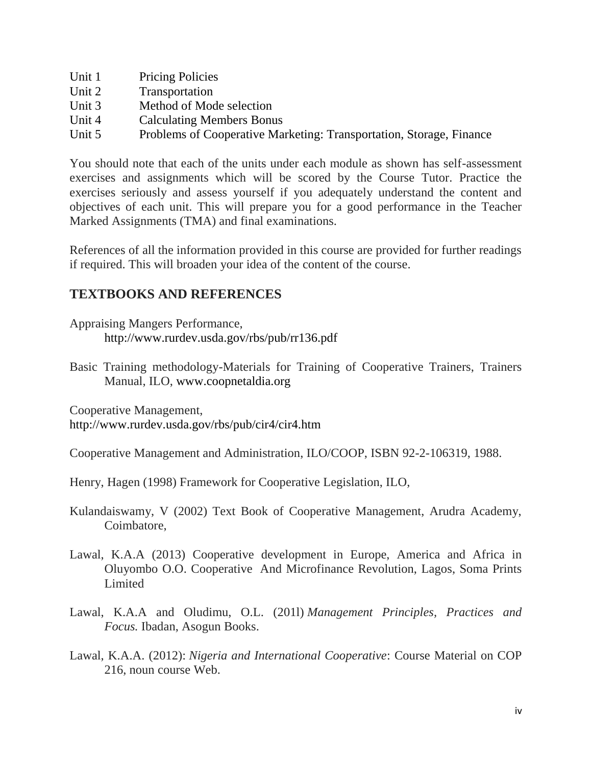- Unit 1 Pricing Policies
- Unit 2 Transportation
- Unit 3 Method of Mode selection
- Unit 4 Calculating Members Bonus
- Unit 5 Problems of Cooperative Marketing: Transportation, Storage, Finance

You should note that each of the units under each module as shown has self-assessment exercises and assignments which will be scored by the Course Tutor. Practice the exercises seriously and assess yourself if you adequately understand the content and objectives of each unit. This will prepare you for a good performance in the Teacher Marked Assignments (TMA) and final examinations.

References of all the information provided in this course are provided for further readings if required. This will broaden your idea of the content of the course.

### **TEXTBOOKS AND REFERENCES**

Appraising Mangers Performance, <http://www.rurdev.usda.gov/rbs/pub/rr136.pdf>

Basic Training methodology-Materials for Training of Cooperative Trainers, Trainers Manual, ILO, [www.coopnetaldia.org](http://www.coopnetaldia.org/)

Cooperative Management,

<http://www.rurdev.usda.gov/rbs/pub/cir4/cir4.htm>

Cooperative Management and Administration, ILO/COOP, ISBN 92-2-106319, 1988.

Henry, Hagen (1998) Framework for Cooperative Legislation, ILO,

- Kulandaiswamy, V (2002) Text Book of Cooperative Management, Arudra Academy, Coimbatore,
- Lawal, K.A.A (2013) Cooperative development in Europe, America and Africa in Oluyombo O.O. Cooperative And Microfinance Revolution, Lagos, Soma Prints Limited
- Lawal, K.A.A and Oludimu, O.L. (201l) *Management Principles, Practices and Focus.* Ibadan, Asogun Books.
- Lawal, K.A.A. (2012): *Nigeria and International Cooperative*: Course Material on COP 216, noun course Web.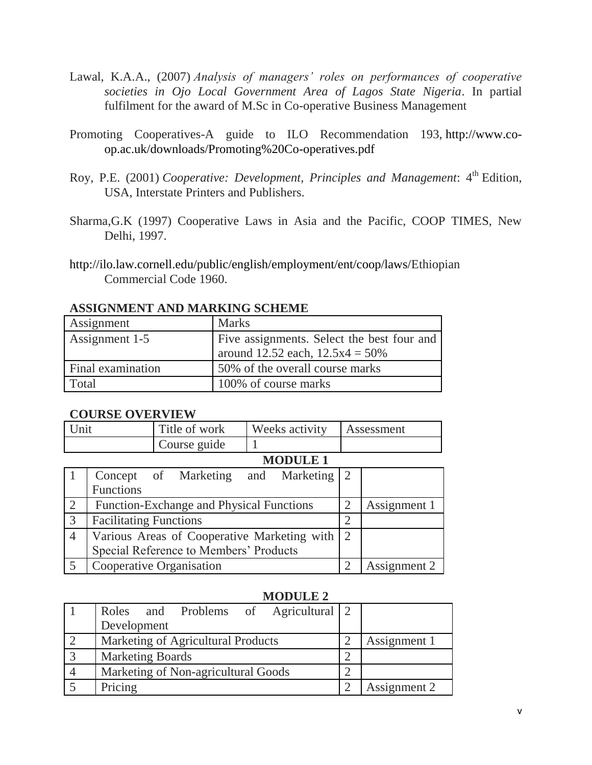- Lawal, K.A.A., (2007) *Analysis of managers' roles on performances of cooperative societies in Ojo Local Government Area of Lagos State Nigeria*. In partial fulfilment for the award of M.Sc in Co-operative Business Management
- Promoting Cooperatives-A guide to ILO Recommendation 193, [http://www.co](http://www.co-op.ac.uk/downloads/Promoting%20Co-operatives.pdf)[op.ac.uk/downloads/Promoting%20Co-operatives.pdf](http://www.co-op.ac.uk/downloads/Promoting%20Co-operatives.pdf)
- Roy, P.E. (2001) *Cooperative: Development, Principles and Management*: 4<sup>th</sup> Edition, USA, Interstate Printers and Publishers.
- Sharma,G.K (1997) Cooperative Laws in Asia and the Pacific, COOP TIMES, New Delhi, 1997.
- [http://ilo.law.cornell.edu/public/english/employment/ent/coop/laws/E](http://ilo.law.cornell.edu/public/english/employment/ent/coop/laws/)thiopian Commercial Code 1960.

| Assignment        | <b>Marks</b>                               |
|-------------------|--------------------------------------------|
| Assignment 1-5    | Five assignments. Select the best four and |
|                   | around 12.52 each, $12.5x4 = 50\%$         |
| Final examination | 50% of the overall course marks            |
| Total             | 100% of course marks                       |

#### **ASSIGNMENT AND MARKING SCHEME**

#### **COURSE OVERVIEW**

| Jn1 | Title of work | Weeks activity  | Assessment |
|-----|---------------|-----------------|------------|
|     | Course guide  |                 |            |
|     |               | <b>MODIIE</b> 1 |            |

|                | NNDULLI                                       |               |              |
|----------------|-----------------------------------------------|---------------|--------------|
|                | Concept of Marketing and Marketing 2          |               |              |
|                | <b>Functions</b>                              |               |              |
| $\overline{2}$ | Function-Exchange and Physical Functions      | 2             | Assignment 1 |
| $\overline{3}$ | <b>Facilitating Functions</b>                 | $\mathcal{D}$ |              |
| $\overline{4}$ | Various Areas of Cooperative Marketing with 2 |               |              |
|                | Special Reference to Members' Products        |               |              |
|                | Cooperative Organisation                      |               | Assignment 2 |

#### **MODULE 2**

|                | Roles and Problems of Agricultural 2 |              |
|----------------|--------------------------------------|--------------|
|                | Development                          |              |
|                | Marketing of Agricultural Products   | Assignment 1 |
| $\overline{3}$ | <b>Marketing Boards</b>              |              |
|                | Marketing of Non-agricultural Goods  |              |
|                | Pricing                              | Assignment 2 |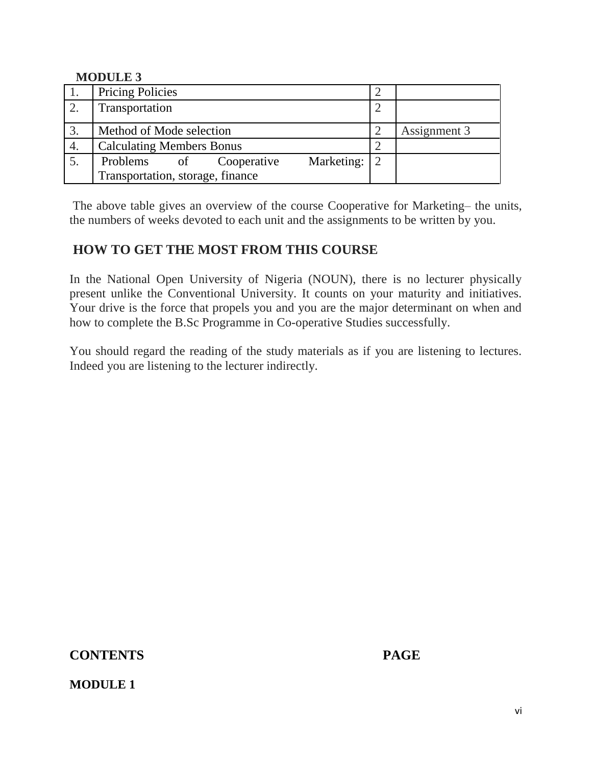#### **MODULE 3**

|    | <b>Pricing Policies</b>          |    |             |            |              |  |
|----|----------------------------------|----|-------------|------------|--------------|--|
|    | Transportation                   |    |             |            |              |  |
| 3. | Method of Mode selection         |    |             |            | Assignment 3 |  |
| 4. | <b>Calculating Members Bonus</b> |    |             |            |              |  |
|    | Problems                         | of | Cooperative | Marketing: | 2            |  |
|    | Transportation, storage, finance |    |             |            |              |  |

The above table gives an overview of the course Cooperative for Marketing– the units, the numbers of weeks devoted to each unit and the assignments to be written by you.

### **HOW TO GET THE MOST FROM THIS COURSE**

In the National Open University of Nigeria (NOUN), there is no lecturer physically present unlike the Conventional University. It counts on your maturity and initiatives. Your drive is the force that propels you and you are the major determinant on when and how to complete the B.Sc Programme in Co-operative Studies successfully.

You should regard the reading of the study materials as if you are listening to lectures. Indeed you are listening to the lecturer indirectly.

### **CONTENTS PAGE**

### **MODULE 1**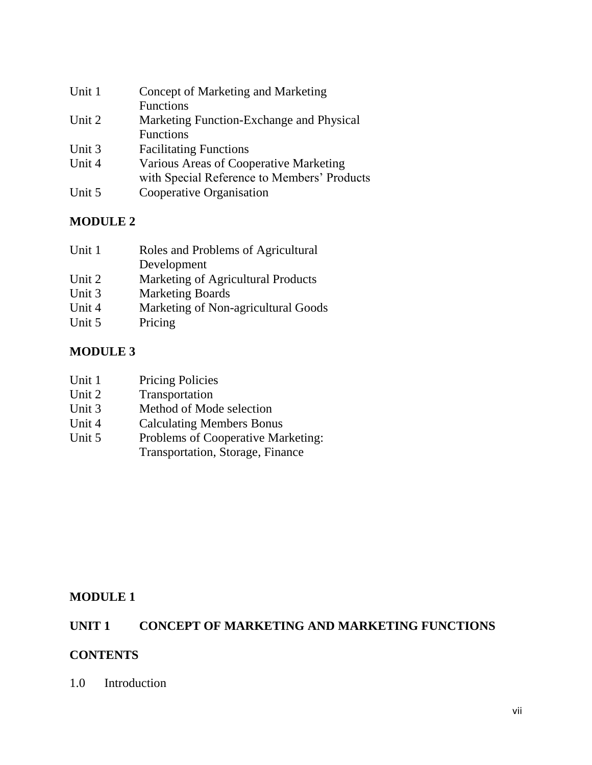| Unit 1 | Concept of Marketing and Marketing          |
|--------|---------------------------------------------|
|        | <b>Functions</b>                            |
| Unit 2 | Marketing Function-Exchange and Physical    |
|        | <b>Functions</b>                            |
| Unit 3 | <b>Facilitating Functions</b>               |
| Unit 4 | Various Areas of Cooperative Marketing      |
|        | with Special Reference to Members' Products |
| Unit 5 | Cooperative Organisation                    |
|        |                                             |

# **MODULE 2**

| Roles and Problems of Agricultural  |
|-------------------------------------|
| Development                         |
| Marketing of Agricultural Products  |
| <b>Marketing Boards</b>             |
| Marketing of Non-agricultural Goods |
| Pricing                             |
|                                     |

### **MODULE 3**

| Unit 1 | <b>Pricing Policies</b> |
|--------|-------------------------|
|        |                         |

- Unit 2 Transportation<br>Unit 3 Method of Moc
- Method of Mode selection
- Unit 4 Calculating Members Bonus
- Unit 5 Problems of Cooperative Marketing:

# Transportation, Storage, Finance

## **MODULE 1**

# **UNIT 1 CONCEPT OF MARKETING AND MARKETING FUNCTIONS**

### **CONTENTS**

1.0 Introduction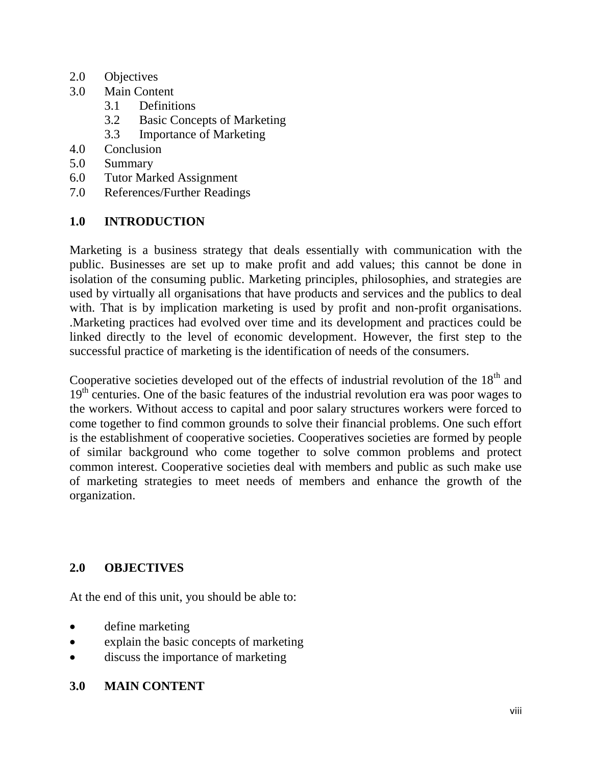- 2.0 Objectives
- 3.0 Main Content
	- 3.1 Definitions
	- 3.2 Basic Concepts of Marketing
	- 3.3 Importance of Marketing
- 4.0 Conclusion
- 5.0 Summary
- 6.0 Tutor Marked Assignment
- 7.0 References/Further Readings

### **1.0 INTRODUCTION**

Marketing is a business strategy that deals essentially with communication with the public. Businesses are set up to make profit and add values; this cannot be done in isolation of the consuming public. Marketing principles, philosophies, and strategies are used by virtually all organisations that have products and services and the publics to deal with. That is by implication marketing is used by profit and non-profit organisations. .Marketing practices had evolved over time and its development and practices could be linked directly to the level of economic development. However, the first step to the successful practice of marketing is the identification of needs of the consumers.

Cooperative societies developed out of the effects of industrial revolution of the  $18<sup>th</sup>$  and 19<sup>th</sup> centuries. One of the basic features of the industrial revolution era was poor wages to the workers. Without access to capital and poor salary structures workers were forced to come together to find common grounds to solve their financial problems. One such effort is the establishment of cooperative societies. Cooperatives societies are formed by people of similar background who come together to solve common problems and protect common interest. Cooperative societies deal with members and public as such make use of marketing strategies to meet needs of members and enhance the growth of the organization.

### **2.0 OBJECTIVES**

At the end of this unit, you should be able to:

- define marketing
- explain the basic concepts of marketing
- discuss the importance of marketing

### **3.0 MAIN CONTENT**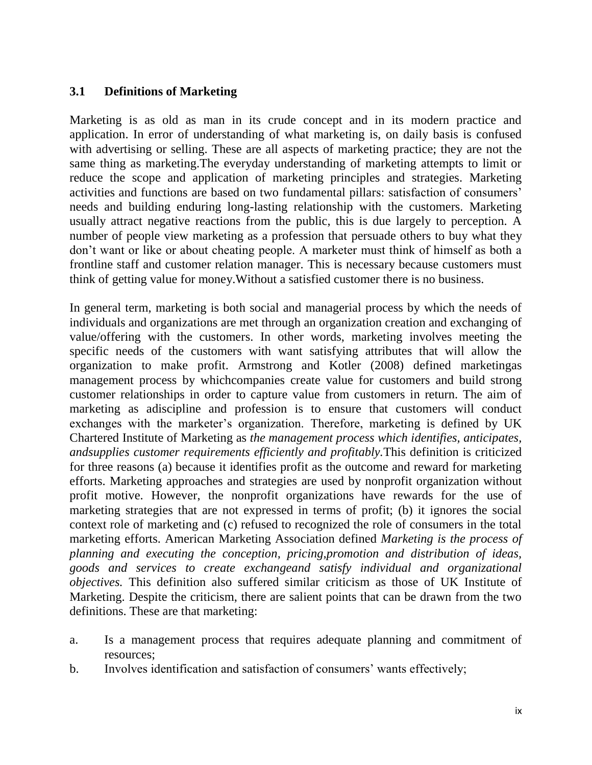### **3.1 Definitions of Marketing**

Marketing is as old as man in its crude concept and in its modern practice and application. In error of understanding of what marketing is, on daily basis is confused with advertising or selling. These are all aspects of marketing practice; they are not the same thing as marketing.The everyday understanding of marketing attempts to limit or reduce the scope and application of marketing principles and strategies. Marketing activities and functions are based on two fundamental pillars: satisfaction of consumers" needs and building enduring long-lasting relationship with the customers. Marketing usually attract negative reactions from the public, this is due largely to perception. A number of people view marketing as a profession that persuade others to buy what they don"t want or like or about cheating people. A marketer must think of himself as both a frontline staff and customer relation manager. This is necessary because customers must think of getting value for money.Without a satisfied customer there is no business.

In general term, marketing is both social and managerial process by which the needs of individuals and organizations are met through an organization creation and exchanging of value/offering with the customers. In other words, marketing involves meeting the specific needs of the customers with want satisfying attributes that will allow the organization to make profit. Armstrong and Kotler (2008) defined marketingas management process by whichcompanies create value for customers and build strong customer relationships in order to capture value from customers in return. The aim of marketing as adiscipline and profession is to ensure that customers will conduct exchanges with the marketer's organization. Therefore, marketing is defined by UK Chartered Institute of Marketing as *the management process which identifies, anticipates, andsupplies customer requirements efficiently and profitably.*This definition is criticized for three reasons (a) because it identifies profit as the outcome and reward for marketing efforts. Marketing approaches and strategies are used by nonprofit organization without profit motive. However, the nonprofit organizations have rewards for the use of marketing strategies that are not expressed in terms of profit; (b) it ignores the social context role of marketing and (c) refused to recognized the role of consumers in the total marketing efforts. American Marketing Association defined *Marketing is the process of planning and executing the conception, pricing,promotion and distribution of ideas, goods and services to create exchangeand satisfy individual and organizational objectives.* This definition also suffered similar criticism as those of UK Institute of Marketing. Despite the criticism, there are salient points that can be drawn from the two definitions. These are that marketing:

- a. Is a management process that requires adequate planning and commitment of resources;
- b. Involves identification and satisfaction of consumers' wants effectively;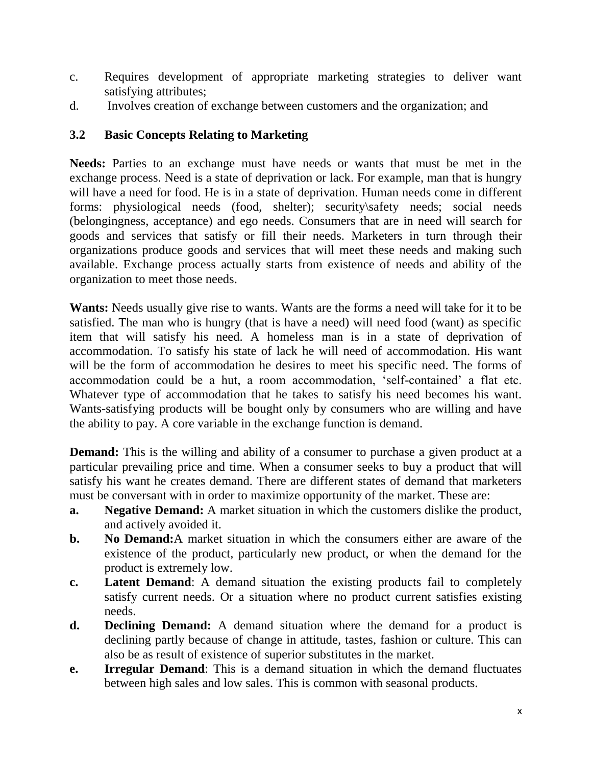- c. Requires development of appropriate marketing strategies to deliver want satisfying attributes;
- d. Involves creation of exchange between customers and the organization; and

### **3.2 Basic Concepts Relating to Marketing**

**Needs:** Parties to an exchange must have needs or wants that must be met in the exchange process. Need is a state of deprivation or lack. For example, man that is hungry will have a need for food. He is in a state of deprivation. Human needs come in different forms: physiological needs (food, shelter); security\safety needs; social needs (belongingness, acceptance) and ego needs. Consumers that are in need will search for goods and services that satisfy or fill their needs. Marketers in turn through their organizations produce goods and services that will meet these needs and making such available. Exchange process actually starts from existence of needs and ability of the organization to meet those needs.

**Wants:** Needs usually give rise to wants. Wants are the forms a need will take for it to be satisfied. The man who is hungry (that is have a need) will need food (want) as specific item that will satisfy his need. A homeless man is in a state of deprivation of accommodation. To satisfy his state of lack he will need of accommodation. His want will be the form of accommodation he desires to meet his specific need. The forms of accommodation could be a hut, a room accommodation, "self-contained" a flat etc. Whatever type of accommodation that he takes to satisfy his need becomes his want. Wants-satisfying products will be bought only by consumers who are willing and have the ability to pay. A core variable in the exchange function is demand.

**Demand:** This is the willing and ability of a consumer to purchase a given product at a particular prevailing price and time. When a consumer seeks to buy a product that will satisfy his want he creates demand. There are different states of demand that marketers must be conversant with in order to maximize opportunity of the market. These are:

- **a. Negative Demand:** A market situation in which the customers dislike the product, and actively avoided it.
- **b. No Demand:**A market situation in which the consumers either are aware of the existence of the product, particularly new product, or when the demand for the product is extremely low.
- **c. Latent Demand**: A demand situation the existing products fail to completely satisfy current needs. Or a situation where no product current satisfies existing needs.
- **d. Declining Demand:** A demand situation where the demand for a product is declining partly because of change in attitude, tastes, fashion or culture. This can also be as result of existence of superior substitutes in the market.
- **e. Irregular Demand**: This is a demand situation in which the demand fluctuates between high sales and low sales. This is common with seasonal products.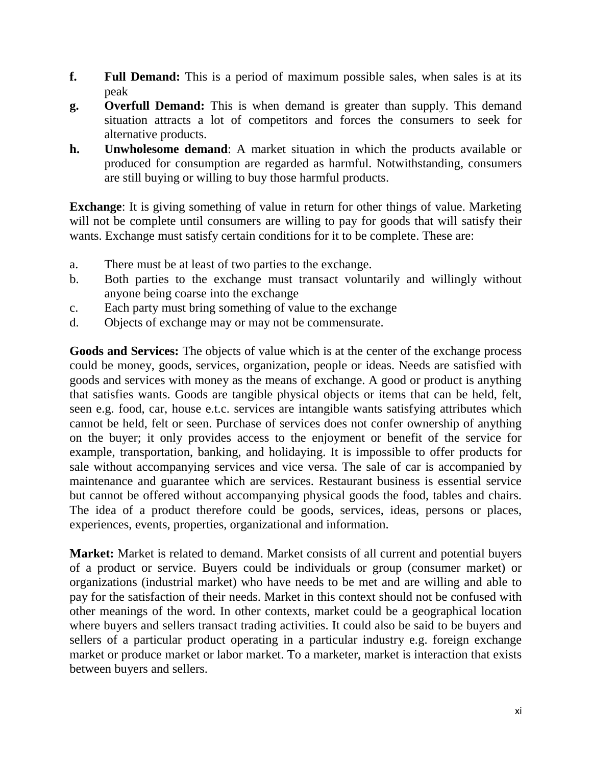- **f. Full Demand:** This is a period of maximum possible sales, when sales is at its peak
- **g. Overfull Demand:** This is when demand is greater than supply. This demand situation attracts a lot of competitors and forces the consumers to seek for alternative products.
- **h. Unwholesome demand**: A market situation in which the products available or produced for consumption are regarded as harmful. Notwithstanding, consumers are still buying or willing to buy those harmful products.

**Exchange**: It is giving something of value in return for other things of value. Marketing will not be complete until consumers are willing to pay for goods that will satisfy their wants. Exchange must satisfy certain conditions for it to be complete. These are:

- a. There must be at least of two parties to the exchange.
- b. Both parties to the exchange must transact voluntarily and willingly without anyone being coarse into the exchange
- c. Each party must bring something of value to the exchange
- d. Objects of exchange may or may not be commensurate.

**Goods and Services:** The objects of value which is at the center of the exchange process could be money, goods, services, organization, people or ideas. Needs are satisfied with goods and services with money as the means of exchange. A good or product is anything that satisfies wants. Goods are tangible physical objects or items that can be held, felt, seen e.g. food, car, house e.t.c. services are intangible wants satisfying attributes which cannot be held, felt or seen. Purchase of services does not confer ownership of anything on the buyer; it only provides access to the enjoyment or benefit of the service for example, transportation, banking, and holidaying. It is impossible to offer products for sale without accompanying services and vice versa. The sale of car is accompanied by maintenance and guarantee which are services. Restaurant business is essential service but cannot be offered without accompanying physical goods the food, tables and chairs. The idea of a product therefore could be goods, services, ideas, persons or places, experiences, events, properties, organizational and information.

**Market:** Market is related to demand. Market consists of all current and potential buyers of a product or service. Buyers could be individuals or group (consumer market) or organizations (industrial market) who have needs to be met and are willing and able to pay for the satisfaction of their needs. Market in this context should not be confused with other meanings of the word. In other contexts, market could be a geographical location where buyers and sellers transact trading activities. It could also be said to be buyers and sellers of a particular product operating in a particular industry e.g. foreign exchange market or produce market or labor market. To a marketer, market is interaction that exists between buyers and sellers.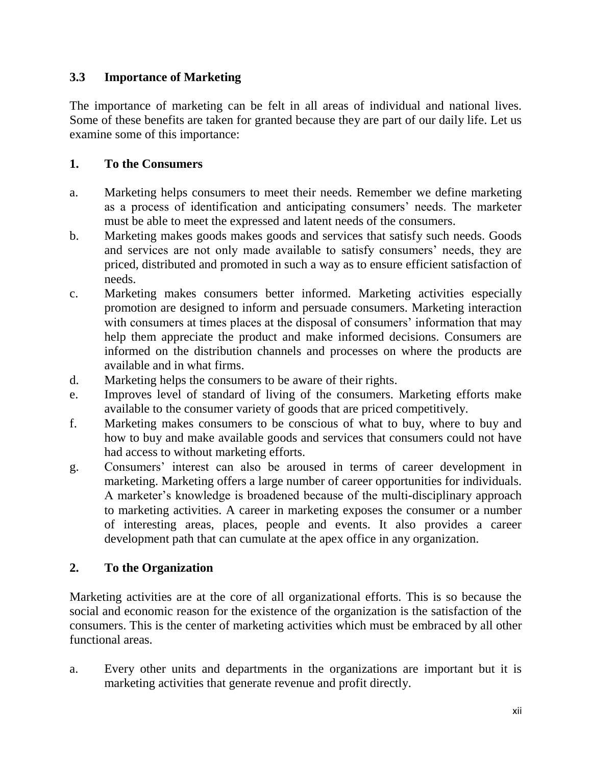### **3.3 Importance of Marketing**

The importance of marketing can be felt in all areas of individual and national lives. Some of these benefits are taken for granted because they are part of our daily life. Let us examine some of this importance:

### **1. To the Consumers**

- a. Marketing helps consumers to meet their needs. Remember we define marketing as a process of identification and anticipating consumers' needs. The marketer must be able to meet the expressed and latent needs of the consumers.
- b. Marketing makes goods makes goods and services that satisfy such needs. Goods and services are not only made available to satisfy consumers' needs, they are priced, distributed and promoted in such a way as to ensure efficient satisfaction of needs.
- c. Marketing makes consumers better informed. Marketing activities especially promotion are designed to inform and persuade consumers. Marketing interaction with consumers at times places at the disposal of consumers' information that may help them appreciate the product and make informed decisions. Consumers are informed on the distribution channels and processes on where the products are available and in what firms.
- d. Marketing helps the consumers to be aware of their rights.
- e. Improves level of standard of living of the consumers. Marketing efforts make available to the consumer variety of goods that are priced competitively.
- f. Marketing makes consumers to be conscious of what to buy, where to buy and how to buy and make available goods and services that consumers could not have had access to without marketing efforts.
- g. Consumers" interest can also be aroused in terms of career development in marketing. Marketing offers a large number of career opportunities for individuals. A marketer"s knowledge is broadened because of the multi-disciplinary approach to marketing activities. A career in marketing exposes the consumer or a number of interesting areas, places, people and events. It also provides a career development path that can cumulate at the apex office in any organization.

### **2. To the Organization**

Marketing activities are at the core of all organizational efforts. This is so because the social and economic reason for the existence of the organization is the satisfaction of the consumers. This is the center of marketing activities which must be embraced by all other functional areas.

a. Every other units and departments in the organizations are important but it is marketing activities that generate revenue and profit directly.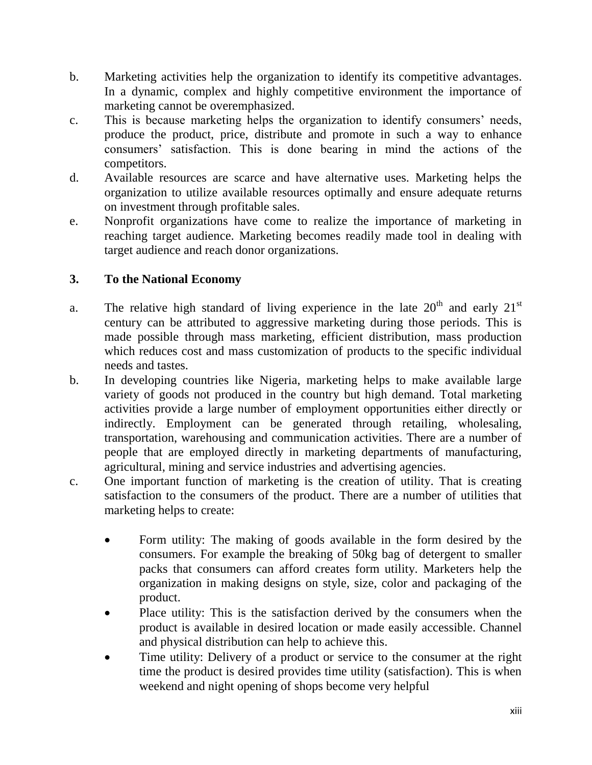- b. Marketing activities help the organization to identify its competitive advantages. In a dynamic, complex and highly competitive environment the importance of marketing cannot be overemphasized.
- c. This is because marketing helps the organization to identify consumers' needs, produce the product, price, distribute and promote in such a way to enhance consumers" satisfaction. This is done bearing in mind the actions of the competitors.
- d. Available resources are scarce and have alternative uses. Marketing helps the organization to utilize available resources optimally and ensure adequate returns on investment through profitable sales.
- e. Nonprofit organizations have come to realize the importance of marketing in reaching target audience. Marketing becomes readily made tool in dealing with target audience and reach donor organizations.

### **3. To the National Economy**

- a. The relative high standard of living experience in the late  $20<sup>th</sup>$  and early  $21<sup>st</sup>$ century can be attributed to aggressive marketing during those periods. This is made possible through mass marketing, efficient distribution, mass production which reduces cost and mass customization of products to the specific individual needs and tastes.
- b. In developing countries like Nigeria, marketing helps to make available large variety of goods not produced in the country but high demand. Total marketing activities provide a large number of employment opportunities either directly or indirectly. Employment can be generated through retailing, wholesaling, transportation, warehousing and communication activities. There are a number of people that are employed directly in marketing departments of manufacturing, agricultural, mining and service industries and advertising agencies.
- c. One important function of marketing is the creation of utility. That is creating satisfaction to the consumers of the product. There are a number of utilities that marketing helps to create:
	- Form utility: The making of goods available in the form desired by the consumers. For example the breaking of 50kg bag of detergent to smaller packs that consumers can afford creates form utility. Marketers help the organization in making designs on style, size, color and packaging of the product.
	- Place utility: This is the satisfaction derived by the consumers when the product is available in desired location or made easily accessible. Channel and physical distribution can help to achieve this.
	- Time utility: Delivery of a product or service to the consumer at the right time the product is desired provides time utility (satisfaction). This is when weekend and night opening of shops become very helpful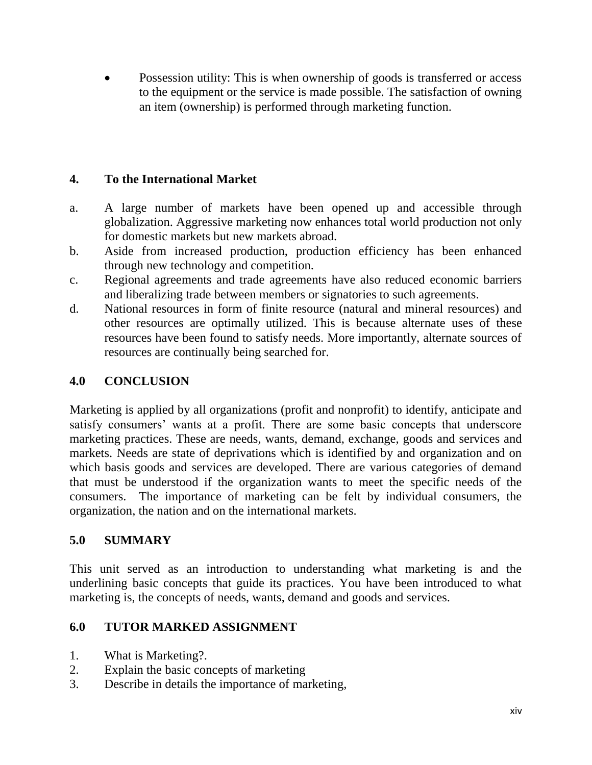Possession utility: This is when ownership of goods is transferred or access to the equipment or the service is made possible. The satisfaction of owning an item (ownership) is performed through marketing function.

### **4. To the International Market**

- a. A large number of markets have been opened up and accessible through globalization. Aggressive marketing now enhances total world production not only for domestic markets but new markets abroad.
- b. Aside from increased production, production efficiency has been enhanced through new technology and competition.
- c. Regional agreements and trade agreements have also reduced economic barriers and liberalizing trade between members or signatories to such agreements.
- d. National resources in form of finite resource (natural and mineral resources) and other resources are optimally utilized. This is because alternate uses of these resources have been found to satisfy needs. More importantly, alternate sources of resources are continually being searched for.

### **4.0 CONCLUSION**

Marketing is applied by all organizations (profit and nonprofit) to identify, anticipate and satisfy consumers' wants at a profit. There are some basic concepts that underscore marketing practices. These are needs, wants, demand, exchange, goods and services and markets. Needs are state of deprivations which is identified by and organization and on which basis goods and services are developed. There are various categories of demand that must be understood if the organization wants to meet the specific needs of the consumers. The importance of marketing can be felt by individual consumers, the organization, the nation and on the international markets.

### **5.0 SUMMARY**

This unit served as an introduction to understanding what marketing is and the underlining basic concepts that guide its practices. You have been introduced to what marketing is, the concepts of needs, wants, demand and goods and services.

### **6.0 TUTOR MARKED ASSIGNMENT**

- 1. What is Marketing?.
- 2. Explain the basic concepts of marketing
- 3. Describe in details the importance of marketing,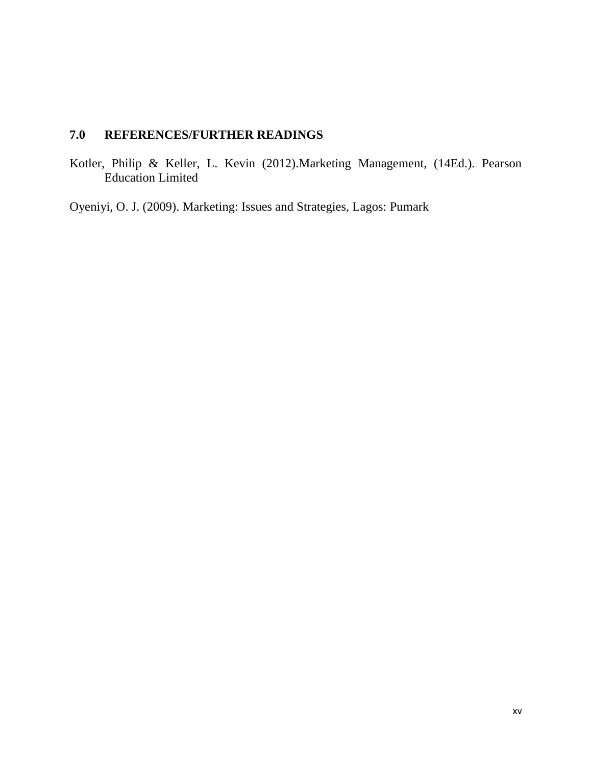# **7.0 REFERENCES/FURTHER READINGS**

Kotler, Philip & Keller, L. Kevin (2012).Marketing Management, (14Ed.). Pearson Education Limited

Oyeniyi, O. J. (2009). Marketing: Issues and Strategies, Lagos: Pumark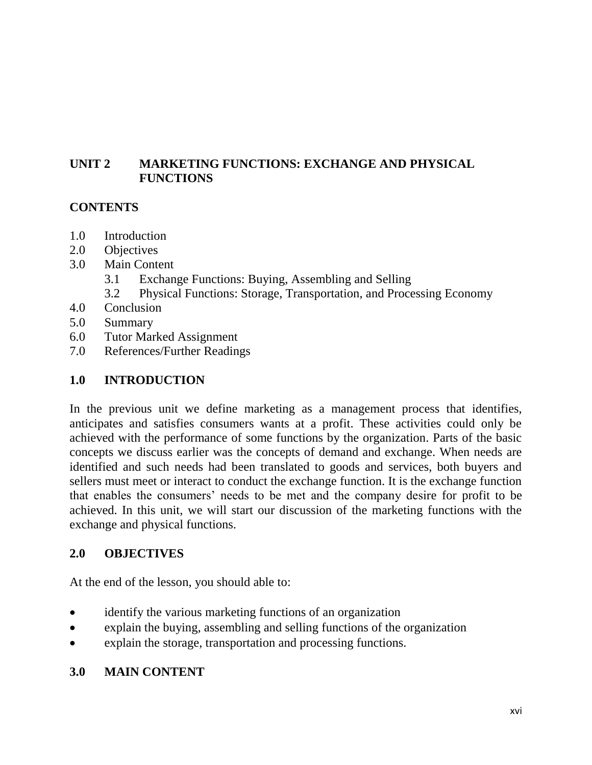## **UNIT 2 MARKETING FUNCTIONS: EXCHANGE AND PHYSICAL FUNCTIONS**

### **CONTENTS**

- 1.0 Introduction
- 2.0 Objectives
- 3.0 Main Content
	- 3.1 Exchange Functions: Buying, Assembling and Selling
	- 3.2 Physical Functions: Storage, Transportation, and Processing Economy
- 4.0 Conclusion
- 5.0 Summary
- 6.0 Tutor Marked Assignment
- 7.0 References/Further Readings

### **1.0 INTRODUCTION**

In the previous unit we define marketing as a management process that identifies, anticipates and satisfies consumers wants at a profit. These activities could only be achieved with the performance of some functions by the organization. Parts of the basic concepts we discuss earlier was the concepts of demand and exchange. When needs are identified and such needs had been translated to goods and services, both buyers and sellers must meet or interact to conduct the exchange function. It is the exchange function that enables the consumers" needs to be met and the company desire for profit to be achieved. In this unit, we will start our discussion of the marketing functions with the exchange and physical functions.

### **2.0 OBJECTIVES**

At the end of the lesson, you should able to:

- identify the various marketing functions of an organization
- explain the buying, assembling and selling functions of the organization
- explain the storage, transportation and processing functions.

#### **3.0 MAIN CONTENT**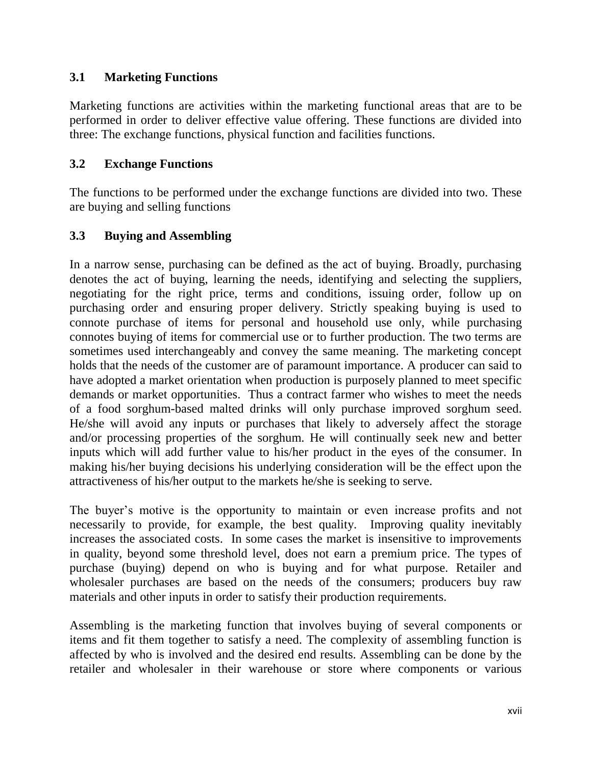### **3.1 Marketing Functions**

Marketing functions are activities within the marketing functional areas that are to be performed in order to deliver effective value offering. These functions are divided into three: The exchange functions, physical function and facilities functions.

### **3.2 Exchange Functions**

The functions to be performed under the exchange functions are divided into two. These are buying and selling functions

### **3.3 Buying and Assembling**

In a narrow sense, purchasing can be defined as the act of buying. Broadly, purchasing denotes the act of buying, learning the needs, identifying and selecting the suppliers, negotiating for the right price, terms and conditions, issuing order, follow up on purchasing order and ensuring proper delivery. Strictly speaking buying is used to connote purchase of items for personal and household use only, while purchasing connotes buying of items for commercial use or to further production. The two terms are sometimes used interchangeably and convey the same meaning. The marketing concept holds that the needs of the customer are of paramount importance. A producer can said to have adopted a market orientation when production is purposely planned to meet specific demands or market opportunities. Thus a contract farmer who wishes to meet the needs of a food sorghum-based malted drinks will only purchase improved sorghum seed. He/she will avoid any inputs or purchases that likely to adversely affect the storage and/or processing properties of the sorghum. He will continually seek new and better inputs which will add further value to his/her product in the eyes of the consumer. In making his/her buying decisions his underlying consideration will be the effect upon the attractiveness of his/her output to the markets he/she is seeking to serve.

The buyer's motive is the opportunity to maintain or even increase profits and not necessarily to provide, for example, the best quality. Improving quality inevitably increases the associated costs. In some cases the market is insensitive to improvements in quality, beyond some threshold level, does not earn a premium price. The types of purchase (buying) depend on who is buying and for what purpose. Retailer and wholesaler purchases are based on the needs of the consumers; producers buy raw materials and other inputs in order to satisfy their production requirements.

Assembling is the marketing function that involves buying of several components or items and fit them together to satisfy a need. The complexity of assembling function is affected by who is involved and the desired end results. Assembling can be done by the retailer and wholesaler in their warehouse or store where components or various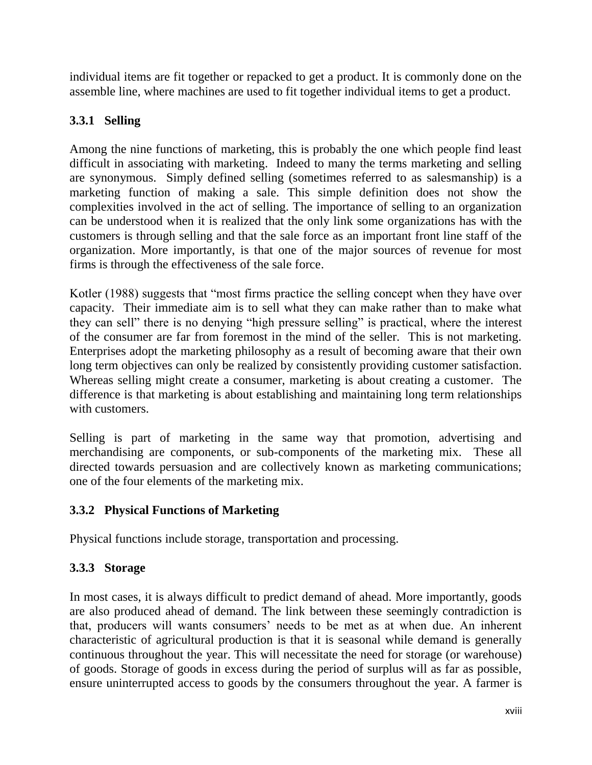individual items are fit together or repacked to get a product. It is commonly done on the assemble line, where machines are used to fit together individual items to get a product.

# **3.3.1 Selling**

Among the nine functions of marketing, this is probably the one which people find least difficult in associating with marketing. Indeed to many the terms marketing and selling are synonymous. Simply defined selling (sometimes referred to as salesmanship) is a marketing function of making a sale. This simple definition does not show the complexities involved in the act of selling. The importance of selling to an organization can be understood when it is realized that the only link some organizations has with the customers is through selling and that the sale force as an important front line staff of the organization. More importantly, is that one of the major sources of revenue for most firms is through the effectiveness of the sale force.

Kotler (1988) suggests that "most firms practice the selling concept when they have over capacity. Their immediate aim is to sell what they can make rather than to make what they can sell" there is no denying "high pressure selling" is practical, where the interest of the consumer are far from foremost in the mind of the seller. This is not marketing. Enterprises adopt the marketing philosophy as a result of becoming aware that their own long term objectives can only be realized by consistently providing customer satisfaction. Whereas selling might create a consumer, marketing is about creating a customer. The difference is that marketing is about establishing and maintaining long term relationships with customers.

Selling is part of marketing in the same way that promotion, advertising and merchandising are components, or sub-components of the marketing mix. These all directed towards persuasion and are collectively known as marketing communications; one of the four elements of the marketing mix.

### **3.3.2 Physical Functions of Marketing**

Physical functions include storage, transportation and processing.

# **3.3.3 Storage**

In most cases, it is always difficult to predict demand of ahead. More importantly, goods are also produced ahead of demand. The link between these seemingly contradiction is that, producers will wants consumers" needs to be met as at when due. An inherent characteristic of agricultural production is that it is seasonal while demand is generally continuous throughout the year. This will necessitate the need for storage (or warehouse) of goods. Storage of goods in excess during the period of surplus will as far as possible, ensure uninterrupted access to goods by the consumers throughout the year. A farmer is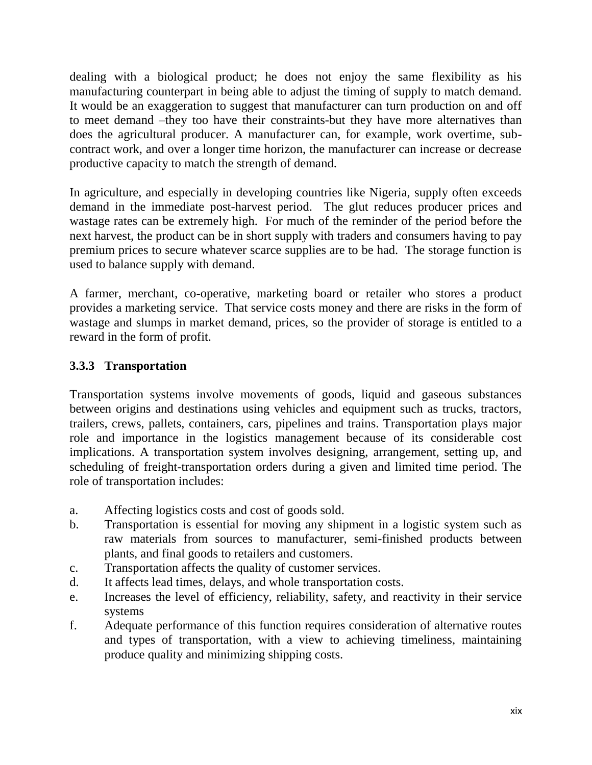dealing with a biological product; he does not enjoy the same flexibility as his manufacturing counterpart in being able to adjust the timing of supply to match demand. It would be an exaggeration to suggest that manufacturer can turn production on and off to meet demand –they too have their constraints-but they have more alternatives than does the agricultural producer. A manufacturer can, for example, work overtime, subcontract work, and over a longer time horizon, the manufacturer can increase or decrease productive capacity to match the strength of demand.

In agriculture, and especially in developing countries like Nigeria, supply often exceeds demand in the immediate post-harvest period. The glut reduces producer prices and wastage rates can be extremely high. For much of the reminder of the period before the next harvest, the product can be in short supply with traders and consumers having to pay premium prices to secure whatever scarce supplies are to be had. The storage function is used to balance supply with demand.

A farmer, merchant, co-operative, marketing board or retailer who stores a product provides a marketing service. That service costs money and there are risks in the form of wastage and slumps in market demand, prices, so the provider of storage is entitled to a reward in the form of profit.

### **3.3.3 Transportation**

Transportation systems involve movements of goods, liquid and gaseous substances between origins and destinations using vehicles and equipment such as trucks, tractors, trailers, crews, pallets, containers, cars, pipelines and trains. Transportation plays major role and importance in the logistics management because of its considerable cost implications. A transportation system involves designing, arrangement, setting up, and scheduling of freight-transportation orders during a given and limited time period. The role of transportation includes:

- a. Affecting logistics costs and cost of goods sold.
- b. Transportation is essential for moving any shipment in a logistic system such as raw materials from sources to manufacturer, semi-finished products between plants, and final goods to retailers and customers.
- c. Transportation affects the quality of customer services.
- d. It affects lead times, delays, and whole transportation costs.
- e. Increases the level of efficiency, reliability, safety, and reactivity in their service systems
- f. Adequate performance of this function requires consideration of alternative routes and types of transportation, with a view to achieving timeliness, maintaining produce quality and minimizing shipping costs.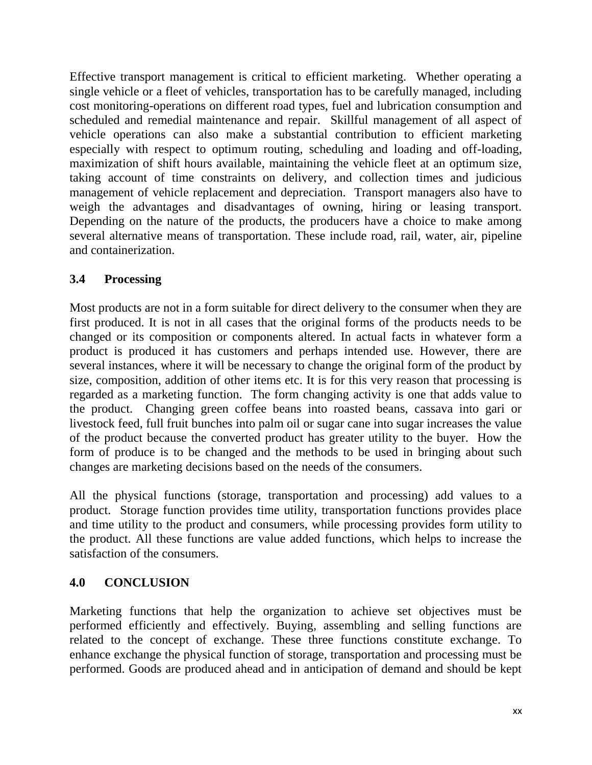Effective transport management is critical to efficient marketing. Whether operating a single vehicle or a fleet of vehicles, transportation has to be carefully managed, including cost monitoring-operations on different road types, fuel and lubrication consumption and scheduled and remedial maintenance and repair. Skillful management of all aspect of vehicle operations can also make a substantial contribution to efficient marketing especially with respect to optimum routing, scheduling and loading and off-loading, maximization of shift hours available, maintaining the vehicle fleet at an optimum size, taking account of time constraints on delivery, and collection times and judicious management of vehicle replacement and depreciation. Transport managers also have to weigh the advantages and disadvantages of owning, hiring or leasing transport. Depending on the nature of the products, the producers have a choice to make among several alternative means of transportation. These include road, rail, water, air, pipeline and containerization.

### **3.4 Processing**

Most products are not in a form suitable for direct delivery to the consumer when they are first produced. It is not in all cases that the original forms of the products needs to be changed or its composition or components altered. In actual facts in whatever form a product is produced it has customers and perhaps intended use. However, there are several instances, where it will be necessary to change the original form of the product by size, composition, addition of other items etc. It is for this very reason that processing is regarded as a marketing function. The form changing activity is one that adds value to the product. Changing green coffee beans into roasted beans, cassava into gari or livestock feed, full fruit bunches into palm oil or sugar cane into sugar increases the value of the product because the converted product has greater utility to the buyer. How the form of produce is to be changed and the methods to be used in bringing about such changes are marketing decisions based on the needs of the consumers.

All the physical functions (storage, transportation and processing) add values to a product. Storage function provides time utility, transportation functions provides place and time utility to the product and consumers, while processing provides form utility to the product. All these functions are value added functions, which helps to increase the satisfaction of the consumers.

# **4.0 CONCLUSION**

Marketing functions that help the organization to achieve set objectives must be performed efficiently and effectively. Buying, assembling and selling functions are related to the concept of exchange. These three functions constitute exchange. To enhance exchange the physical function of storage, transportation and processing must be performed. Goods are produced ahead and in anticipation of demand and should be kept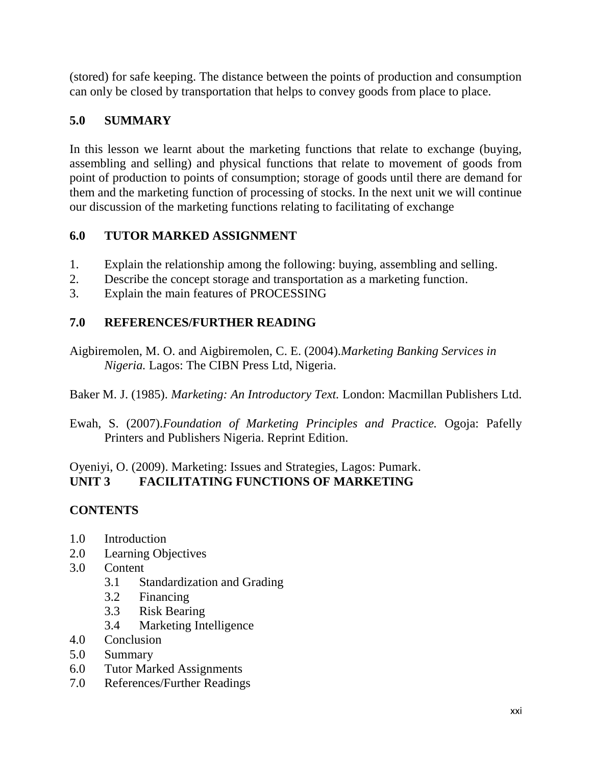(stored) for safe keeping. The distance between the points of production and consumption can only be closed by transportation that helps to convey goods from place to place.

# **5.0 SUMMARY**

In this lesson we learnt about the marketing functions that relate to exchange (buying, assembling and selling) and physical functions that relate to movement of goods from point of production to points of consumption; storage of goods until there are demand for them and the marketing function of processing of stocks. In the next unit we will continue our discussion of the marketing functions relating to facilitating of exchange

# **6.0 TUTOR MARKED ASSIGNMENT**

- 1. Explain the relationship among the following: buying, assembling and selling.
- 2. Describe the concept storage and transportation as a marketing function.
- 3. Explain the main features of PROCESSING

# **7.0 REFERENCES/FURTHER READING**

Aigbiremolen, M. O. and Aigbiremolen, C. E. (2004).*Marketing Banking Services in Nigeria.* Lagos: The CIBN Press Ltd, Nigeria.

Baker M. J. (1985). *Marketing: An Introductory Text.* London: Macmillan Publishers Ltd.

Ewah, S. (2007).*Foundation of Marketing Principles and Practice.* Ogoja: Pafelly Printers and Publishers Nigeria. Reprint Edition.

Oyeniyi, O. (2009). Marketing: Issues and Strategies, Lagos: Pumark. **UNIT 3 FACILITATING FUNCTIONS OF MARKETING** 

# **CONTENTS**

- 1.0 Introduction
- 2.0 Learning Objectives
- 3.0 Content
	- 3.1 Standardization and Grading
	- 3.2 Financing
	- 3.3 Risk Bearing
	- 3.4 Marketing Intelligence
- 4.0 Conclusion
- 5.0 Summary
- 6.0 Tutor Marked Assignments
- 7.0 References/Further Readings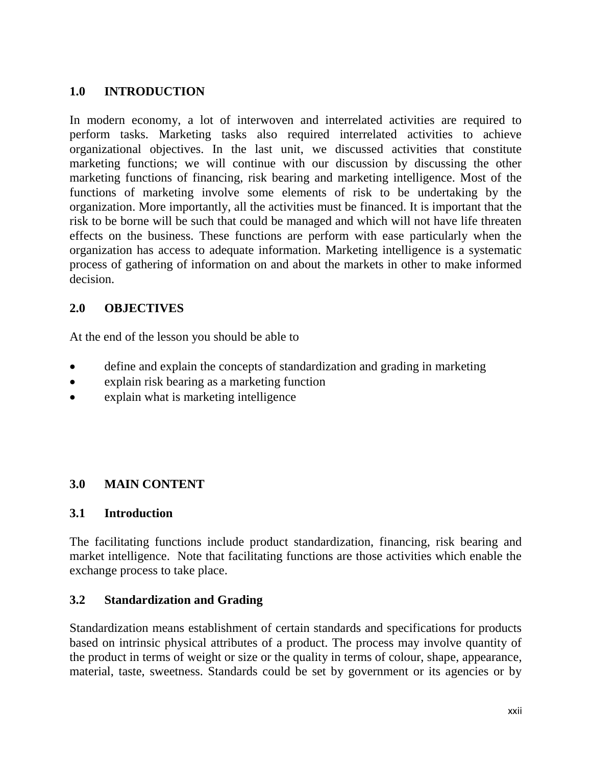## **1.0 INTRODUCTION**

In modern economy, a lot of interwoven and interrelated activities are required to perform tasks. Marketing tasks also required interrelated activities to achieve organizational objectives. In the last unit, we discussed activities that constitute marketing functions; we will continue with our discussion by discussing the other marketing functions of financing, risk bearing and marketing intelligence. Most of the functions of marketing involve some elements of risk to be undertaking by the organization. More importantly, all the activities must be financed. It is important that the risk to be borne will be such that could be managed and which will not have life threaten effects on the business. These functions are perform with ease particularly when the organization has access to adequate information. Marketing intelligence is a systematic process of gathering of information on and about the markets in other to make informed decision.

### **2.0 OBJECTIVES**

At the end of the lesson you should be able to

- define and explain the concepts of standardization and grading in marketing
- explain risk bearing as a marketing function
- explain what is marketing intelligence

### **3.0 MAIN CONTENT**

### **3.1 Introduction**

The facilitating functions include product standardization, financing, risk bearing and market intelligence. Note that facilitating functions are those activities which enable the exchange process to take place.

### **3.2 Standardization and Grading**

Standardization means establishment of certain standards and specifications for products based on intrinsic physical attributes of a product. The process may involve quantity of the product in terms of weight or size or the quality in terms of colour, shape, appearance, material, taste, sweetness. Standards could be set by government or its agencies or by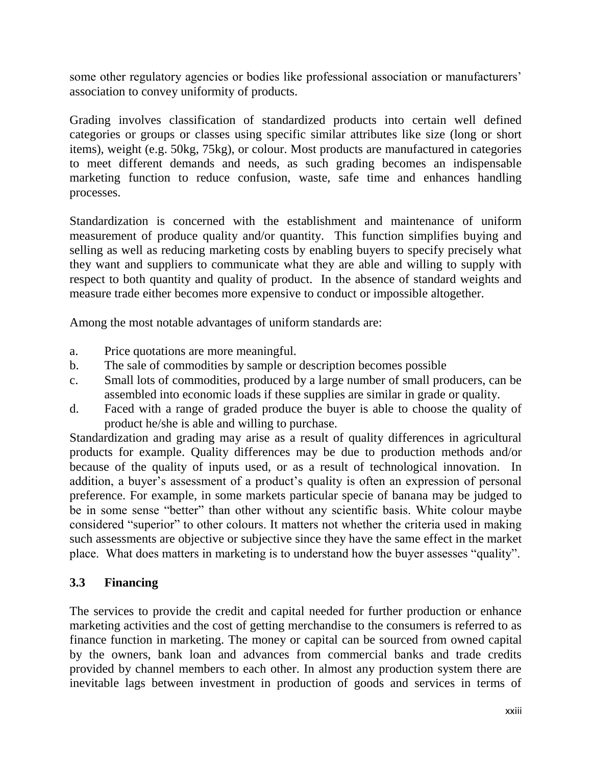some other regulatory agencies or bodies like professional association or manufacturers' association to convey uniformity of products.

Grading involves classification of standardized products into certain well defined categories or groups or classes using specific similar attributes like size (long or short items), weight (e.g. 50kg, 75kg), or colour. Most products are manufactured in categories to meet different demands and needs, as such grading becomes an indispensable marketing function to reduce confusion, waste, safe time and enhances handling processes.

Standardization is concerned with the establishment and maintenance of uniform measurement of produce quality and/or quantity. This function simplifies buying and selling as well as reducing marketing costs by enabling buyers to specify precisely what they want and suppliers to communicate what they are able and willing to supply with respect to both quantity and quality of product. In the absence of standard weights and measure trade either becomes more expensive to conduct or impossible altogether.

Among the most notable advantages of uniform standards are:

- a. Price quotations are more meaningful.
- b. The sale of commodities by sample or description becomes possible
- c. Small lots of commodities, produced by a large number of small producers, can be assembled into economic loads if these supplies are similar in grade or quality.
- d. Faced with a range of graded produce the buyer is able to choose the quality of product he/she is able and willing to purchase.

Standardization and grading may arise as a result of quality differences in agricultural products for example. Quality differences may be due to production methods and/or because of the quality of inputs used, or as a result of technological innovation. In addition, a buyer's assessment of a product's quality is often an expression of personal preference. For example, in some markets particular specie of banana may be judged to be in some sense "better" than other without any scientific basis. White colour maybe considered "superior" to other colours. It matters not whether the criteria used in making such assessments are objective or subjective since they have the same effect in the market place. What does matters in marketing is to understand how the buyer assesses "quality".

### **3.3 Financing**

The services to provide the credit and capital needed for further production or enhance marketing activities and the cost of getting merchandise to the consumers is referred to as finance function in marketing. The money or capital can be sourced from owned capital by the owners, bank loan and advances from commercial banks and trade credits provided by channel members to each other. In almost any production system there are inevitable lags between investment in production of goods and services in terms of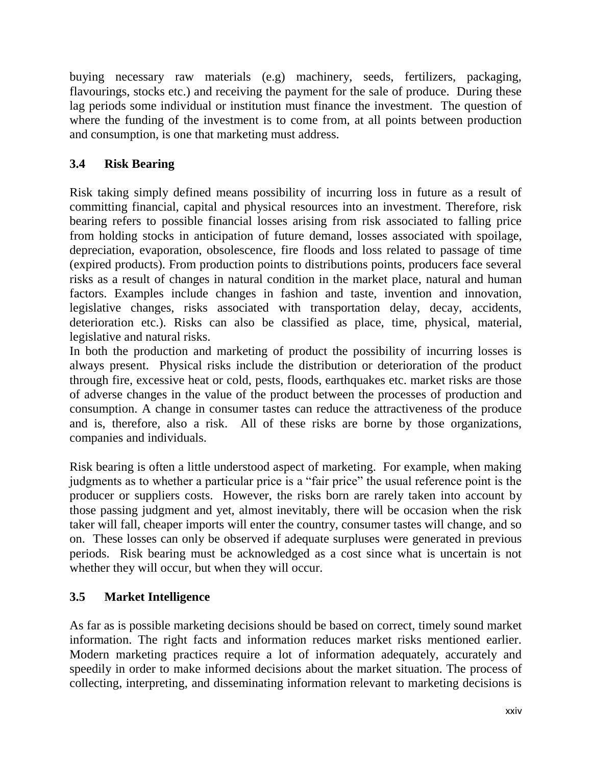buying necessary raw materials (e.g) machinery, seeds, fertilizers, packaging, flavourings, stocks etc.) and receiving the payment for the sale of produce. During these lag periods some individual or institution must finance the investment. The question of where the funding of the investment is to come from, at all points between production and consumption, is one that marketing must address.

# **3.4 Risk Bearing**

Risk taking simply defined means possibility of incurring loss in future as a result of committing financial, capital and physical resources into an investment. Therefore, risk bearing refers to possible financial losses arising from risk associated to falling price from holding stocks in anticipation of future demand, losses associated with spoilage, depreciation, evaporation, obsolescence, fire floods and loss related to passage of time (expired products). From production points to distributions points, producers face several risks as a result of changes in natural condition in the market place, natural and human factors. Examples include changes in fashion and taste, invention and innovation, legislative changes, risks associated with transportation delay, decay, accidents, deterioration etc.). Risks can also be classified as place, time, physical, material, legislative and natural risks.

In both the production and marketing of product the possibility of incurring losses is always present. Physical risks include the distribution or deterioration of the product through fire, excessive heat or cold, pests, floods, earthquakes etc. market risks are those of adverse changes in the value of the product between the processes of production and consumption. A change in consumer tastes can reduce the attractiveness of the produce and is, therefore, also a risk. All of these risks are borne by those organizations, companies and individuals.

Risk bearing is often a little understood aspect of marketing. For example, when making judgments as to whether a particular price is a "fair price" the usual reference point is the producer or suppliers costs. However, the risks born are rarely taken into account by those passing judgment and yet, almost inevitably, there will be occasion when the risk taker will fall, cheaper imports will enter the country, consumer tastes will change, and so on. These losses can only be observed if adequate surpluses were generated in previous periods. Risk bearing must be acknowledged as a cost since what is uncertain is not whether they will occur, but when they will occur.

# **3.5 Market Intelligence**

As far as is possible marketing decisions should be based on correct, timely sound market information. The right facts and information reduces market risks mentioned earlier. Modern marketing practices require a lot of information adequately, accurately and speedily in order to make informed decisions about the market situation. The process of collecting, interpreting, and disseminating information relevant to marketing decisions is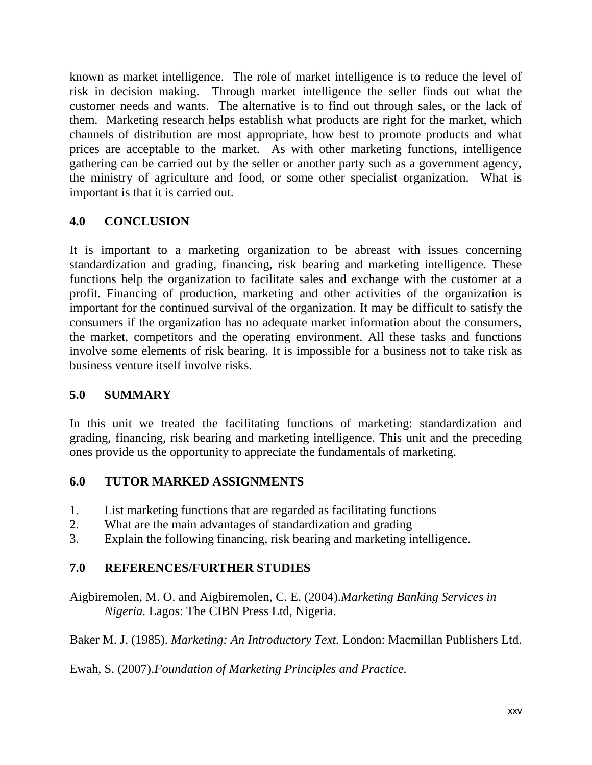known as market intelligence. The role of market intelligence is to reduce the level of risk in decision making. Through market intelligence the seller finds out what the customer needs and wants. The alternative is to find out through sales, or the lack of them. Marketing research helps establish what products are right for the market, which channels of distribution are most appropriate, how best to promote products and what prices are acceptable to the market. As with other marketing functions, intelligence gathering can be carried out by the seller or another party such as a government agency, the ministry of agriculture and food, or some other specialist organization. What is important is that it is carried out.

### **4.0 CONCLUSION**

It is important to a marketing organization to be abreast with issues concerning standardization and grading, financing, risk bearing and marketing intelligence. These functions help the organization to facilitate sales and exchange with the customer at a profit. Financing of production, marketing and other activities of the organization is important for the continued survival of the organization. It may be difficult to satisfy the consumers if the organization has no adequate market information about the consumers, the market, competitors and the operating environment. All these tasks and functions involve some elements of risk bearing. It is impossible for a business not to take risk as business venture itself involve risks.

### **5.0 SUMMARY**

In this unit we treated the facilitating functions of marketing: standardization and grading, financing, risk bearing and marketing intelligence. This unit and the preceding ones provide us the opportunity to appreciate the fundamentals of marketing.

### **6.0 TUTOR MARKED ASSIGNMENTS**

- 1. List marketing functions that are regarded as facilitating functions
- 2. What are the main advantages of standardization and grading
- 3. Explain the following financing, risk bearing and marketing intelligence.

### **7.0 REFERENCES/FURTHER STUDIES**

Aigbiremolen, M. O. and Aigbiremolen, C. E. (2004).*Marketing Banking Services in Nigeria.* Lagos: The CIBN Press Ltd, Nigeria.

Baker M. J. (1985). *Marketing: An Introductory Text.* London: Macmillan Publishers Ltd.

Ewah, S. (2007).*Foundation of Marketing Principles and Practice.*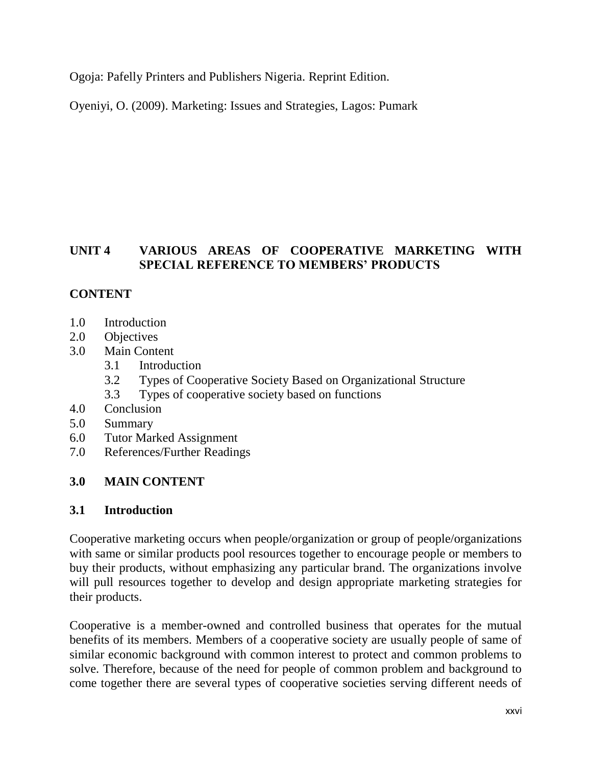Ogoja: Pafelly Printers and Publishers Nigeria. Reprint Edition.

Oyeniyi, O. (2009). Marketing: Issues and Strategies, Lagos: Pumark

### **UNIT 4 VARIOUS AREAS OF COOPERATIVE MARKETING WITH SPECIAL REFERENCE TO MEMBERS' PRODUCTS**

### **CONTENT**

- 1.0 Introduction
- 2.0 Objectives
- 3.0 Main Content
	- 3.1 Introduction
	- 3.2 Types of Cooperative Society Based on Organizational Structure
	- 3.3 Types of cooperative society based on functions
- 4.0 Conclusion
- 5.0 Summary
- 6.0 Tutor Marked Assignment
- 7.0 References/Further Readings

### **3.0 MAIN CONTENT**

### **3.1 Introduction**

Cooperative marketing occurs when people/organization or group of people/organizations with same or similar products pool resources together to encourage people or members to buy their products, without emphasizing any particular brand. The organizations involve will pull resources together to develop and design appropriate marketing strategies for their products.

Cooperative is a member-owned and controlled business that operates for the mutual benefits of its members. Members of a cooperative society are usually people of same of similar economic background with common interest to protect and common problems to solve. Therefore, because of the need for people of common problem and background to come together there are several types of cooperative societies serving different needs of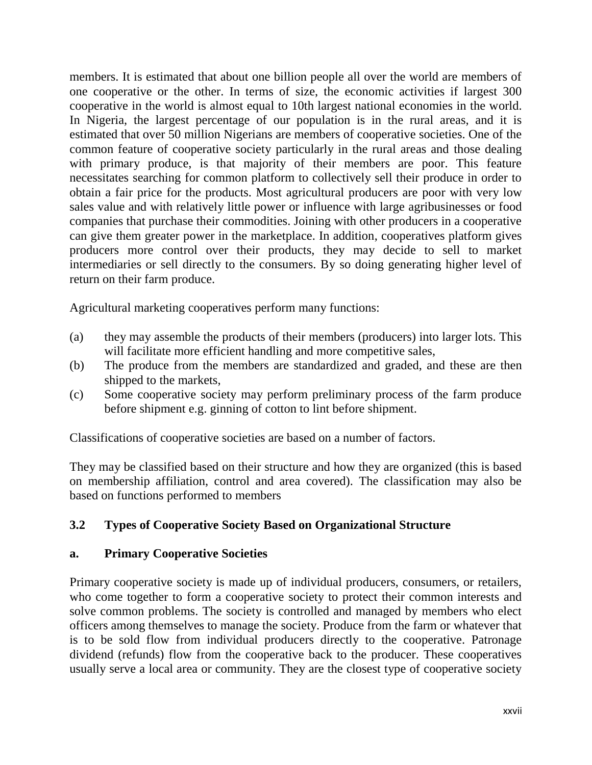members. It is estimated that about one billion people all over the world are members of one cooperative or the other. In terms of size, the economic activities if largest 300 cooperative in the world is almost equal to 10th largest national economies in the world. In Nigeria, the largest percentage of our population is in the rural areas, and it is estimated that over 50 million Nigerians are members of cooperative societies. One of the common feature of cooperative society particularly in the rural areas and those dealing with primary produce, is that majority of their members are poor. This feature necessitates searching for common platform to collectively sell their produce in order to obtain a fair price for the products. Most agricultural producers are poor with very low sales value and with relatively little power or influence with large agribusinesses or food companies that purchase their commodities. Joining with other producers in a cooperative can give them greater power in the marketplace. In addition, cooperatives platform gives producers more control over their products, they may decide to sell to market intermediaries or sell directly to the consumers. By so doing generating higher level of return on their farm produce.

Agricultural marketing cooperatives perform many functions:

- (a) they may assemble the products of their members (producers) into larger lots. This will facilitate more efficient handling and more competitive sales,
- (b) The produce from the members are standardized and graded, and these are then shipped to the markets,
- (c) Some cooperative society may perform preliminary process of the farm produce before shipment e.g. ginning of cotton to lint before shipment.

Classifications of cooperative societies are based on a number of factors.

They may be classified based on their structure and how they are organized (this is based on membership affiliation, control and area covered). The classification may also be based on functions performed to members

### **3.2 Types of Cooperative Society Based on Organizational Structure**

### **a. Primary Cooperative Societies**

Primary cooperative society is made up of individual producers, consumers, or retailers, who come together to form a cooperative society to protect their common interests and solve common problems. The society is controlled and managed by members who elect officers among themselves to manage the society. Produce from the farm or whatever that is to be sold flow from individual producers directly to the cooperative. Patronage dividend (refunds) flow from the cooperative back to the producer. These cooperatives usually serve a local area or community. They are the closest type of cooperative society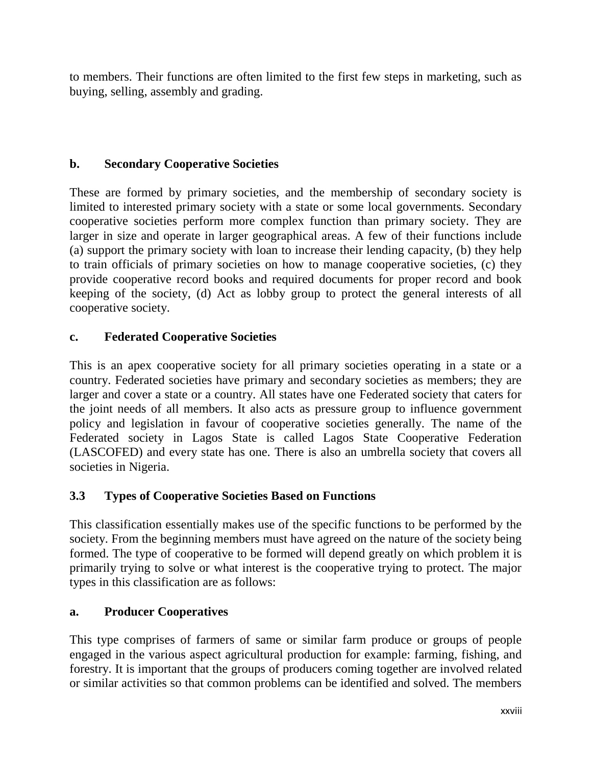to members. Their functions are often limited to the first few steps in marketing, such as buying, selling, assembly and grading.

### **b. Secondary Cooperative Societies**

These are formed by primary societies, and the membership of secondary society is limited to interested primary society with a state or some local governments. Secondary cooperative societies perform more complex function than primary society. They are larger in size and operate in larger geographical areas. A few of their functions include (a) support the primary society with loan to increase their lending capacity, (b) they help to train officials of primary societies on how to manage cooperative societies, (c) they provide cooperative record books and required documents for proper record and book keeping of the society, (d) Act as lobby group to protect the general interests of all cooperative society.

### **c. Federated Cooperative Societies**

This is an apex cooperative society for all primary societies operating in a state or a country. Federated societies have primary and secondary societies as members; they are larger and cover a state or a country. All states have one Federated society that caters for the joint needs of all members. It also acts as pressure group to influence government policy and legislation in favour of cooperative societies generally. The name of the Federated society in Lagos State is called Lagos State Cooperative Federation (LASCOFED) and every state has one. There is also an umbrella society that covers all societies in Nigeria.

### **3.3 Types of Cooperative Societies Based on Functions**

This classification essentially makes use of the specific functions to be performed by the society. From the beginning members must have agreed on the nature of the society being formed. The type of cooperative to be formed will depend greatly on which problem it is primarily trying to solve or what interest is the cooperative trying to protect. The major types in this classification are as follows:

### **a. Producer Cooperatives**

This type comprises of farmers of same or similar farm produce or groups of people engaged in the various aspect agricultural production for example: farming, fishing, and forestry. It is important that the groups of producers coming together are involved related or similar activities so that common problems can be identified and solved. The members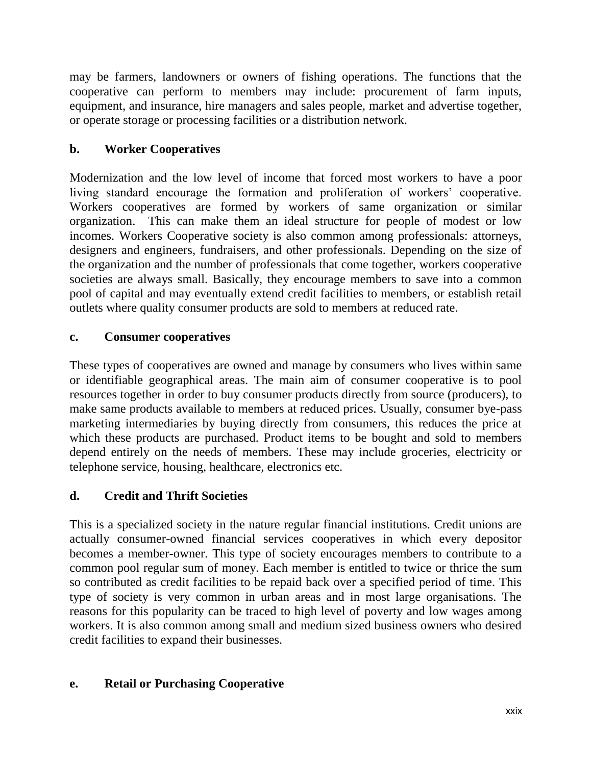may be farmers, landowners or owners of fishing operations. The functions that the cooperative can perform to members may include: procurement of farm inputs, equipment, and insurance, hire managers and sales people, market and advertise together, or operate storage or processing facilities or a distribution network.

# **b. Worker Cooperatives**

Modernization and the low level of income that forced most workers to have a poor living standard encourage the formation and proliferation of workers' cooperative. Workers cooperatives are formed by workers of same organization or similar organization. This can make them an ideal structure for people of modest or low incomes. Workers Cooperative society is also common among professionals: attorneys, designers and engineers, fundraisers, and other professionals. Depending on the size of the organization and the number of professionals that come together, workers cooperative societies are always small. Basically, they encourage members to save into a common pool of capital and may eventually extend credit facilities to members, or establish retail outlets where quality consumer products are sold to members at reduced rate.

### **c. Consumer cooperatives**

These types of cooperatives are owned and manage by consumers who lives within same or identifiable geographical areas. The main aim of consumer cooperative is to pool resources together in order to buy consumer products directly from source (producers), to make same products available to members at reduced prices. Usually, consumer bye-pass marketing intermediaries by buying directly from consumers, this reduces the price at which these products are purchased. Product items to be bought and sold to members depend entirely on the needs of members. These may include groceries, electricity or telephone service, housing, healthcare, electronics etc.

### **d. Credit and Thrift Societies**

This is a specialized society in the nature regular financial institutions. Credit unions are actually consumer-owned financial services cooperatives in which every depositor becomes a member-owner. This type of society encourages members to contribute to a common pool regular sum of money. Each member is entitled to twice or thrice the sum so contributed as credit facilities to be repaid back over a specified period of time. This type of society is very common in urban areas and in most large organisations. The reasons for this popularity can be traced to high level of poverty and low wages among workers. It is also common among small and medium sized business owners who desired credit facilities to expand their businesses.

### **e. Retail or Purchasing Cooperative**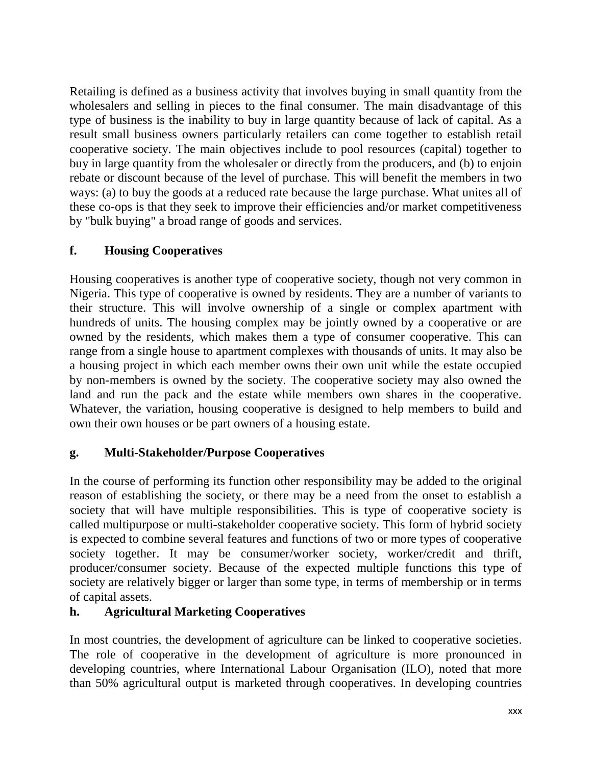Retailing is defined as a business activity that involves buying in small quantity from the wholesalers and selling in pieces to the final consumer. The main disadvantage of this type of business is the inability to buy in large quantity because of lack of capital. As a result small business owners particularly retailers can come together to establish retail cooperative society. The main objectives include to pool resources (capital) together to buy in large quantity from the wholesaler or directly from the producers, and (b) to enjoin rebate or discount because of the level of purchase. This will benefit the members in two ways: (a) to buy the goods at a reduced rate because the large purchase. What unites all of these co-ops is that they seek to improve their efficiencies and/or market competitiveness by "bulk buying" a broad range of goods and services.

### **f. Housing Cooperatives**

Housing cooperatives is another type of cooperative society, though not very common in Nigeria. This type of cooperative is owned by residents. They are a number of variants to their structure. This will involve ownership of a single or complex apartment with hundreds of units. The housing complex may be jointly owned by a cooperative or are owned by the residents, which makes them a type of consumer cooperative. This can range from a single house to apartment complexes with thousands of units. It may also be a housing project in which each member owns their own unit while the estate occupied by non-members is owned by the society. The cooperative society may also owned the land and run the pack and the estate while members own shares in the cooperative. Whatever, the variation, housing cooperative is designed to help members to build and own their own houses or be part owners of a housing estate.

### **g. Multi-Stakeholder/Purpose Cooperatives**

In the course of performing its function other responsibility may be added to the original reason of establishing the society, or there may be a need from the onset to establish a society that will have multiple responsibilities. This is type of cooperative society is called multipurpose or multi-stakeholder cooperative society. This form of hybrid society is expected to combine several features and functions of two or more types of cooperative society together. It may be consumer/worker society, worker/credit and thrift, producer/consumer society. Because of the expected multiple functions this type of society are relatively bigger or larger than some type, in terms of membership or in terms of capital assets.

### **h. Agricultural Marketing Cooperatives**

In most countries, the development of agriculture can be linked to cooperative societies. The role of cooperative in the development of agriculture is more pronounced in developing countries, where International Labour Organisation (ILO), noted that more than 50% agricultural output is marketed through cooperatives. In developing countries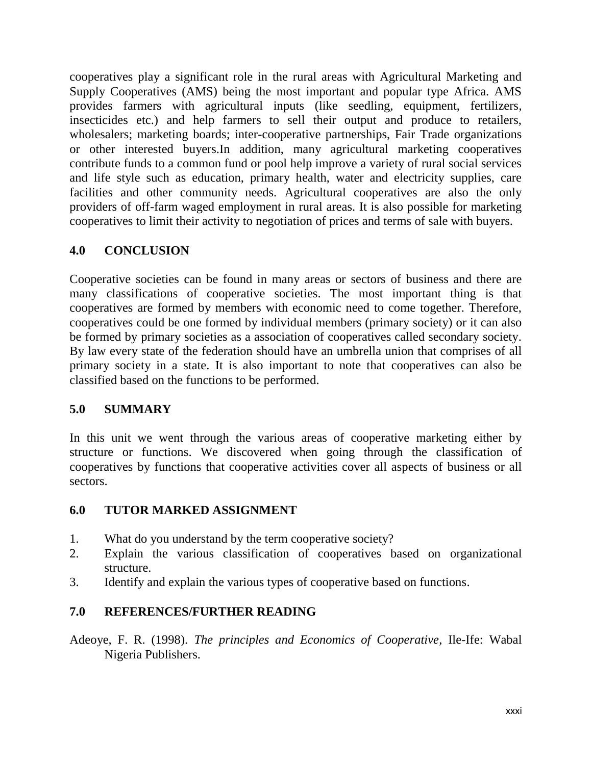cooperatives play a significant role in the rural areas with Agricultural Marketing and Supply Cooperatives (AMS) being the most important and popular type Africa. AMS provides farmers with agricultural inputs (like seedling, equipment, fertilizers, insecticides etc.) and help farmers to sell their output and produce to retailers, wholesalers; marketing boards; inter-cooperative partnerships, Fair Trade organizations or other interested buyers.In addition, many agricultural marketing cooperatives contribute funds to a common fund or pool help improve a variety of rural social services and life style such as education, primary health, water and electricity supplies, care facilities and other community needs. Agricultural cooperatives are also the only providers of off-farm waged employment in rural areas. It is also possible for marketing cooperatives to limit their activity to negotiation of prices and terms of sale with buyers.

### **4.0 CONCLUSION**

Cooperative societies can be found in many areas or sectors of business and there are many classifications of cooperative societies. The most important thing is that cooperatives are formed by members with economic need to come together. Therefore, cooperatives could be one formed by individual members (primary society) or it can also be formed by primary societies as a association of cooperatives called secondary society. By law every state of the federation should have an umbrella union that comprises of all primary society in a state. It is also important to note that cooperatives can also be classified based on the functions to be performed.

### **5.0 SUMMARY**

In this unit we went through the various areas of cooperative marketing either by structure or functions. We discovered when going through the classification of cooperatives by functions that cooperative activities cover all aspects of business or all sectors.

### **6.0 TUTOR MARKED ASSIGNMENT**

- 1. What do you understand by the term cooperative society?
- 2. Explain the various classification of cooperatives based on organizational structure.
- 3. Identify and explain the various types of cooperative based on functions.

### **7.0 REFERENCES/FURTHER READING**

Adeoye, F. R. (1998). *The principles and Economics of Cooperative*, Ile-Ife: Wabal Nigeria Publishers.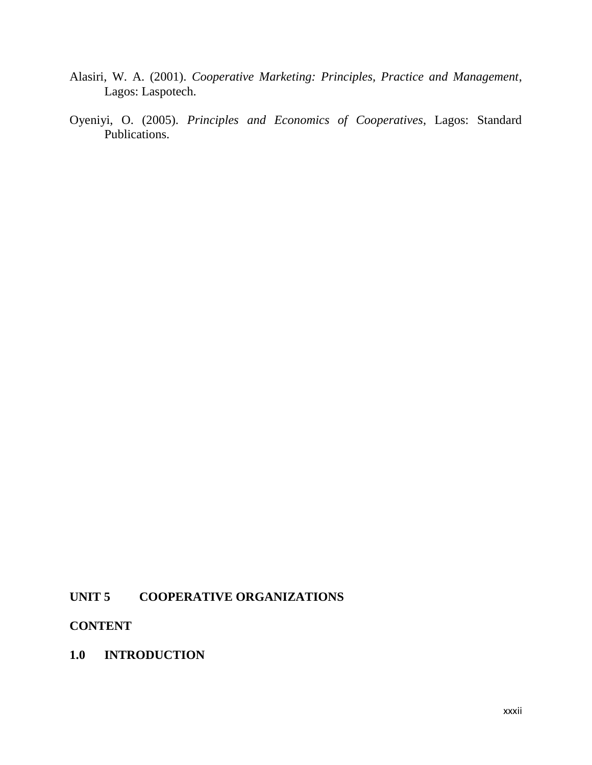- Alasiri, W. A. (2001). *Cooperative Marketing: Principles, Practice and Management*, Lagos: Laspotech.
- Oyeniyi, O. (2005). *Principles and Economics of Cooperatives*, Lagos: Standard  $\left($ Publications.

### **UNIT 5 COOPERATIVE ORGANIZATIONS**

#### **CONTENT**

**1.0 INTRODUCTION**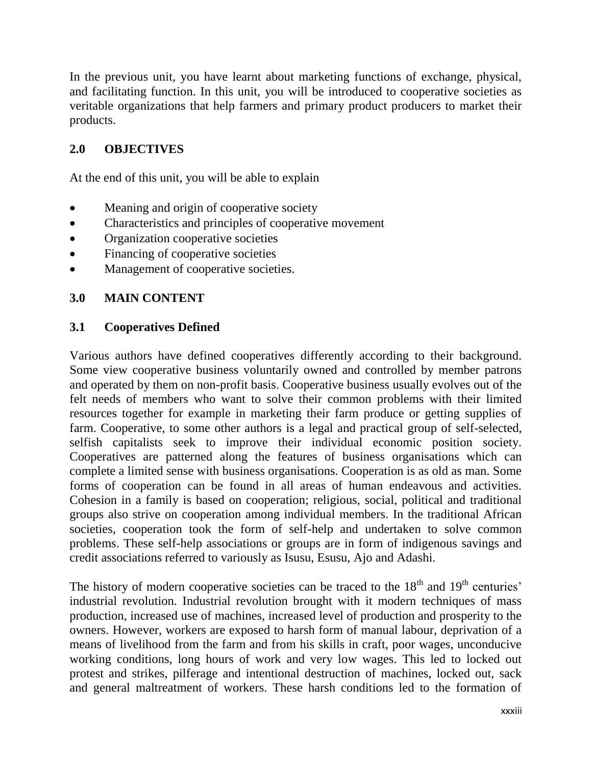In the previous unit, you have learnt about marketing functions of exchange, physical, and facilitating function. In this unit, you will be introduced to cooperative societies as veritable organizations that help farmers and primary product producers to market their products.

### **2.0 OBJECTIVES**

At the end of this unit, you will be able to explain

- Meaning and origin of cooperative society
- Characteristics and principles of cooperative movement
- Organization cooperative societies
- Financing of cooperative societies
- Management of cooperative societies.

### **3.0 MAIN CONTENT**

### **3.1 Cooperatives Defined**

Various authors have defined cooperatives differently according to their background. Some view cooperative business voluntarily owned and controlled by member patrons and operated by them on non-profit basis. Cooperative business usually evolves out of the felt needs of members who want to solve their common problems with their limited resources together for example in marketing their farm produce or getting supplies of farm. Cooperative, to some other authors is a legal and practical group of self-selected, selfish capitalists seek to improve their individual economic position society. Cooperatives are patterned along the features of business organisations which can complete a limited sense with business organisations. Cooperation is as old as man. Some forms of cooperation can be found in all areas of human endeavous and activities. Cohesion in a family is based on cooperation; religious, social, political and traditional groups also strive on cooperation among individual members. In the traditional African societies, cooperation took the form of self-help and undertaken to solve common problems. These self-help associations or groups are in form of indigenous savings and credit associations referred to variously as Isusu, Esusu, Ajo and Adashi.

The history of modern cooperative societies can be traced to the  $18<sup>th</sup>$  and  $19<sup>th</sup>$  centuries' industrial revolution. Industrial revolution brought with it modern techniques of mass production, increased use of machines, increased level of production and prosperity to the owners. However, workers are exposed to harsh form of manual labour, deprivation of a means of livelihood from the farm and from his skills in craft, poor wages, unconducive working conditions, long hours of work and very low wages. This led to locked out protest and strikes, pilferage and intentional destruction of machines, locked out, sack and general maltreatment of workers. These harsh conditions led to the formation of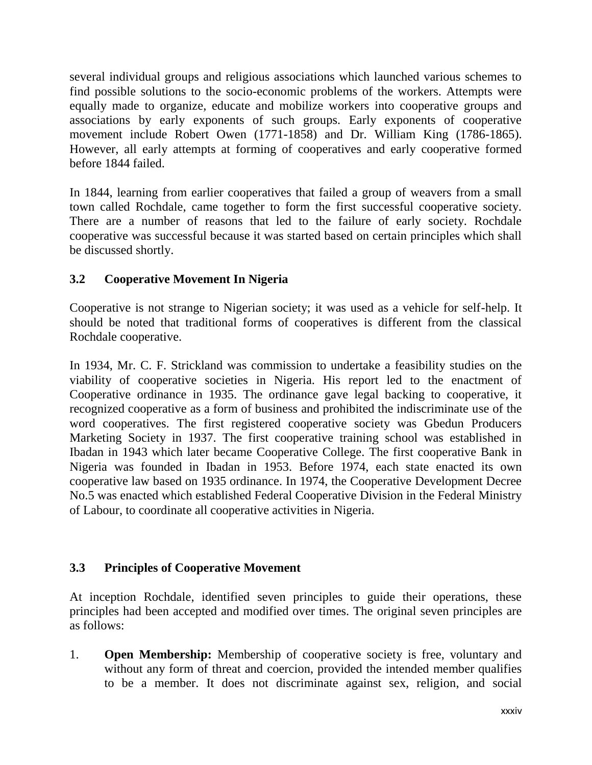several individual groups and religious associations which launched various schemes to find possible solutions to the socio-economic problems of the workers. Attempts were equally made to organize, educate and mobilize workers into cooperative groups and associations by early exponents of such groups. Early exponents of cooperative movement include Robert Owen (1771-1858) and Dr. William King (1786-1865). However, all early attempts at forming of cooperatives and early cooperative formed before 1844 failed.

In 1844, learning from earlier cooperatives that failed a group of weavers from a small town called Rochdale, came together to form the first successful cooperative society. There are a number of reasons that led to the failure of early society. Rochdale cooperative was successful because it was started based on certain principles which shall be discussed shortly.

## **3.2 Cooperative Movement In Nigeria**

Cooperative is not strange to Nigerian society; it was used as a vehicle for self-help. It should be noted that traditional forms of cooperatives is different from the classical Rochdale cooperative.

In 1934, Mr. C. F. Strickland was commission to undertake a feasibility studies on the viability of cooperative societies in Nigeria. His report led to the enactment of Cooperative ordinance in 1935. The ordinance gave legal backing to cooperative, it recognized cooperative as a form of business and prohibited the indiscriminate use of the word cooperatives. The first registered cooperative society was Gbedun Producers Marketing Society in 1937. The first cooperative training school was established in Ibadan in 1943 which later became Cooperative College. The first cooperative Bank in Nigeria was founded in Ibadan in 1953. Before 1974, each state enacted its own cooperative law based on 1935 ordinance. In 1974, the Cooperative Development Decree No.5 was enacted which established Federal Cooperative Division in the Federal Ministry of Labour, to coordinate all cooperative activities in Nigeria.

## **3.3 Principles of Cooperative Movement**

At inception Rochdale, identified seven principles to guide their operations, these principles had been accepted and modified over times. The original seven principles are as follows:

1. **Open Membership:** Membership of cooperative society is free, voluntary and without any form of threat and coercion, provided the intended member qualifies to be a member. It does not discriminate against sex, religion, and social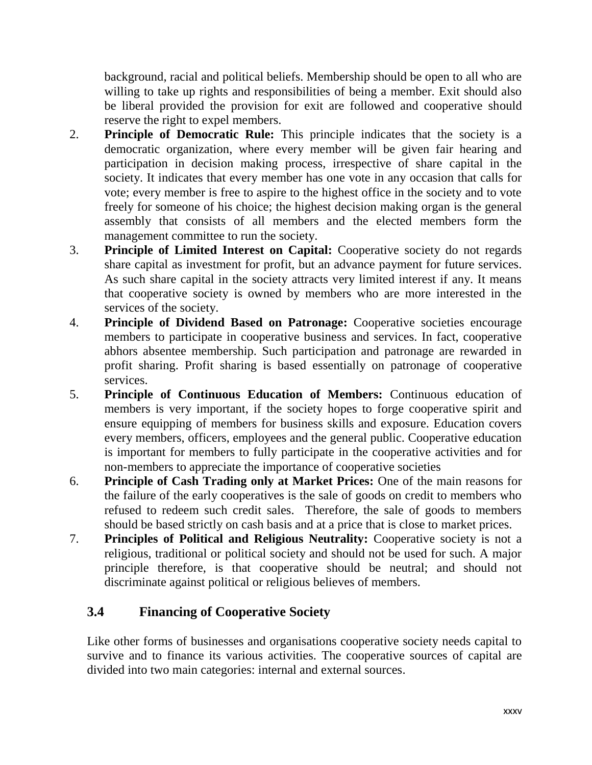background, racial and political beliefs. Membership should be open to all who are willing to take up rights and responsibilities of being a member. Exit should also be liberal provided the provision for exit are followed and cooperative should reserve the right to expel members.

- 2. **Principle of Democratic Rule:** This principle indicates that the society is a democratic organization, where every member will be given fair hearing and participation in decision making process, irrespective of share capital in the society. It indicates that every member has one vote in any occasion that calls for vote; every member is free to aspire to the highest office in the society and to vote freely for someone of his choice; the highest decision making organ is the general assembly that consists of all members and the elected members form the management committee to run the society.
- 3. **Principle of Limited Interest on Capital:** Cooperative society do not regards share capital as investment for profit, but an advance payment for future services. As such share capital in the society attracts very limited interest if any. It means that cooperative society is owned by members who are more interested in the services of the society.
- 4. **Principle of Dividend Based on Patronage:** Cooperative societies encourage members to participate in cooperative business and services. In fact, cooperative abhors absentee membership. Such participation and patronage are rewarded in profit sharing. Profit sharing is based essentially on patronage of cooperative services.
- 5. **Principle of Continuous Education of Members:** Continuous education of members is very important, if the society hopes to forge cooperative spirit and ensure equipping of members for business skills and exposure. Education covers every members, officers, employees and the general public. Cooperative education is important for members to fully participate in the cooperative activities and for non-members to appreciate the importance of cooperative societies
- 6. **Principle of Cash Trading only at Market Prices:** One of the main reasons for the failure of the early cooperatives is the sale of goods on credit to members who refused to redeem such credit sales. Therefore, the sale of goods to members should be based strictly on cash basis and at a price that is close to market prices.
- 7. **Principles of Political and Religious Neutrality:** Cooperative society is not a religious, traditional or political society and should not be used for such. A major principle therefore, is that cooperative should be neutral; and should not discriminate against political or religious believes of members.

# **3.4 Financing of Cooperative Society**

Like other forms of businesses and organisations cooperative society needs capital to survive and to finance its various activities. The cooperative sources of capital are divided into two main categories: internal and external sources.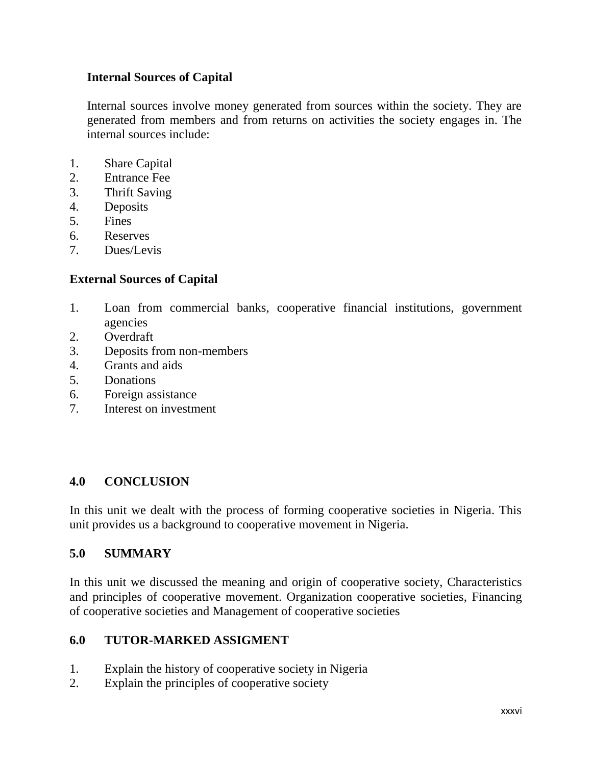#### **Internal Sources of Capital**

Internal sources involve money generated from sources within the society. They are generated from members and from returns on activities the society engages in. The internal sources include:

- 1. Share Capital
- 2. Entrance Fee
- 3. Thrift Saving
- 4. Deposits
- 5. Fines
- 6. Reserves
- 7. Dues/Levis

#### **External Sources of Capital**

- 1. Loan from commercial banks, cooperative financial institutions, government agencies
- 2. Overdraft
- 3. Deposits from non-members
- 4. Grants and aids
- 5. Donations
- 6. Foreign assistance
- 7. Interest on investment

#### **4.0 CONCLUSION**

In this unit we dealt with the process of forming cooperative societies in Nigeria. This unit provides us a background to cooperative movement in Nigeria.

#### **5.0 SUMMARY**

In this unit we discussed the meaning and origin of cooperative society, Characteristics and principles of cooperative movement. Organization cooperative societies, Financing of cooperative societies and Management of cooperative societies

#### **6.0 TUTOR-MARKED ASSIGMENT**

- 1. Explain the history of cooperative society in Nigeria
- 2. Explain the principles of cooperative society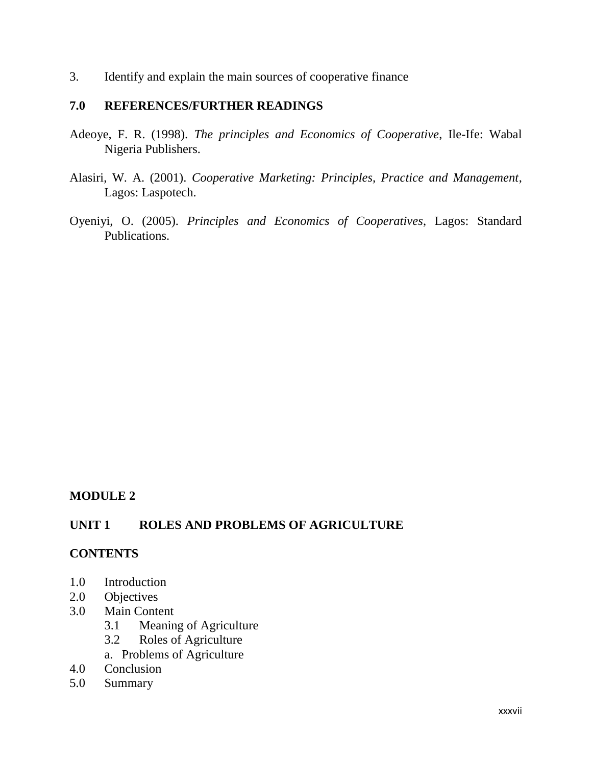3. Identify and explain the main sources of cooperative finance

#### **7.0 REFERENCES/FURTHER READINGS**

- Adeoye, F. R. (1998). *The principles and Economics of Cooperative*, Ile-Ife: Wabal Nigeria Publishers.
- Alasiri, W. A. (2001). *Cooperative Marketing: Principles, Practice and Management*, Lagos: Laspotech.
- Oyeniyi, O. (2005). *Principles and Economics of Cooperatives*, Lagos: Standard Publications.

#### **MODULE 2**

#### **UNIT 1 ROLES AND PROBLEMS OF AGRICULTURE**

#### **CONTENTS**

- 1.0 Introduction
- 2.0 Objectives
- 3.0 Main Content
	- 3.1 Meaning of Agriculture
	- 3.2 Roles of Agriculture
	- a. Problems of Agriculture
- 4.0 Conclusion
- 5.0 Summary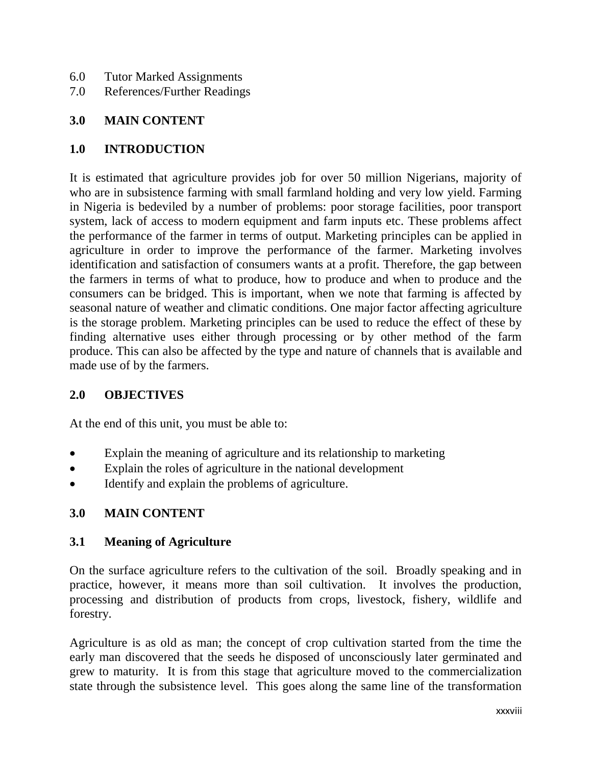- 6.0 Tutor Marked Assignments
- 7.0 References/Further Readings

#### **3.0 MAIN CONTENT**

#### **1.0 INTRODUCTION**

It is estimated that agriculture provides job for over 50 million Nigerians, majority of who are in subsistence farming with small farmland holding and very low yield. Farming in Nigeria is bedeviled by a number of problems: poor storage facilities, poor transport system, lack of access to modern equipment and farm inputs etc. These problems affect the performance of the farmer in terms of output. Marketing principles can be applied in agriculture in order to improve the performance of the farmer. Marketing involves identification and satisfaction of consumers wants at a profit. Therefore, the gap between the farmers in terms of what to produce, how to produce and when to produce and the consumers can be bridged. This is important, when we note that farming is affected by seasonal nature of weather and climatic conditions. One major factor affecting agriculture is the storage problem. Marketing principles can be used to reduce the effect of these by finding alternative uses either through processing or by other method of the farm produce. This can also be affected by the type and nature of channels that is available and made use of by the farmers.

#### **2.0 OBJECTIVES**

At the end of this unit, you must be able to:

- Explain the meaning of agriculture and its relationship to marketing
- Explain the roles of agriculture in the national development
- Identify and explain the problems of agriculture.

## **3.0 MAIN CONTENT**

#### **3.1 Meaning of Agriculture**

On the surface agriculture refers to the cultivation of the soil. Broadly speaking and in practice, however, it means more than soil cultivation. It involves the production, processing and distribution of products from crops, livestock, fishery, wildlife and forestry.

Agriculture is as old as man; the concept of crop cultivation started from the time the early man discovered that the seeds he disposed of unconsciously later germinated and grew to maturity. It is from this stage that agriculture moved to the commercialization state through the subsistence level. This goes along the same line of the transformation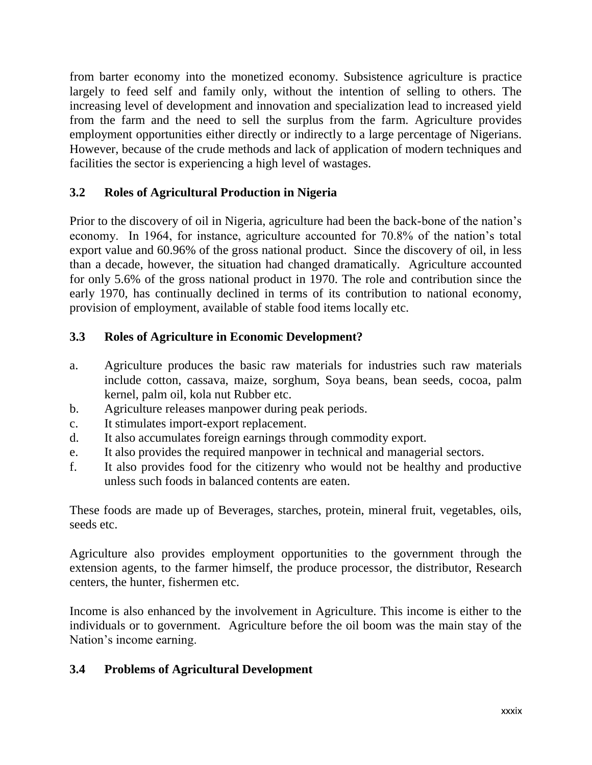from barter economy into the monetized economy. Subsistence agriculture is practice largely to feed self and family only, without the intention of selling to others. The increasing level of development and innovation and specialization lead to increased yield from the farm and the need to sell the surplus from the farm. Agriculture provides employment opportunities either directly or indirectly to a large percentage of Nigerians. However, because of the crude methods and lack of application of modern techniques and facilities the sector is experiencing a high level of wastages.

## **3.2 Roles of Agricultural Production in Nigeria**

Prior to the discovery of oil in Nigeria, agriculture had been the back-bone of the nation"s economy. In 1964, for instance, agriculture accounted for 70.8% of the nation"s total export value and 60.96% of the gross national product. Since the discovery of oil, in less than a decade, however, the situation had changed dramatically. Agriculture accounted for only 5.6% of the gross national product in 1970. The role and contribution since the early 1970, has continually declined in terms of its contribution to national economy, provision of employment, available of stable food items locally etc.

## **3.3 Roles of Agriculture in Economic Development?**

- a. Agriculture produces the basic raw materials for industries such raw materials include cotton, cassava, maize, sorghum, Soya beans, bean seeds, cocoa, palm kernel, palm oil, kola nut Rubber etc.
- b. Agriculture releases manpower during peak periods.
- c. It stimulates import-export replacement.
- d. It also accumulates foreign earnings through commodity export.
- e. It also provides the required manpower in technical and managerial sectors.
- f. It also provides food for the citizenry who would not be healthy and productive unless such foods in balanced contents are eaten.

These foods are made up of Beverages, starches, protein, mineral fruit, vegetables, oils, seeds etc.

Agriculture also provides employment opportunities to the government through the extension agents, to the farmer himself, the produce processor, the distributor, Research centers, the hunter, fishermen etc.

Income is also enhanced by the involvement in Agriculture. This income is either to the individuals or to government. Agriculture before the oil boom was the main stay of the Nation"s income earning.

## **3.4 Problems of Agricultural Development**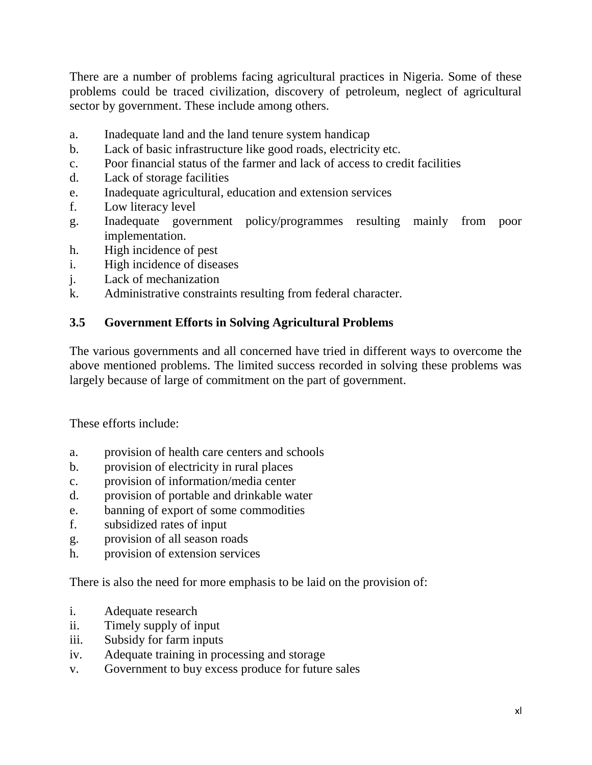There are a number of problems facing agricultural practices in Nigeria. Some of these problems could be traced civilization, discovery of petroleum, neglect of agricultural sector by government. These include among others.

- a. Inadequate land and the land tenure system handicap
- b. Lack of basic infrastructure like good roads, electricity etc.
- c. Poor financial status of the farmer and lack of access to credit facilities
- d. Lack of storage facilities
- e. Inadequate agricultural, education and extension services
- f. Low literacy level
- g. Inadequate government policy/programmes resulting mainly from poor implementation.
- h. High incidence of pest
- i. High incidence of diseases
- j. Lack of mechanization
- k. Administrative constraints resulting from federal character.

## **3.5 Government Efforts in Solving Agricultural Problems**

The various governments and all concerned have tried in different ways to overcome the above mentioned problems. The limited success recorded in solving these problems was largely because of large of commitment on the part of government.

These efforts include:

- a. provision of health care centers and schools
- b. provision of electricity in rural places
- c. provision of information/media center
- d. provision of portable and drinkable water
- e. banning of export of some commodities
- f. subsidized rates of input
- g. provision of all season roads
- h. provision of extension services

There is also the need for more emphasis to be laid on the provision of:

- i. Adequate research
- ii. Timely supply of input
- iii. Subsidy for farm inputs
- iv. Adequate training in processing and storage
- v. Government to buy excess produce for future sales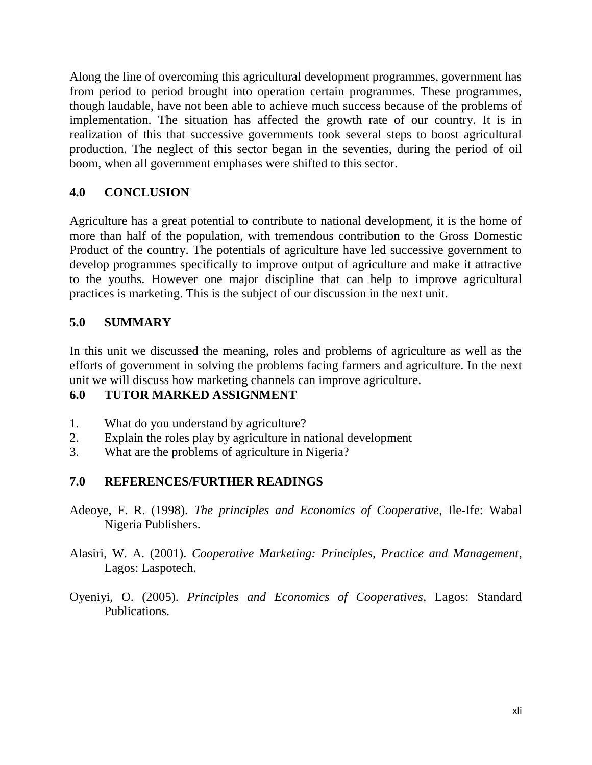Along the line of overcoming this agricultural development programmes, government has from period to period brought into operation certain programmes. These programmes, though laudable, have not been able to achieve much success because of the problems of implementation. The situation has affected the growth rate of our country. It is in realization of this that successive governments took several steps to boost agricultural production. The neglect of this sector began in the seventies, during the period of oil boom, when all government emphases were shifted to this sector.

## **4.0 CONCLUSION**

Agriculture has a great potential to contribute to national development, it is the home of more than half of the population, with tremendous contribution to the Gross Domestic Product of the country. The potentials of agriculture have led successive government to develop programmes specifically to improve output of agriculture and make it attractive to the youths. However one major discipline that can help to improve agricultural practices is marketing. This is the subject of our discussion in the next unit.

#### **5.0 SUMMARY**

In this unit we discussed the meaning, roles and problems of agriculture as well as the efforts of government in solving the problems facing farmers and agriculture. In the next unit we will discuss how marketing channels can improve agriculture.

## **6.0 TUTOR MARKED ASSIGNMENT**

- 1. What do you understand by agriculture?
- 2. Explain the roles play by agriculture in national development
- 3. What are the problems of agriculture in Nigeria?

#### **7.0 REFERENCES/FURTHER READINGS**

- Adeoye, F. R. (1998). *The principles and Economics of Cooperative*, Ile-Ife: Wabal Nigeria Publishers.
- Alasiri, W. A. (2001). *Cooperative Marketing: Principles, Practice and Management*, Lagos: Laspotech.
- Oyeniyi, O. (2005). *Principles and Economics of Cooperatives*, Lagos: Standard Publications.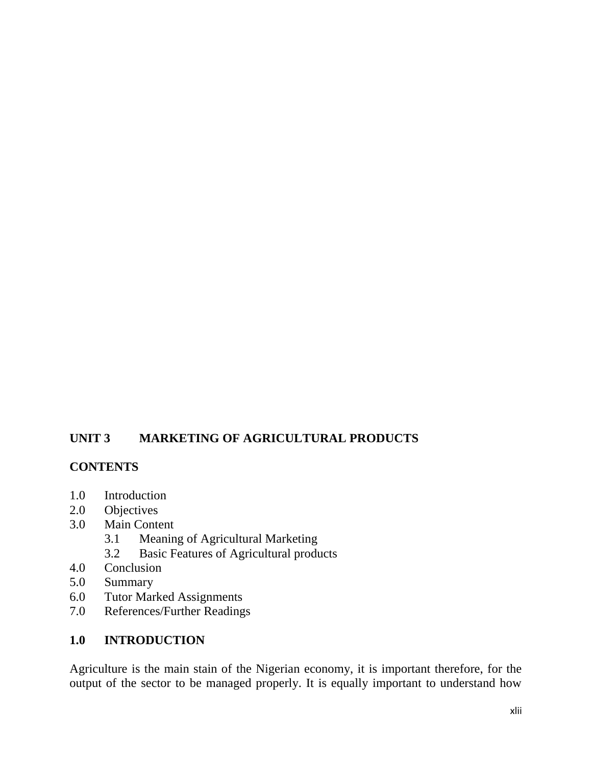#### **UNIT 3 MARKETING OF AGRICULTURAL PRODUCTS**

#### **CONTENTS**

- 1.0 Introduction
- 2.0 Objectives
- 3.0 Main Content
	- 3.1 Meaning of Agricultural Marketing
	- 3.2 Basic Features of Agricultural products
- 4.0 Conclusion
- 5.0 Summary
- 6.0 Tutor Marked Assignments
- 7.0 References/Further Readings

#### **1.0 INTRODUCTION**

Agriculture is the main stain of the Nigerian economy, it is important therefore, for the output of the sector to be managed properly. It is equally important to understand how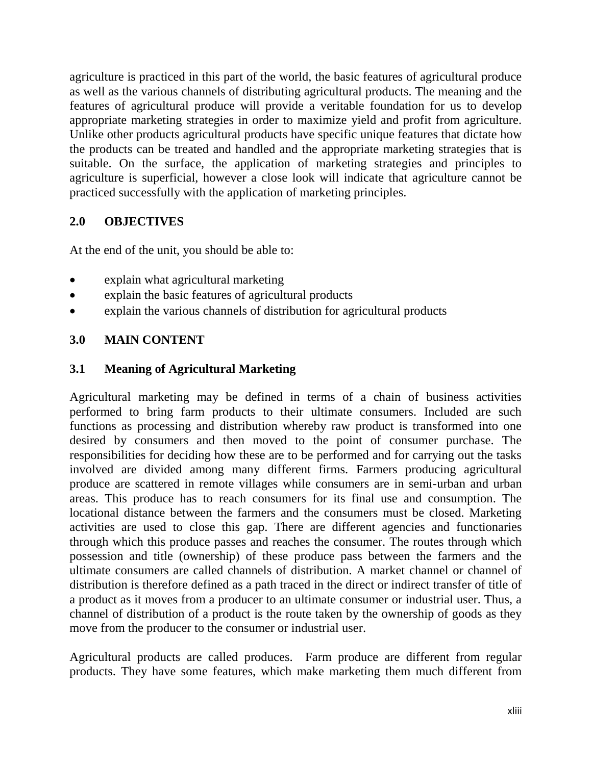agriculture is practiced in this part of the world, the basic features of agricultural produce as well as the various channels of distributing agricultural products. The meaning and the features of agricultural produce will provide a veritable foundation for us to develop appropriate marketing strategies in order to maximize yield and profit from agriculture. Unlike other products agricultural products have specific unique features that dictate how the products can be treated and handled and the appropriate marketing strategies that is suitable. On the surface, the application of marketing strategies and principles to agriculture is superficial, however a close look will indicate that agriculture cannot be practiced successfully with the application of marketing principles.

#### **2.0 OBJECTIVES**

At the end of the unit, you should be able to:

- explain what agricultural marketing
- explain the basic features of agricultural products
- explain the various channels of distribution for agricultural products

## **3.0 MAIN CONTENT**

#### **3.1 Meaning of Agricultural Marketing**

Agricultural marketing may be defined in terms of a chain of business activities performed to bring farm products to their ultimate consumers. Included are such functions as processing and distribution whereby raw product is transformed into one desired by consumers and then moved to the point of consumer purchase. The responsibilities for deciding how these are to be performed and for carrying out the tasks involved are divided among many different firms. Farmers producing agricultural produce are scattered in remote villages while consumers are in semi-urban and urban areas. This produce has to reach consumers for its final use and consumption. The locational distance between the farmers and the consumers must be closed. Marketing activities are used to close this gap. There are different agencies and functionaries through which this produce passes and reaches the consumer. The routes through which possession and title (ownership) of these produce pass between the farmers and the ultimate consumers are called channels of distribution. A market channel or channel of distribution is therefore defined as a path traced in the direct or indirect transfer of title of a product as it moves from a producer to an ultimate consumer or industrial user. Thus, a channel of distribution of a product is the route taken by the ownership of goods as they move from the producer to the consumer or industrial user.

Agricultural products are called produces. Farm produce are different from regular products. They have some features, which make marketing them much different from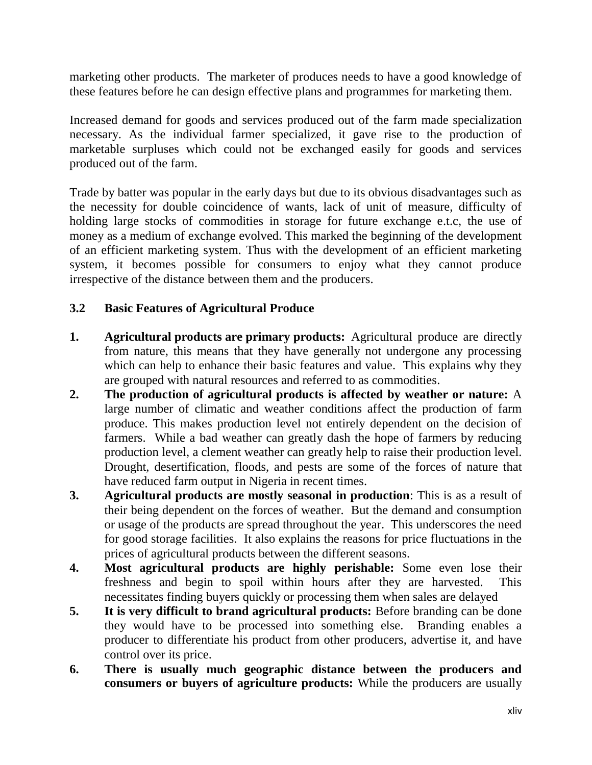marketing other products. The marketer of produces needs to have a good knowledge of these features before he can design effective plans and programmes for marketing them.

Increased demand for goods and services produced out of the farm made specialization necessary. As the individual farmer specialized, it gave rise to the production of marketable surpluses which could not be exchanged easily for goods and services produced out of the farm.

Trade by batter was popular in the early days but due to its obvious disadvantages such as the necessity for double coincidence of wants, lack of unit of measure, difficulty of holding large stocks of commodities in storage for future exchange e.t.c, the use of money as a medium of exchange evolved. This marked the beginning of the development of an efficient marketing system. Thus with the development of an efficient marketing system, it becomes possible for consumers to enjoy what they cannot produce irrespective of the distance between them and the producers.

#### **3.2 Basic Features of Agricultural Produce**

- **1. Agricultural products are primary products:** Agricultural produce are directly from nature, this means that they have generally not undergone any processing which can help to enhance their basic features and value. This explains why they are grouped with natural resources and referred to as commodities.
- **2. The production of agricultural products is affected by weather or nature:** A large number of climatic and weather conditions affect the production of farm produce. This makes production level not entirely dependent on the decision of farmers. While a bad weather can greatly dash the hope of farmers by reducing production level, a clement weather can greatly help to raise their production level. Drought, desertification, floods, and pests are some of the forces of nature that have reduced farm output in Nigeria in recent times.
- **3. Agricultural products are mostly seasonal in production**: This is as a result of their being dependent on the forces of weather. But the demand and consumption or usage of the products are spread throughout the year. This underscores the need for good storage facilities. It also explains the reasons for price fluctuations in the prices of agricultural products between the different seasons.
- **4. Most agricultural products are highly perishable:** Some even lose their freshness and begin to spoil within hours after they are harvested. This necessitates finding buyers quickly or processing them when sales are delayed
- **5. It is very difficult to brand agricultural products:** Before branding can be done they would have to be processed into something else. Branding enables a producer to differentiate his product from other producers, advertise it, and have control over its price.
- **6. There is usually much geographic distance between the producers and consumers or buyers of agriculture products:** While the producers are usually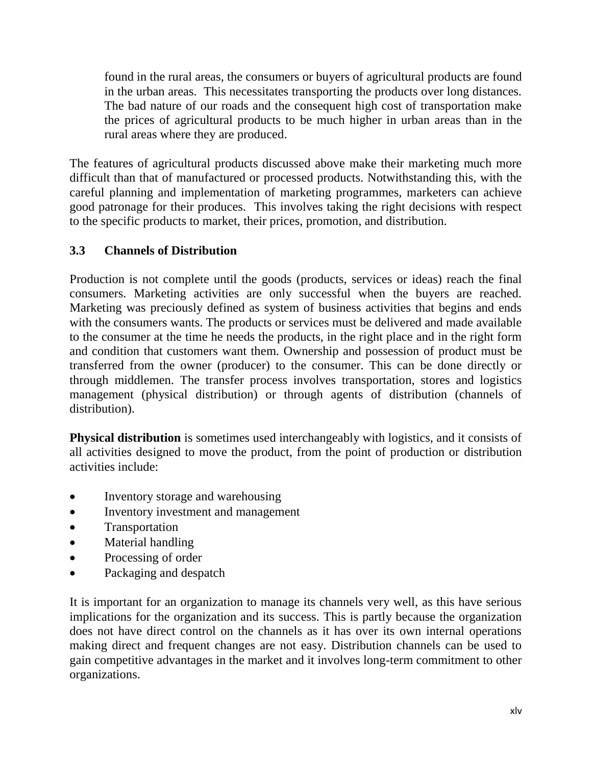found in the rural areas, the consumers or buyers of agricultural products are found in the urban areas. This necessitates transporting the products over long distances. The bad nature of our roads and the consequent high cost of transportation make the prices of agricultural products to be much higher in urban areas than in the rural areas where they are produced.

The features of agricultural products discussed above make their marketing much more difficult than that of manufactured or processed products. Notwithstanding this, with the careful planning and implementation of marketing programmes, marketers can achieve good patronage for their produces. This involves taking the right decisions with respect to the specific products to market, their prices, promotion, and distribution.

## **3.3 Channels of Distribution**

Production is not complete until the goods (products, services or ideas) reach the final consumers. Marketing activities are only successful when the buyers are reached. Marketing was preciously defined as system of business activities that begins and ends with the consumers wants. The products or services must be delivered and made available to the consumer at the time he needs the products, in the right place and in the right form and condition that customers want them. Ownership and possession of product must be transferred from the owner (producer) to the consumer. This can be done directly or through middlemen. The transfer process involves transportation, stores and logistics management (physical distribution) or through agents of distribution (channels of distribution).

**Physical distribution** is sometimes used interchangeably with logistics, and it consists of all activities designed to move the product, from the point of production or distribution activities include:

- Inventory storage and warehousing
- Inventory investment and management
- Transportation
- Material handling
- Processing of order
- Packaging and despatch

It is important for an organization to manage its channels very well, as this have serious implications for the organization and its success. This is partly because the organization does not have direct control on the channels as it has over its own internal operations making direct and frequent changes are not easy. Distribution channels can be used to gain competitive advantages in the market and it involves long-term commitment to other organizations.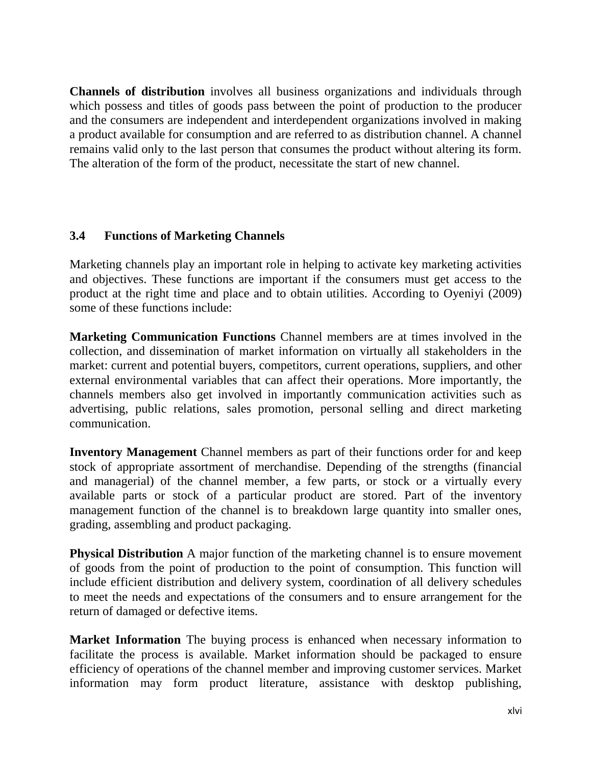**Channels of distribution** involves all business organizations and individuals through which possess and titles of goods pass between the point of production to the producer and the consumers are independent and interdependent organizations involved in making a product available for consumption and are referred to as distribution channel. A channel remains valid only to the last person that consumes the product without altering its form. The alteration of the form of the product, necessitate the start of new channel.

#### **3.4 Functions of Marketing Channels**

Marketing channels play an important role in helping to activate key marketing activities and objectives. These functions are important if the consumers must get access to the product at the right time and place and to obtain utilities. According to Oyeniyi (2009) some of these functions include:

**Marketing Communication Functions** Channel members are at times involved in the collection, and dissemination of market information on virtually all stakeholders in the market: current and potential buyers, competitors, current operations, suppliers, and other external environmental variables that can affect their operations. More importantly, the channels members also get involved in importantly communication activities such as advertising, public relations, sales promotion, personal selling and direct marketing communication.

**Inventory Management** Channel members as part of their functions order for and keep stock of appropriate assortment of merchandise. Depending of the strengths (financial and managerial) of the channel member, a few parts, or stock or a virtually every available parts or stock of a particular product are stored. Part of the inventory management function of the channel is to breakdown large quantity into smaller ones, grading, assembling and product packaging.

**Physical Distribution** A major function of the marketing channel is to ensure movement of goods from the point of production to the point of consumption. This function will include efficient distribution and delivery system, coordination of all delivery schedules to meet the needs and expectations of the consumers and to ensure arrangement for the return of damaged or defective items.

**Market Information** The buying process is enhanced when necessary information to facilitate the process is available. Market information should be packaged to ensure efficiency of operations of the channel member and improving customer services. Market information may form product literature, assistance with desktop publishing,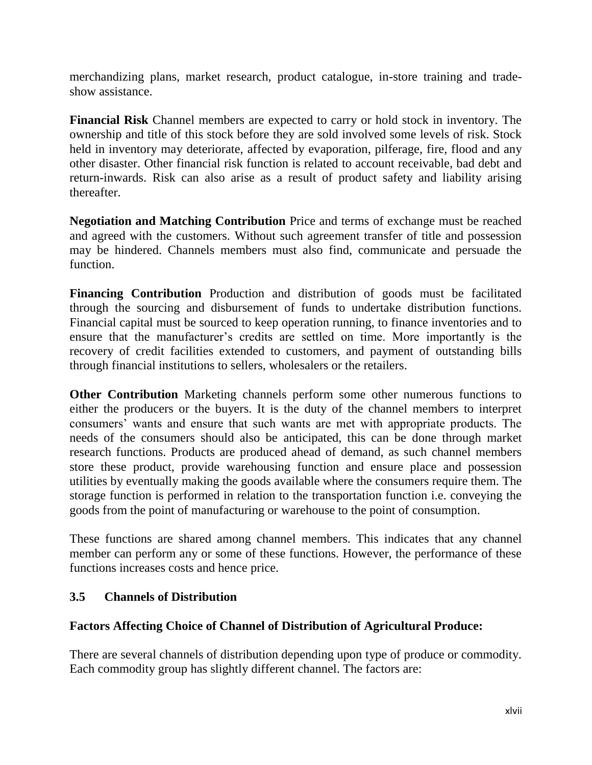merchandizing plans, market research, product catalogue, in-store training and tradeshow assistance.

**Financial Risk** Channel members are expected to carry or hold stock in inventory. The ownership and title of this stock before they are sold involved some levels of risk. Stock held in inventory may deteriorate, affected by evaporation, pilferage, fire, flood and any other disaster. Other financial risk function is related to account receivable, bad debt and return-inwards. Risk can also arise as a result of product safety and liability arising thereafter.

**Negotiation and Matching Contribution** Price and terms of exchange must be reached and agreed with the customers. Without such agreement transfer of title and possession may be hindered. Channels members must also find, communicate and persuade the function.

**Financing Contribution** Production and distribution of goods must be facilitated through the sourcing and disbursement of funds to undertake distribution functions. Financial capital must be sourced to keep operation running, to finance inventories and to ensure that the manufacturer's credits are settled on time. More importantly is the recovery of credit facilities extended to customers, and payment of outstanding bills through financial institutions to sellers, wholesalers or the retailers.

**Other Contribution** Marketing channels perform some other numerous functions to either the producers or the buyers. It is the duty of the channel members to interpret consumers" wants and ensure that such wants are met with appropriate products. The needs of the consumers should also be anticipated, this can be done through market research functions. Products are produced ahead of demand, as such channel members store these product, provide warehousing function and ensure place and possession utilities by eventually making the goods available where the consumers require them. The storage function is performed in relation to the transportation function i.e. conveying the goods from the point of manufacturing or warehouse to the point of consumption.

These functions are shared among channel members. This indicates that any channel member can perform any or some of these functions. However, the performance of these functions increases costs and hence price.

#### **3.5 Channels of Distribution**

#### **Factors Affecting Choice of Channel of Distribution of Agricultural Produce:**

There are several channels of distribution depending upon type of produce or commodity. Each commodity group has slightly different channel. The factors are: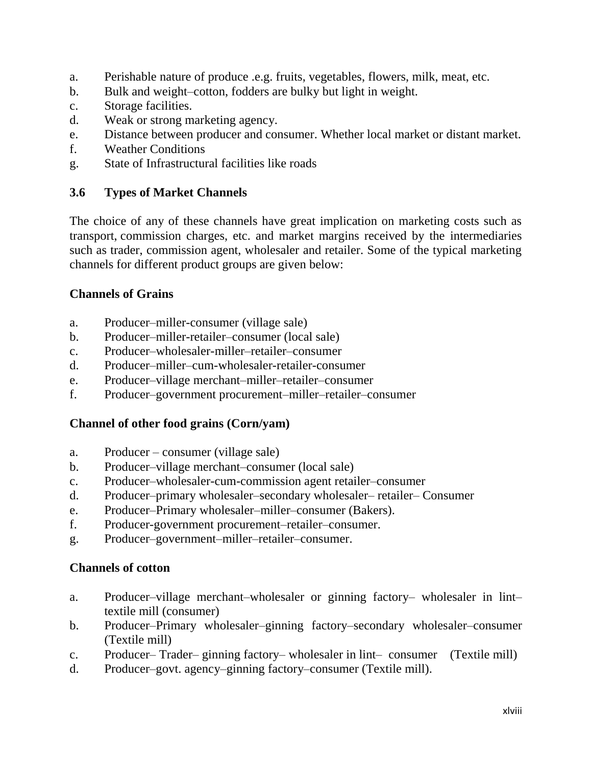- a. Perishable nature of produce .e.g. fruits, vegetables, flowers, milk, meat, etc.
- b. Bulk and weight–cotton, fodders are bulky but light in weight.
- c. Storage facilities.
- d. Weak or strong marketing agency.
- e. Distance between producer and consumer. Whether local market or distant market.
- f. Weather Conditions
- g. State of Infrastructural facilities like roads

#### **3.6 Types of Market Channels**

The choice of any of these channels have great implication on marketing costs such as transport, commission charges, etc. and market margins received by the intermediaries such as trader, commission agent, wholesaler and retailer. Some of the typical marketing channels for different product groups are given below:

#### **Channels of Grains**

- a. Producer–miller-consumer (village sale)
- b. Producer–miller-retailer–consumer (local sale)
- c. Producer–wholesaler-miller–retailer–consumer
- d. Producer–miller–cum-wholesaler-retailer-consumer
- e. Producer–village merchant–miller–retailer–consumer
- f. Producer–government procurement–miller–retailer–consumer

## **Channel of other food grains (Corn/yam)**

- a. Producer consumer (village sale)
- b. Producer–village merchant–consumer (local sale)
- c. Producer–wholesaler-cum-commission agent retailer–consumer
- d. Producer–primary wholesaler–secondary wholesaler– retailer– Consumer
- e. Producer–Primary wholesaler–miller–consumer (Bakers).
- f. Producer-government procurement–retailer–consumer.
- g. Producer–government–miller–retailer–consumer.

## **Channels of cotton**

- a. Producer–village merchant–wholesaler or ginning factory– wholesaler in lint– textile mill (consumer)
- b. Producer–Primary wholesaler–ginning factory–secondary wholesaler–consumer (Textile mill)
- c. Producer– Trader– ginning factory– wholesaler in lint– consumer (Textile mill)
- d. Producer–govt. agency–ginning factory–consumer (Textile mill).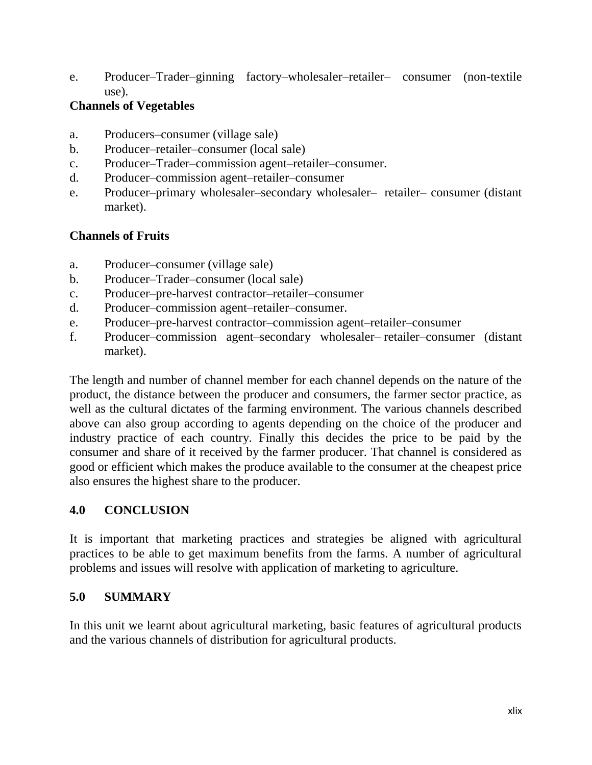e. Producer–Trader–ginning factory–wholesaler–retailer– consumer (non-textile use).

#### **Channels of Vegetables**

- a. Producers–consumer (village sale)
- b. Producer–retailer–consumer (local sale)
- c. Producer–Trader–commission agent–retailer–consumer.
- d. Producer–commission agent–retailer–consumer
- e. Producer–primary wholesaler–secondary wholesaler– retailer– consumer (distant market).

## **Channels of Fruits**

- a. Producer–consumer (village sale)
- b. Producer–Trader–consumer (local sale)
- c. Producer–pre-harvest contractor–retailer–consumer
- d. Producer–commission agent–retailer–consumer.
- e. Producer–pre-harvest contractor–commission agent–retailer–consumer
- f. Producer–commission agent–secondary wholesaler– retailer–consumer (distant market).

The length and number of channel member for each channel depends on the nature of the product, the distance between the producer and consumers, the farmer sector practice, as well as the cultural dictates of the farming environment. The various channels described above can also group according to agents depending on the choice of the producer and industry practice of each country. Finally this decides the price to be paid by the consumer and share of it received by the farmer producer. That channel is considered as good or efficient which makes the produce available to the consumer at the cheapest price also ensures the highest share to the producer.

# **4.0 CONCLUSION**

It is important that marketing practices and strategies be aligned with agricultural practices to be able to get maximum benefits from the farms. A number of agricultural problems and issues will resolve with application of marketing to agriculture.

## **5.0 SUMMARY**

In this unit we learnt about agricultural marketing, basic features of agricultural products and the various channels of distribution for agricultural products.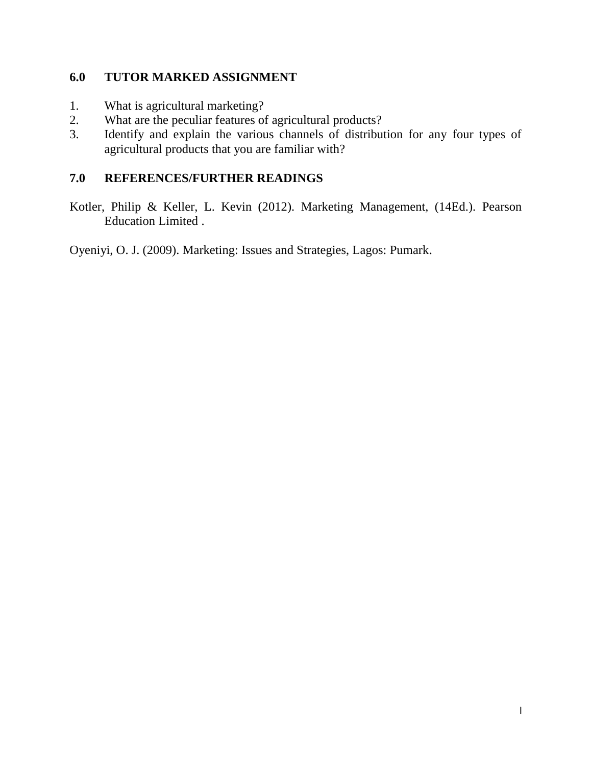#### **6.0 TUTOR MARKED ASSIGNMENT**

- 1. What is agricultural marketing?
- 2. What are the peculiar features of agricultural products?
- 3. Identify and explain the various channels of distribution for any four types of agricultural products that you are familiar with?

## **7.0 REFERENCES/FURTHER READINGS**

Kotler, Philip & Keller, L. Kevin (2012). Marketing Management, (14Ed.). Pearson Education Limited .

Oyeniyi, O. J. (2009). Marketing: Issues and Strategies, Lagos: Pumark.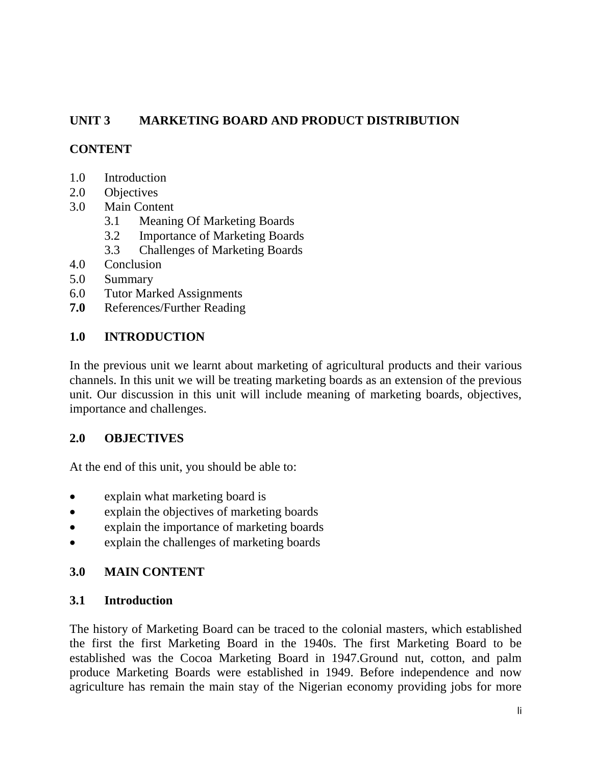## **UNIT 3 MARKETING BOARD AND PRODUCT DISTRIBUTION**

## **CONTENT**

- 1.0 Introduction
- 2.0 Objectives
- 3.0 Main Content
	- 3.1 Meaning Of Marketing Boards
	- 3.2 Importance of Marketing Boards
	- 3.3 Challenges of Marketing Boards
- 4.0 Conclusion
- 5.0 Summary
- 6.0 Tutor Marked Assignments
- **7.0** References/Further Reading

#### **1.0 INTRODUCTION**

In the previous unit we learnt about marketing of agricultural products and their various channels. In this unit we will be treating marketing boards as an extension of the previous unit. Our discussion in this unit will include meaning of marketing boards, objectives, importance and challenges.

## **2.0 OBJECTIVES**

At the end of this unit, you should be able to:

- explain what marketing board is
- explain the objectives of marketing boards
- explain the importance of marketing boards
- explain the challenges of marketing boards

## **3.0 MAIN CONTENT**

#### **3.1 Introduction**

The history of Marketing Board can be traced to the colonial masters, which established the first the first Marketing Board in the 1940s. The first Marketing Board to be established was the Cocoa Marketing Board in 1947.Ground nut, cotton, and palm produce Marketing Boards were established in 1949. Before independence and now agriculture has remain the main stay of the Nigerian economy providing jobs for more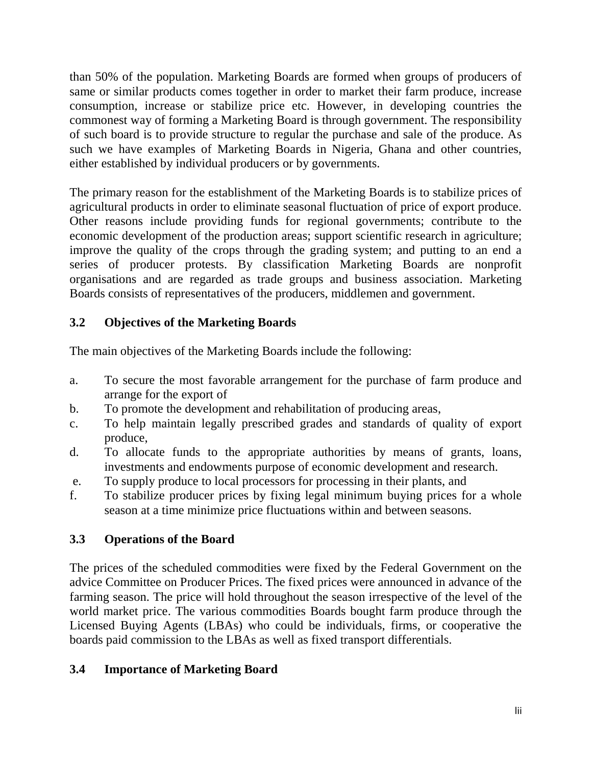than 50% of the population. Marketing Boards are formed when groups of producers of same or similar products comes together in order to market their farm produce, increase consumption, increase or stabilize price etc. However, in developing countries the commonest way of forming a Marketing Board is through government. The responsibility of such board is to provide structure to regular the purchase and sale of the produce. As such we have examples of Marketing Boards in Nigeria, Ghana and other countries, either established by individual producers or by governments.

The primary reason for the establishment of the Marketing Boards is to stabilize prices of agricultural products in order to eliminate seasonal fluctuation of price of export produce. Other reasons include providing funds for regional governments; contribute to the economic development of the production areas; support scientific research in agriculture; improve the quality of the crops through the grading system; and putting to an end a series of producer protests. By classification Marketing Boards are nonprofit organisations and are regarded as trade groups and business association. Marketing Boards consists of representatives of the producers, middlemen and government.

# **3.2 Objectives of the Marketing Boards**

The main objectives of the Marketing Boards include the following:

- a. To secure the most favorable arrangement for the purchase of farm produce and arrange for the export of
- b. To promote the development and rehabilitation of producing areas,
- c. To help maintain legally prescribed grades and standards of quality of export produce,
- d. To allocate funds to the appropriate authorities by means of grants, loans, investments and endowments purpose of economic development and research.
- e. To supply produce to local processors for processing in their plants, and
- f. To stabilize producer prices by fixing legal minimum buying prices for a whole season at a time minimize price fluctuations within and between seasons.

# **3.3 Operations of the Board**

The prices of the scheduled commodities were fixed by the Federal Government on the advice Committee on Producer Prices. The fixed prices were announced in advance of the farming season. The price will hold throughout the season irrespective of the level of the world market price. The various commodities Boards bought farm produce through the Licensed Buying Agents (LBAs) who could be individuals, firms, or cooperative the boards paid commission to the LBAs as well as fixed transport differentials.

## **3.4 Importance of Marketing Board**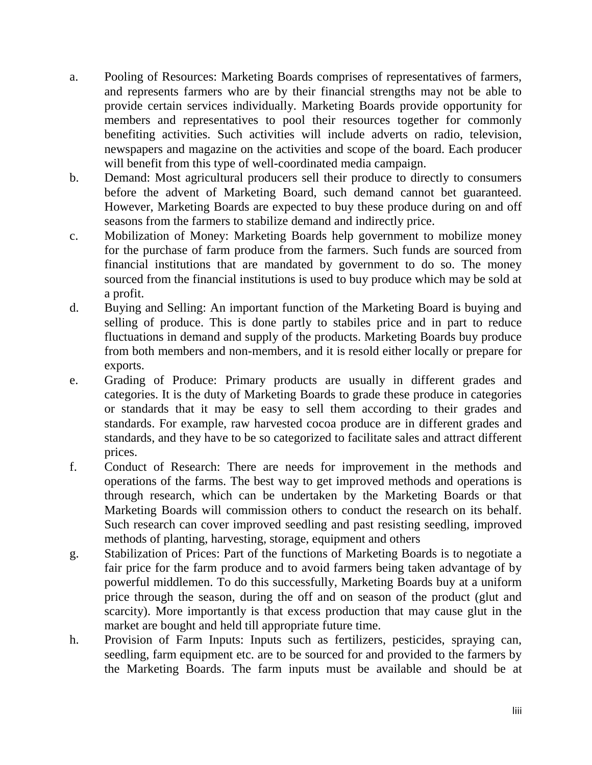- a. Pooling of Resources: Marketing Boards comprises of representatives of farmers, and represents farmers who are by their financial strengths may not be able to provide certain services individually. Marketing Boards provide opportunity for members and representatives to pool their resources together for commonly benefiting activities. Such activities will include adverts on radio, television, newspapers and magazine on the activities and scope of the board. Each producer will benefit from this type of well-coordinated media campaign.
- b. Demand: Most agricultural producers sell their produce to directly to consumers before the advent of Marketing Board, such demand cannot bet guaranteed. However, Marketing Boards are expected to buy these produce during on and off seasons from the farmers to stabilize demand and indirectly price.
- c. Mobilization of Money: Marketing Boards help government to mobilize money for the purchase of farm produce from the farmers. Such funds are sourced from financial institutions that are mandated by government to do so. The money sourced from the financial institutions is used to buy produce which may be sold at a profit.
- d. Buying and Selling: An important function of the Marketing Board is buying and selling of produce. This is done partly to stabiles price and in part to reduce fluctuations in demand and supply of the products. Marketing Boards buy produce from both members and non-members, and it is resold either locally or prepare for exports.
- e. Grading of Produce: Primary products are usually in different grades and categories. It is the duty of Marketing Boards to grade these produce in categories or standards that it may be easy to sell them according to their grades and standards. For example, raw harvested cocoa produce are in different grades and standards, and they have to be so categorized to facilitate sales and attract different prices.
- f. Conduct of Research: There are needs for improvement in the methods and operations of the farms. The best way to get improved methods and operations is through research, which can be undertaken by the Marketing Boards or that Marketing Boards will commission others to conduct the research on its behalf. Such research can cover improved seedling and past resisting seedling, improved methods of planting, harvesting, storage, equipment and others
- g. Stabilization of Prices: Part of the functions of Marketing Boards is to negotiate a fair price for the farm produce and to avoid farmers being taken advantage of by powerful middlemen. To do this successfully, Marketing Boards buy at a uniform price through the season, during the off and on season of the product (glut and scarcity). More importantly is that excess production that may cause glut in the market are bought and held till appropriate future time.
- h. Provision of Farm Inputs: Inputs such as fertilizers, pesticides, spraying can, seedling, farm equipment etc. are to be sourced for and provided to the farmers by the Marketing Boards. The farm inputs must be available and should be at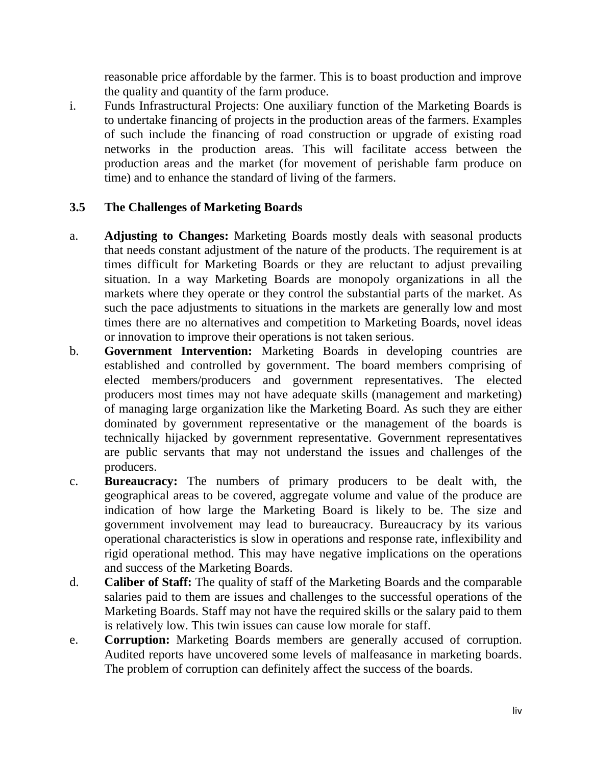reasonable price affordable by the farmer. This is to boast production and improve the quality and quantity of the farm produce.

i. Funds Infrastructural Projects: One auxiliary function of the Marketing Boards is to undertake financing of projects in the production areas of the farmers. Examples of such include the financing of road construction or upgrade of existing road networks in the production areas. This will facilitate access between the production areas and the market (for movement of perishable farm produce on time) and to enhance the standard of living of the farmers.

## **3.5 The Challenges of Marketing Boards**

- a. **Adjusting to Changes:** Marketing Boards mostly deals with seasonal products that needs constant adjustment of the nature of the products. The requirement is at times difficult for Marketing Boards or they are reluctant to adjust prevailing situation. In a way Marketing Boards are monopoly organizations in all the markets where they operate or they control the substantial parts of the market. As such the pace adjustments to situations in the markets are generally low and most times there are no alternatives and competition to Marketing Boards, novel ideas or innovation to improve their operations is not taken serious.
- b. **Government Intervention:** Marketing Boards in developing countries are established and controlled by government. The board members comprising of elected members/producers and government representatives. The elected producers most times may not have adequate skills (management and marketing) of managing large organization like the Marketing Board. As such they are either dominated by government representative or the management of the boards is technically hijacked by government representative. Government representatives are public servants that may not understand the issues and challenges of the producers.
- c. **Bureaucracy:** The numbers of primary producers to be dealt with, the geographical areas to be covered, aggregate volume and value of the produce are indication of how large the Marketing Board is likely to be. The size and government involvement may lead to bureaucracy. Bureaucracy by its various operational characteristics is slow in operations and response rate, inflexibility and rigid operational method. This may have negative implications on the operations and success of the Marketing Boards.
- d. **Caliber of Staff:** The quality of staff of the Marketing Boards and the comparable salaries paid to them are issues and challenges to the successful operations of the Marketing Boards. Staff may not have the required skills or the salary paid to them is relatively low. This twin issues can cause low morale for staff.
- e. **Corruption:** Marketing Boards members are generally accused of corruption. Audited reports have uncovered some levels of malfeasance in marketing boards. The problem of corruption can definitely affect the success of the boards.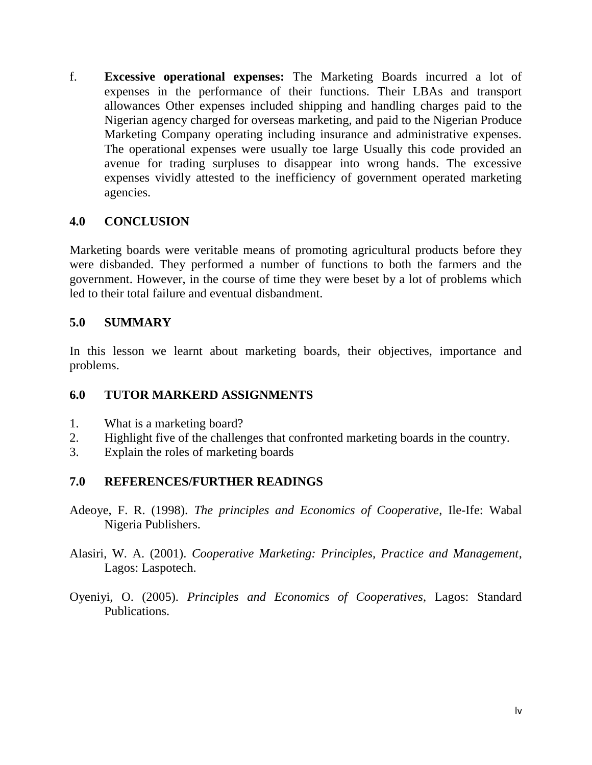f. **Excessive operational expenses:** The Marketing Boards incurred a lot of expenses in the performance of their functions. Their LBAs and transport allowances Other expenses included shipping and handling charges paid to the Nigerian agency charged for overseas marketing, and paid to the Nigerian Produce Marketing Company operating including insurance and administrative expenses. The operational expenses were usually toe large Usually this code provided an avenue for trading surpluses to disappear into wrong hands. The excessive expenses vividly attested to the inefficiency of government operated marketing agencies.

#### **4.0 CONCLUSION**

Marketing boards were veritable means of promoting agricultural products before they were disbanded. They performed a number of functions to both the farmers and the government. However, in the course of time they were beset by a lot of problems which led to their total failure and eventual disbandment.

#### **5.0 SUMMARY**

In this lesson we learnt about marketing boards, their objectives, importance and problems.

## **6.0 TUTOR MARKERD ASSIGNMENTS**

- 1. What is a marketing board?
- 2. Highlight five of the challenges that confronted marketing boards in the country.
- 3. Explain the roles of marketing boards

#### **7.0 REFERENCES/FURTHER READINGS**

- Adeoye, F. R. (1998). *The principles and Economics of Cooperative*, Ile-Ife: Wabal Nigeria Publishers.
- Alasiri, W. A. (2001). *Cooperative Marketing: Principles, Practice and Management*, Lagos: Laspotech.
- Oyeniyi, O. (2005). *Principles and Economics of Cooperatives*, Lagos: Standard Publications.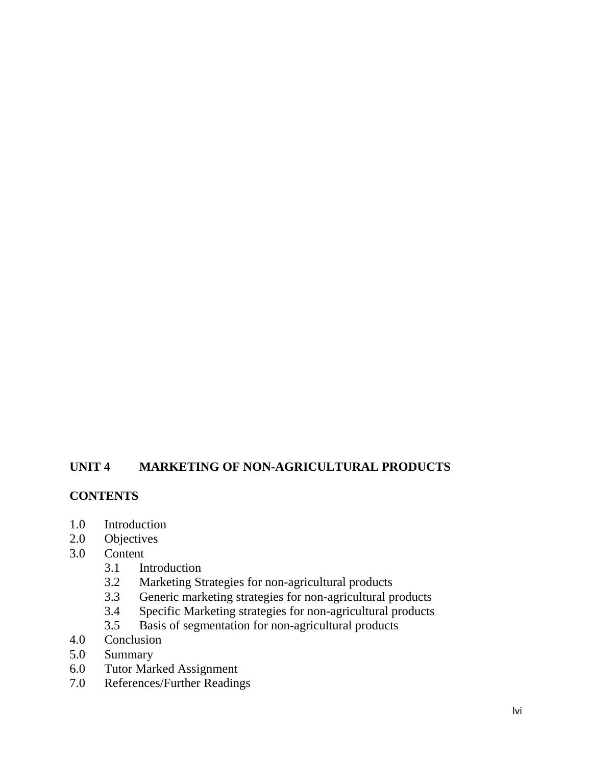## **UNIT 4 MARKETING OF NON-AGRICULTURAL PRODUCTS**

#### **CONTENTS**

- 1.0 Introduction
- 2.0 Objectives
- 3.0 Content
	- 3.1 Introduction<br>3.2 Marketing St
	- 3.2 Marketing Strategies for non-agricultural products
	- 3.3 Generic marketing strategies for non-agricultural products
	- 3.4 Specific Marketing strategies for non-agricultural products
	- 3.5 Basis of segmentation for non-agricultural products
- 4.0 Conclusion
- 5.0 Summary
- 6.0 Tutor Marked Assignment
- 7.0 References/Further Readings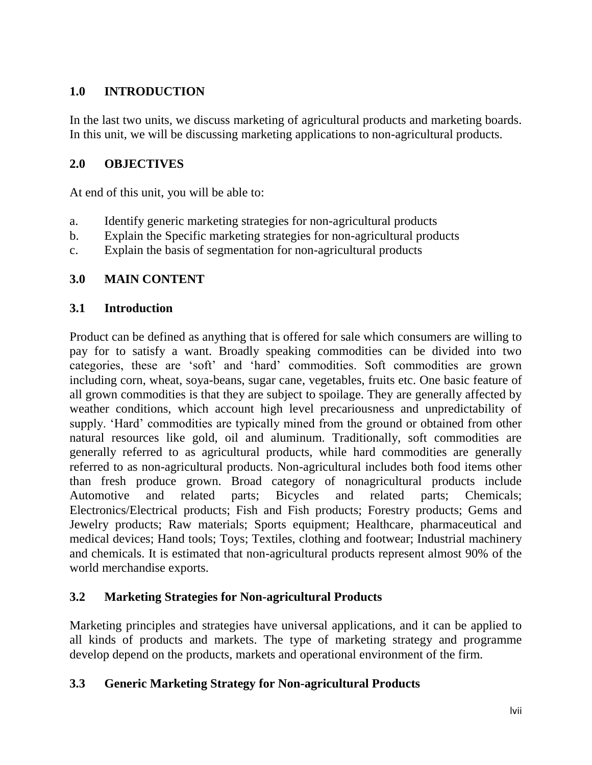# **1.0 INTRODUCTION**

In the last two units, we discuss marketing of agricultural products and marketing boards. In this unit, we will be discussing marketing applications to non-agricultural products.

## **2.0 OBJECTIVES**

At end of this unit, you will be able to:

- a. Identify generic marketing strategies for non-agricultural products
- b. Explain the Specific marketing strategies for non-agricultural products
- c. Explain the basis of segmentation for non-agricultural products

# **3.0 MAIN CONTENT**

## **3.1 Introduction**

Product can be defined as anything that is offered for sale which consumers are willing to pay for to satisfy a want. Broadly speaking commodities can be divided into two categories, these are "soft" and "hard" commodities. Soft commodities are grown including corn, wheat, soya-beans, sugar cane, vegetables, fruits etc. One basic feature of all grown commodities is that they are subject to spoilage. They are generally affected by weather conditions, which account high level precariousness and unpredictability of supply. 'Hard' commodities are typically mined from the ground or obtained from other natural resources like gold, oil and aluminum. Traditionally, soft commodities are generally referred to as agricultural products, while hard commodities are generally referred to as non-agricultural products. Non-agricultural includes both food items other than fresh produce grown. Broad category of nonagricultural products include Automotive and related parts; Bicycles and related parts; Chemicals; Electronics/Electrical products; Fish and Fish products; Forestry products; Gems and Jewelry products; Raw materials; Sports equipment; Healthcare, pharmaceutical and medical devices; Hand tools; Toys; Textiles, clothing and footwear; Industrial machinery and chemicals. It is estimated that non-agricultural products represent almost 90% of the world merchandise exports.

## **3.2 Marketing Strategies for Non-agricultural Products**

Marketing principles and strategies have universal applications, and it can be applied to all kinds of products and markets. The type of marketing strategy and programme develop depend on the products, markets and operational environment of the firm.

## **3.3 Generic Marketing Strategy for Non-agricultural Products**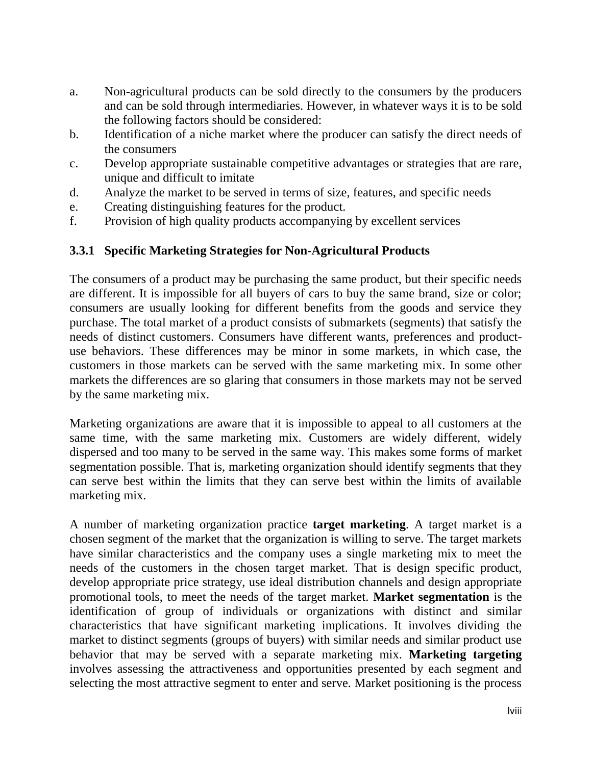- a. Non-agricultural products can be sold directly to the consumers by the producers and can be sold through intermediaries. However, in whatever ways it is to be sold the following factors should be considered:
- b. Identification of a niche market where the producer can satisfy the direct needs of the consumers
- c. Develop appropriate sustainable competitive advantages or strategies that are rare, unique and difficult to imitate
- d. Analyze the market to be served in terms of size, features, and specific needs
- e. Creating distinguishing features for the product.
- f. Provision of high quality products accompanying by excellent services

## **3.3.1 Specific Marketing Strategies for Non-Agricultural Products**

The consumers of a product may be purchasing the same product, but their specific needs are different. It is impossible for all buyers of cars to buy the same brand, size or color; consumers are usually looking for different benefits from the goods and service they purchase. The total market of a product consists of submarkets (segments) that satisfy the needs of distinct customers. Consumers have different wants, preferences and productuse behaviors. These differences may be minor in some markets, in which case, the customers in those markets can be served with the same marketing mix. In some other markets the differences are so glaring that consumers in those markets may not be served by the same marketing mix.

Marketing organizations are aware that it is impossible to appeal to all customers at the same time, with the same marketing mix. Customers are widely different, widely dispersed and too many to be served in the same way. This makes some forms of market segmentation possible. That is, marketing organization should identify segments that they can serve best within the limits that they can serve best within the limits of available marketing mix.

A number of marketing organization practice **target marketing**. A target market is a chosen segment of the market that the organization is willing to serve. The target markets have similar characteristics and the company uses a single marketing mix to meet the needs of the customers in the chosen target market. That is design specific product, develop appropriate price strategy, use ideal distribution channels and design appropriate promotional tools, to meet the needs of the target market. **Market segmentation** is the identification of group of individuals or organizations with distinct and similar characteristics that have significant marketing implications. It involves dividing the market to distinct segments (groups of buyers) with similar needs and similar product use behavior that may be served with a separate marketing mix. **Marketing targeting** involves assessing the attractiveness and opportunities presented by each segment and selecting the most attractive segment to enter and serve. Market positioning is the process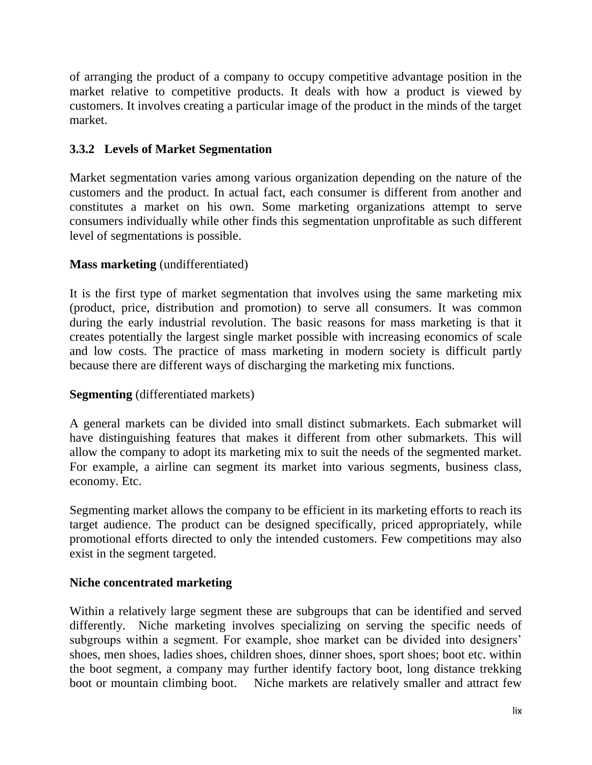of arranging the product of a company to occupy competitive advantage position in the market relative to competitive products. It deals with how a product is viewed by customers. It involves creating a particular image of the product in the minds of the target market.

## **3.3.2 Levels of Market Segmentation**

Market segmentation varies among various organization depending on the nature of the customers and the product. In actual fact, each consumer is different from another and constitutes a market on his own. Some marketing organizations attempt to serve consumers individually while other finds this segmentation unprofitable as such different level of segmentations is possible.

## **Mass marketing** (undifferentiated)

It is the first type of market segmentation that involves using the same marketing mix (product, price, distribution and promotion) to serve all consumers. It was common during the early industrial revolution. The basic reasons for mass marketing is that it creates potentially the largest single market possible with increasing economics of scale and low costs. The practice of mass marketing in modern society is difficult partly because there are different ways of discharging the marketing mix functions.

#### **Segmenting** (differentiated markets)

A general markets can be divided into small distinct submarkets. Each submarket will have distinguishing features that makes it different from other submarkets. This will allow the company to adopt its marketing mix to suit the needs of the segmented market. For example, a airline can segment its market into various segments, business class, economy. Etc.

Segmenting market allows the company to be efficient in its marketing efforts to reach its target audience. The product can be designed specifically, priced appropriately, while promotional efforts directed to only the intended customers. Few competitions may also exist in the segment targeted.

#### **Niche concentrated marketing**

Within a relatively large segment these are subgroups that can be identified and served differently. Niche marketing involves specializing on serving the specific needs of subgroups within a segment. For example, shoe market can be divided into designers' shoes, men shoes, ladies shoes, children shoes, dinner shoes, sport shoes; boot etc. within the boot segment, a company may further identify factory boot, long distance trekking boot or mountain climbing boot. Niche markets are relatively smaller and attract few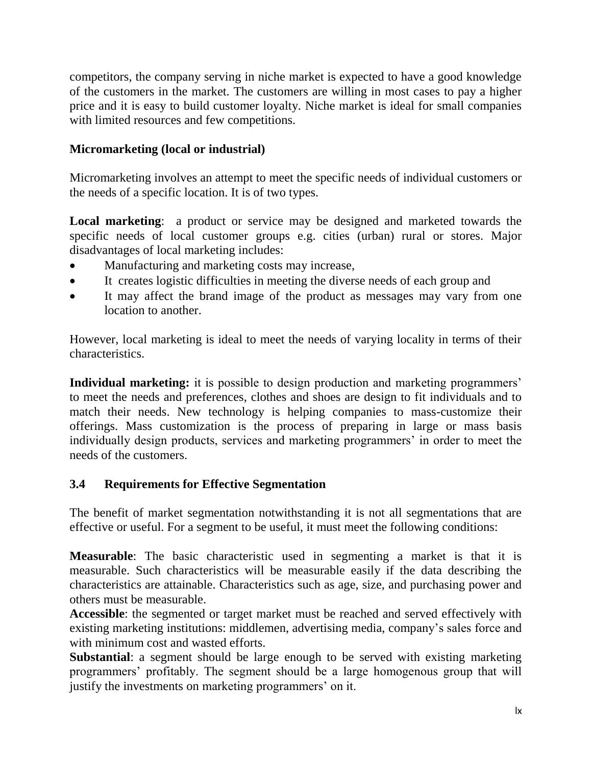competitors, the company serving in niche market is expected to have a good knowledge of the customers in the market. The customers are willing in most cases to pay a higher price and it is easy to build customer loyalty. Niche market is ideal for small companies with limited resources and few competitions.

## **Micromarketing (local or industrial)**

Micromarketing involves an attempt to meet the specific needs of individual customers or the needs of a specific location. It is of two types.

**Local marketing**: a product or service may be designed and marketed towards the specific needs of local customer groups e.g. cities (urban) rural or stores. Major disadvantages of local marketing includes:

- Manufacturing and marketing costs may increase,
- It creates logistic difficulties in meeting the diverse needs of each group and
- It may affect the brand image of the product as messages may vary from one location to another.

However, local marketing is ideal to meet the needs of varying locality in terms of their characteristics.

**Individual marketing:** it is possible to design production and marketing programmers' to meet the needs and preferences, clothes and shoes are design to fit individuals and to match their needs. New technology is helping companies to mass-customize their offerings. Mass customization is the process of preparing in large or mass basis individually design products, services and marketing programmers' in order to meet the needs of the customers.

## **3.4 Requirements for Effective Segmentation**

The benefit of market segmentation notwithstanding it is not all segmentations that are effective or useful. For a segment to be useful, it must meet the following conditions:

**Measurable**: The basic characteristic used in segmenting a market is that it is measurable. Such characteristics will be measurable easily if the data describing the characteristics are attainable. Characteristics such as age, size, and purchasing power and others must be measurable.

**Accessible**: the segmented or target market must be reached and served effectively with existing marketing institutions: middlemen, advertising media, company"s sales force and with minimum cost and wasted efforts.

**Substantial**: a segment should be large enough to be served with existing marketing programmers" profitably. The segment should be a large homogenous group that will justify the investments on marketing programmers' on it.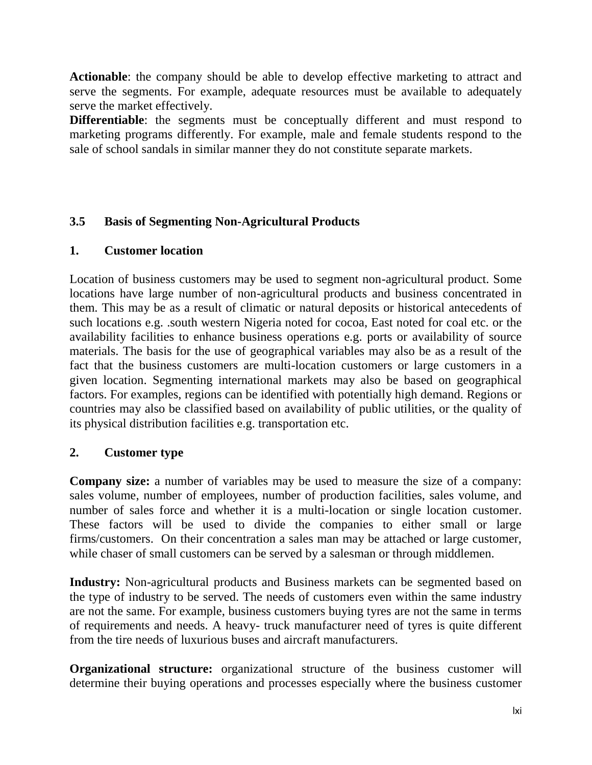**Actionable**: the company should be able to develop effective marketing to attract and serve the segments. For example, adequate resources must be available to adequately serve the market effectively.

**Differentiable**: the segments must be conceptually different and must respond to marketing programs differently. For example, male and female students respond to the sale of school sandals in similar manner they do not constitute separate markets.

## **3.5 Basis of Segmenting Non-Agricultural Products**

#### **1. Customer location**

Location of business customers may be used to segment non-agricultural product. Some locations have large number of non-agricultural products and business concentrated in them. This may be as a result of climatic or natural deposits or historical antecedents of such locations e.g. .south western Nigeria noted for cocoa, East noted for coal etc. or the availability facilities to enhance business operations e.g. ports or availability of source materials. The basis for the use of geographical variables may also be as a result of the fact that the business customers are multi-location customers or large customers in a given location. Segmenting international markets may also be based on geographical factors. For examples, regions can be identified with potentially high demand. Regions or countries may also be classified based on availability of public utilities, or the quality of its physical distribution facilities e.g. transportation etc.

#### **2. Customer type**

**Company size:** a number of variables may be used to measure the size of a company: sales volume, number of employees, number of production facilities, sales volume, and number of sales force and whether it is a multi-location or single location customer. These factors will be used to divide the companies to either small or large firms/customers. On their concentration a sales man may be attached or large customer, while chaser of small customers can be served by a salesman or through middlemen.

**Industry:** Non-agricultural products and Business markets can be segmented based on the type of industry to be served. The needs of customers even within the same industry are not the same. For example, business customers buying tyres are not the same in terms of requirements and needs. A heavy- truck manufacturer need of tyres is quite different from the tire needs of luxurious buses and aircraft manufacturers.

**Organizational structure:** organizational structure of the business customer will determine their buying operations and processes especially where the business customer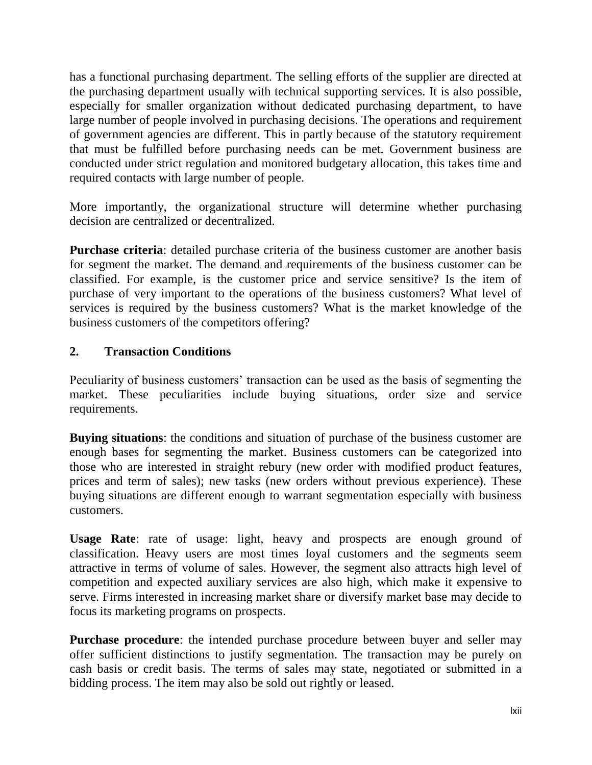has a functional purchasing department. The selling efforts of the supplier are directed at the purchasing department usually with technical supporting services. It is also possible, especially for smaller organization without dedicated purchasing department, to have large number of people involved in purchasing decisions. The operations and requirement of government agencies are different. This in partly because of the statutory requirement that must be fulfilled before purchasing needs can be met. Government business are conducted under strict regulation and monitored budgetary allocation, this takes time and required contacts with large number of people.

More importantly, the organizational structure will determine whether purchasing decision are centralized or decentralized.

**Purchase criteria**: detailed purchase criteria of the business customer are another basis for segment the market. The demand and requirements of the business customer can be classified. For example, is the customer price and service sensitive? Is the item of purchase of very important to the operations of the business customers? What level of services is required by the business customers? What is the market knowledge of the business customers of the competitors offering?

#### **2. Transaction Conditions**

Peculiarity of business customers' transaction can be used as the basis of segmenting the market. These peculiarities include buying situations, order size and service requirements.

**Buying situations**: the conditions and situation of purchase of the business customer are enough bases for segmenting the market. Business customers can be categorized into those who are interested in straight rebury (new order with modified product features, prices and term of sales); new tasks (new orders without previous experience). These buying situations are different enough to warrant segmentation especially with business customers.

**Usage Rate**: rate of usage: light, heavy and prospects are enough ground of classification. Heavy users are most times loyal customers and the segments seem attractive in terms of volume of sales. However, the segment also attracts high level of competition and expected auxiliary services are also high, which make it expensive to serve. Firms interested in increasing market share or diversify market base may decide to focus its marketing programs on prospects.

**Purchase procedure**: the intended purchase procedure between buyer and seller may offer sufficient distinctions to justify segmentation. The transaction may be purely on cash basis or credit basis. The terms of sales may state, negotiated or submitted in a bidding process. The item may also be sold out rightly or leased.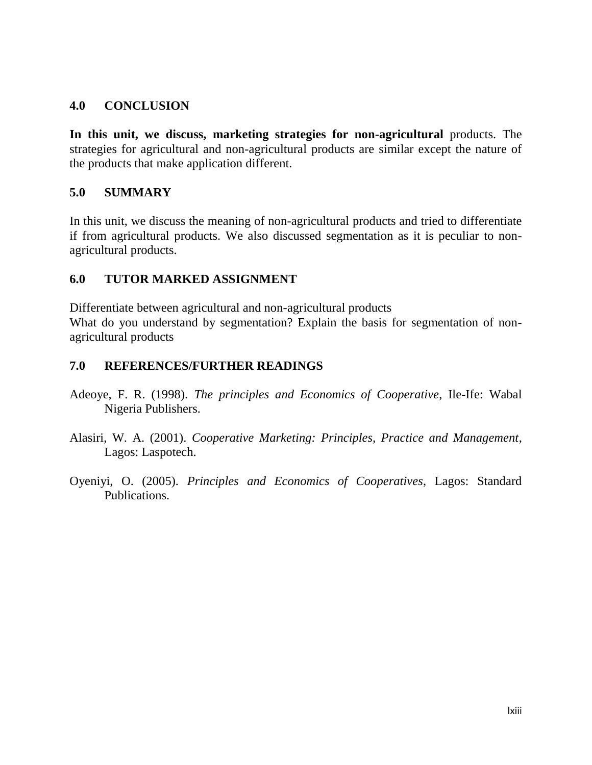#### **4.0 CONCLUSION**

**In this unit, we discuss, marketing strategies for non-agricultural** products. The strategies for agricultural and non-agricultural products are similar except the nature of the products that make application different.

#### **5.0 SUMMARY**

In this unit, we discuss the meaning of non-agricultural products and tried to differentiate if from agricultural products. We also discussed segmentation as it is peculiar to nonagricultural products.

#### **6.0 TUTOR MARKED ASSIGNMENT**

Differentiate between agricultural and non-agricultural products What do you understand by segmentation? Explain the basis for segmentation of nonagricultural products

#### **7.0 REFERENCES/FURTHER READINGS**

- Adeoye, F. R. (1998). *The principles and Economics of Cooperative*, Ile-Ife: Wabal Nigeria Publishers.
- Alasiri, W. A. (2001). *Cooperative Marketing: Principles, Practice and Management*, Lagos: Laspotech.
- Oyeniyi, O. (2005). *Principles and Economics of Cooperatives*, Lagos: Standard Publications.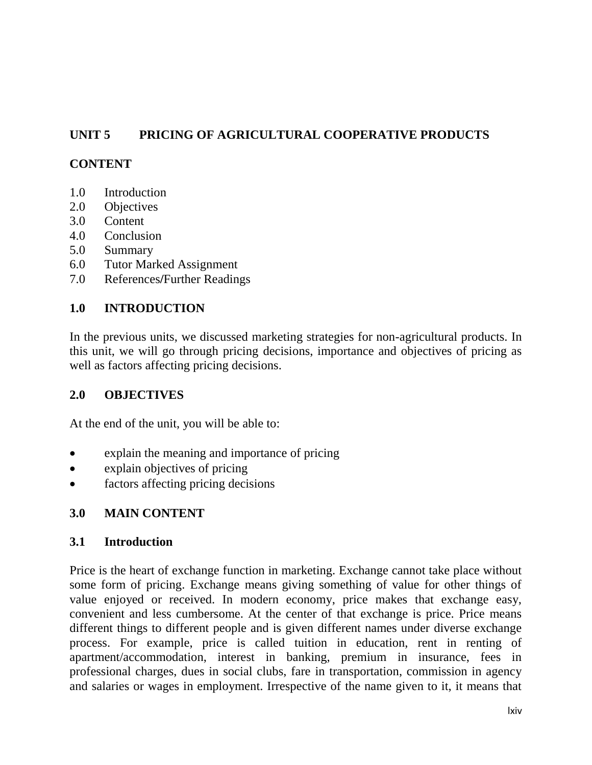# **UNIT 5 PRICING OF AGRICULTURAL COOPERATIVE PRODUCTS**

## **CONTENT**

- 1.0 Introduction
- 2.0 Objectives
- 3.0 Content
- 4.0 Conclusion
- 5.0 Summary
- 6.0 Tutor Marked Assignment
- 7.0 References**/**Further Readings

## **1.0 INTRODUCTION**

In the previous units, we discussed marketing strategies for non-agricultural products. In this unit, we will go through pricing decisions, importance and objectives of pricing as well as factors affecting pricing decisions.

#### **2.0 OBJECTIVES**

At the end of the unit, you will be able to:

- explain the meaning and importance of pricing
- explain objectives of pricing
- factors affecting pricing decisions

#### **3.0 MAIN CONTENT**

#### **3.1 Introduction**

Price is the heart of exchange function in marketing. Exchange cannot take place without some form of pricing. Exchange means giving something of value for other things of value enjoyed or received. In modern economy, price makes that exchange easy, convenient and less cumbersome. At the center of that exchange is price. Price means different things to different people and is given different names under diverse exchange process. For example, price is called tuition in education, rent in renting of apartment/accommodation, interest in banking, premium in insurance, fees in professional charges, dues in social clubs, fare in transportation, commission in agency and salaries or wages in employment. Irrespective of the name given to it, it means that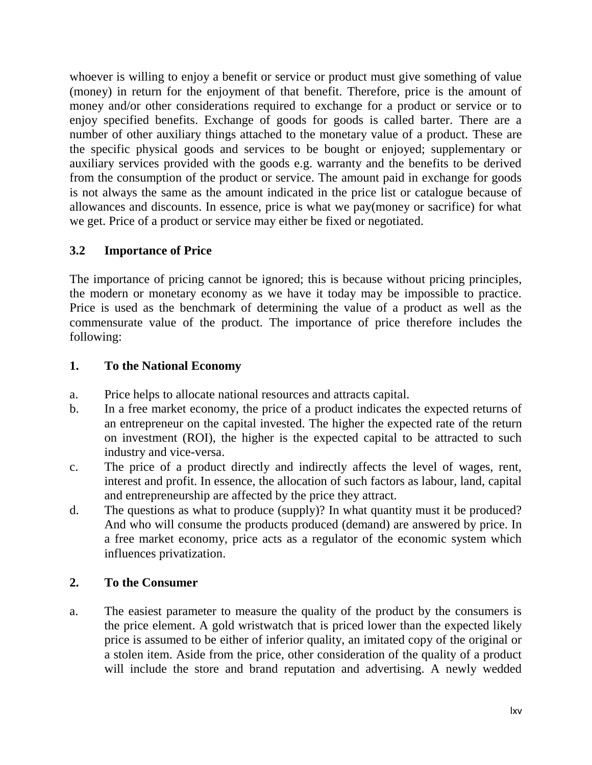whoever is willing to enjoy a benefit or service or product must give something of value (money) in return for the enjoyment of that benefit. Therefore, price is the amount of money and/or other considerations required to exchange for a product or service or to enjoy specified benefits. Exchange of goods for goods is called barter. There are a number of other auxiliary things attached to the monetary value of a product. These are the specific physical goods and services to be bought or enjoyed; supplementary or auxiliary services provided with the goods e.g. warranty and the benefits to be derived from the consumption of the product or service. The amount paid in exchange for goods is not always the same as the amount indicated in the price list or catalogue because of allowances and discounts. In essence, price is what we pay(money or sacrifice) for what we get. Price of a product or service may either be fixed or negotiated.

## **3.2 Importance of Price**

The importance of pricing cannot be ignored; this is because without pricing principles, the modern or monetary economy as we have it today may be impossible to practice. Price is used as the benchmark of determining the value of a product as well as the commensurate value of the product. The importance of price therefore includes the following:

## **1. To the National Economy**

- a. Price helps to allocate national resources and attracts capital.
- b. In a free market economy, the price of a product indicates the expected returns of an entrepreneur on the capital invested. The higher the expected rate of the return on investment (ROI), the higher is the expected capital to be attracted to such industry and vice-versa.
- c. The price of a product directly and indirectly affects the level of wages, rent, interest and profit. In essence, the allocation of such factors as labour, land, capital and entrepreneurship are affected by the price they attract.
- d. The questions as what to produce (supply)? In what quantity must it be produced? And who will consume the products produced (demand) are answered by price. In a free market economy, price acts as a regulator of the economic system which influences privatization.

## **2. To the Consumer**

a. The easiest parameter to measure the quality of the product by the consumers is the price element. A gold wristwatch that is priced lower than the expected likely price is assumed to be either of inferior quality, an imitated copy of the original or a stolen item. Aside from the price, other consideration of the quality of a product will include the store and brand reputation and advertising. A newly wedded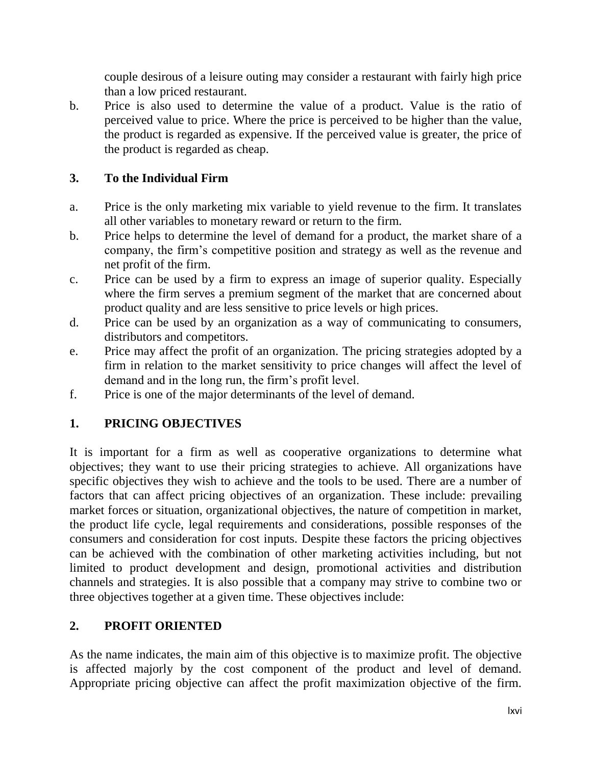couple desirous of a leisure outing may consider a restaurant with fairly high price than a low priced restaurant.

b. Price is also used to determine the value of a product. Value is the ratio of perceived value to price. Where the price is perceived to be higher than the value, the product is regarded as expensive. If the perceived value is greater, the price of the product is regarded as cheap.

## **3. To the Individual Firm**

- a. Price is the only marketing mix variable to yield revenue to the firm. It translates all other variables to monetary reward or return to the firm.
- b. Price helps to determine the level of demand for a product, the market share of a company, the firm"s competitive position and strategy as well as the revenue and net profit of the firm.
- c. Price can be used by a firm to express an image of superior quality. Especially where the firm serves a premium segment of the market that are concerned about product quality and are less sensitive to price levels or high prices.
- d. Price can be used by an organization as a way of communicating to consumers, distributors and competitors.
- e. Price may affect the profit of an organization. The pricing strategies adopted by a firm in relation to the market sensitivity to price changes will affect the level of demand and in the long run, the firm's profit level.
- f. Price is one of the major determinants of the level of demand.

# **1. PRICING OBJECTIVES**

It is important for a firm as well as cooperative organizations to determine what objectives; they want to use their pricing strategies to achieve. All organizations have specific objectives they wish to achieve and the tools to be used. There are a number of factors that can affect pricing objectives of an organization. These include: prevailing market forces or situation, organizational objectives, the nature of competition in market, the product life cycle, legal requirements and considerations, possible responses of the consumers and consideration for cost inputs. Despite these factors the pricing objectives can be achieved with the combination of other marketing activities including, but not limited to product development and design, promotional activities and distribution channels and strategies. It is also possible that a company may strive to combine two or three objectives together at a given time. These objectives include:

## **2. PROFIT ORIENTED**

As the name indicates, the main aim of this objective is to maximize profit. The objective is affected majorly by the cost component of the product and level of demand. Appropriate pricing objective can affect the profit maximization objective of the firm.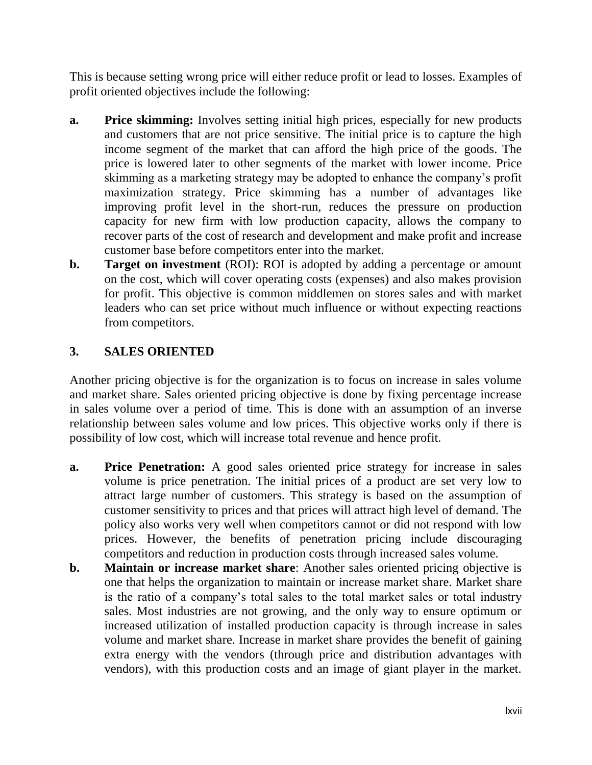This is because setting wrong price will either reduce profit or lead to losses. Examples of profit oriented objectives include the following:

- **a. Price skimming:** Involves setting initial high prices, especially for new products and customers that are not price sensitive. The initial price is to capture the high income segment of the market that can afford the high price of the goods. The price is lowered later to other segments of the market with lower income. Price skimming as a marketing strategy may be adopted to enhance the company"s profit maximization strategy. Price skimming has a number of advantages like improving profit level in the short-run, reduces the pressure on production capacity for new firm with low production capacity, allows the company to recover parts of the cost of research and development and make profit and increase customer base before competitors enter into the market.
- **b. Target on investment** (ROI): ROI is adopted by adding a percentage or amount on the cost, which will cover operating costs (expenses) and also makes provision for profit. This objective is common middlemen on stores sales and with market leaders who can set price without much influence or without expecting reactions from competitors.

## **3. SALES ORIENTED**

Another pricing objective is for the organization is to focus on increase in sales volume and market share. Sales oriented pricing objective is done by fixing percentage increase in sales volume over a period of time. This is done with an assumption of an inverse relationship between sales volume and low prices. This objective works only if there is possibility of low cost, which will increase total revenue and hence profit.

- **a. Price Penetration:** A good sales oriented price strategy for increase in sales volume is price penetration. The initial prices of a product are set very low to attract large number of customers. This strategy is based on the assumption of customer sensitivity to prices and that prices will attract high level of demand. The policy also works very well when competitors cannot or did not respond with low prices. However, the benefits of penetration pricing include discouraging competitors and reduction in production costs through increased sales volume.
- **b. Maintain or increase market share**: Another sales oriented pricing objective is one that helps the organization to maintain or increase market share. Market share is the ratio of a company"s total sales to the total market sales or total industry sales. Most industries are not growing, and the only way to ensure optimum or increased utilization of installed production capacity is through increase in sales volume and market share. Increase in market share provides the benefit of gaining extra energy with the vendors (through price and distribution advantages with vendors), with this production costs and an image of giant player in the market.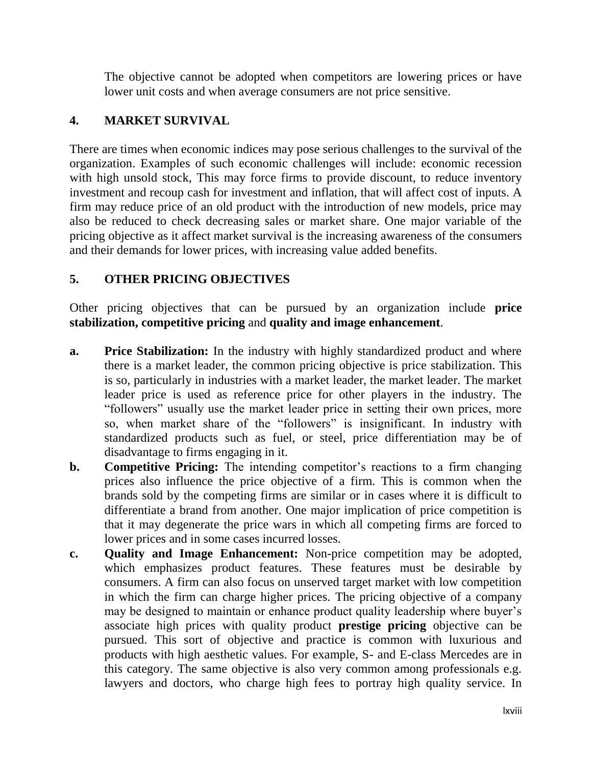The objective cannot be adopted when competitors are lowering prices or have lower unit costs and when average consumers are not price sensitive.

## **4. MARKET SURVIVAL**

There are times when economic indices may pose serious challenges to the survival of the organization. Examples of such economic challenges will include: economic recession with high unsold stock, This may force firms to provide discount, to reduce inventory investment and recoup cash for investment and inflation, that will affect cost of inputs. A firm may reduce price of an old product with the introduction of new models, price may also be reduced to check decreasing sales or market share. One major variable of the pricing objective as it affect market survival is the increasing awareness of the consumers and their demands for lower prices, with increasing value added benefits.

## **5. OTHER PRICING OBJECTIVES**

Other pricing objectives that can be pursued by an organization include **price stabilization, competitive pricing** and **quality and image enhancement**.

- **a. Price Stabilization:** In the industry with highly standardized product and where there is a market leader, the common pricing objective is price stabilization. This is so, particularly in industries with a market leader, the market leader. The market leader price is used as reference price for other players in the industry. The "followers" usually use the market leader price in setting their own prices, more so, when market share of the "followers" is insignificant. In industry with standardized products such as fuel, or steel, price differentiation may be of disadvantage to firms engaging in it.
- **b. Competitive Pricing:** The intending competitor's reactions to a firm changing prices also influence the price objective of a firm. This is common when the brands sold by the competing firms are similar or in cases where it is difficult to differentiate a brand from another. One major implication of price competition is that it may degenerate the price wars in which all competing firms are forced to lower prices and in some cases incurred losses.
- **c. Quality and Image Enhancement:** Non-price competition may be adopted, which emphasizes product features. These features must be desirable by consumers. A firm can also focus on unserved target market with low competition in which the firm can charge higher prices. The pricing objective of a company may be designed to maintain or enhance product quality leadership where buyer's associate high prices with quality product **prestige pricing** objective can be pursued. This sort of objective and practice is common with luxurious and products with high aesthetic values. For example, S- and E-class Mercedes are in this category. The same objective is also very common among professionals e.g. lawyers and doctors, who charge high fees to portray high quality service. In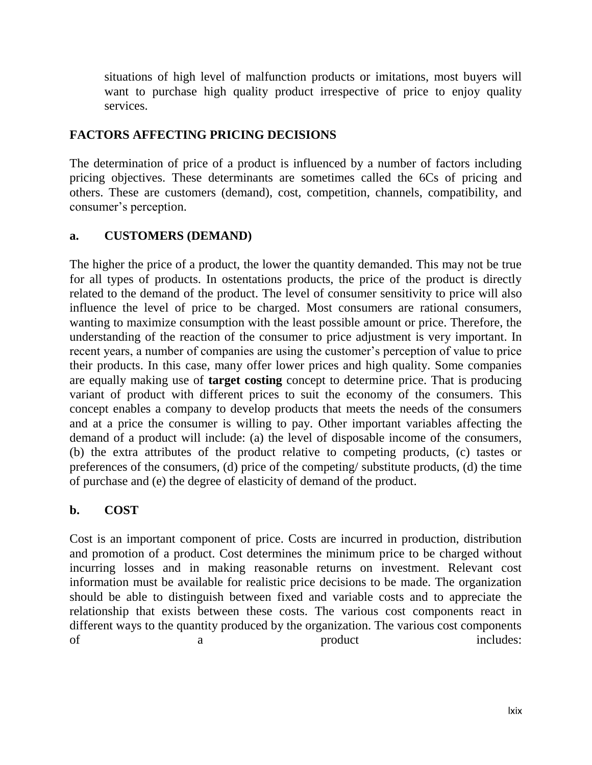situations of high level of malfunction products or imitations, most buyers will want to purchase high quality product irrespective of price to enjoy quality services.

#### **FACTORS AFFECTING PRICING DECISIONS**

The determination of price of a product is influenced by a number of factors including pricing objectives. These determinants are sometimes called the 6Cs of pricing and others. These are customers (demand), cost, competition, channels, compatibility, and consumer's perception.

#### **a. CUSTOMERS (DEMAND)**

The higher the price of a product, the lower the quantity demanded. This may not be true for all types of products. In ostentations products, the price of the product is directly related to the demand of the product. The level of consumer sensitivity to price will also influence the level of price to be charged. Most consumers are rational consumers, wanting to maximize consumption with the least possible amount or price. Therefore, the understanding of the reaction of the consumer to price adjustment is very important. In recent years, a number of companies are using the customer"s perception of value to price their products. In this case, many offer lower prices and high quality. Some companies are equally making use of **target costing** concept to determine price. That is producing variant of product with different prices to suit the economy of the consumers. This concept enables a company to develop products that meets the needs of the consumers and at a price the consumer is willing to pay. Other important variables affecting the demand of a product will include: (a) the level of disposable income of the consumers, (b) the extra attributes of the product relative to competing products, (c) tastes or preferences of the consumers, (d) price of the competing/ substitute products, (d) the time of purchase and (e) the degree of elasticity of demand of the product.

## **b. COST**

Cost is an important component of price. Costs are incurred in production, distribution and promotion of a product. Cost determines the minimum price to be charged without incurring losses and in making reasonable returns on investment. Relevant cost information must be available for realistic price decisions to be made. The organization should be able to distinguish between fixed and variable costs and to appreciate the relationship that exists between these costs. The various cost components react in different ways to the quantity produced by the organization. The various cost components of a product includes: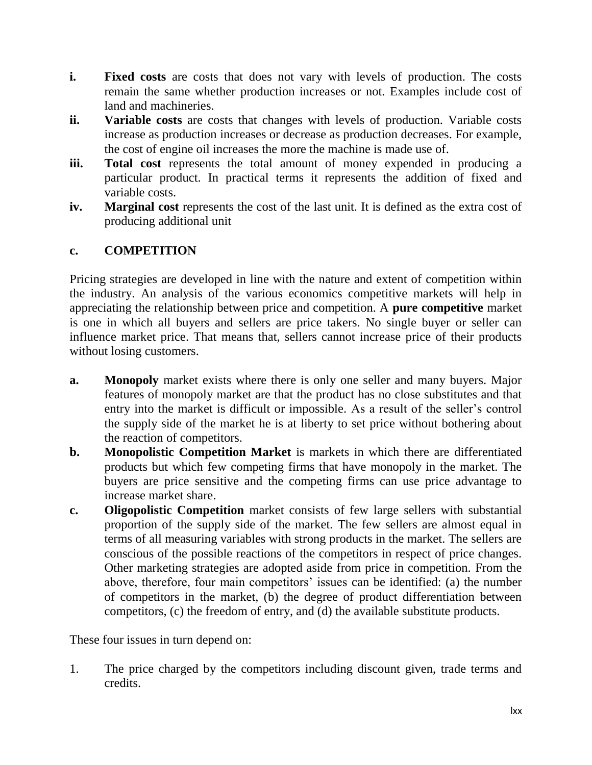- **i.** Fixed costs are costs that does not vary with levels of production. The costs remain the same whether production increases or not. Examples include cost of land and machineries.
- **ii. Variable costs** are costs that changes with levels of production. Variable costs increase as production increases or decrease as production decreases. For example, the cost of engine oil increases the more the machine is made use of.
- **iii.** Total cost represents the total amount of money expended in producing a particular product. In practical terms it represents the addition of fixed and variable costs.
- **iv. Marginal cost** represents the cost of the last unit. It is defined as the extra cost of producing additional unit

# **c. COMPETITION**

Pricing strategies are developed in line with the nature and extent of competition within the industry. An analysis of the various economics competitive markets will help in appreciating the relationship between price and competition. A **pure competitive** market is one in which all buyers and sellers are price takers. No single buyer or seller can influence market price. That means that, sellers cannot increase price of their products without losing customers.

- **a. Monopoly** market exists where there is only one seller and many buyers. Major features of monopoly market are that the product has no close substitutes and that entry into the market is difficult or impossible. As a result of the seller"s control the supply side of the market he is at liberty to set price without bothering about the reaction of competitors.
- **b. Monopolistic Competition Market** is markets in which there are differentiated products but which few competing firms that have monopoly in the market. The buyers are price sensitive and the competing firms can use price advantage to increase market share.
- **c. Oligopolistic Competition** market consists of few large sellers with substantial proportion of the supply side of the market. The few sellers are almost equal in terms of all measuring variables with strong products in the market. The sellers are conscious of the possible reactions of the competitors in respect of price changes. Other marketing strategies are adopted aside from price in competition. From the above, therefore, four main competitors' issues can be identified: (a) the number of competitors in the market, (b) the degree of product differentiation between competitors, (c) the freedom of entry, and (d) the available substitute products.

These four issues in turn depend on:

1. The price charged by the competitors including discount given, trade terms and credits.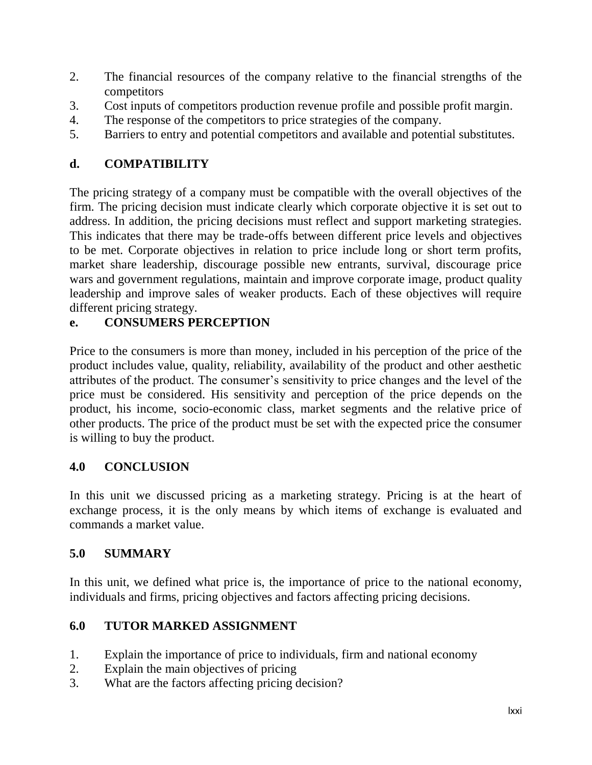- 2. The financial resources of the company relative to the financial strengths of the competitors
- 3. Cost inputs of competitors production revenue profile and possible profit margin.
- 4. The response of the competitors to price strategies of the company.
- 5. Barriers to entry and potential competitors and available and potential substitutes.

# **d. COMPATIBILITY**

The pricing strategy of a company must be compatible with the overall objectives of the firm. The pricing decision must indicate clearly which corporate objective it is set out to address. In addition, the pricing decisions must reflect and support marketing strategies. This indicates that there may be trade-offs between different price levels and objectives to be met. Corporate objectives in relation to price include long or short term profits, market share leadership, discourage possible new entrants, survival, discourage price wars and government regulations, maintain and improve corporate image, product quality leadership and improve sales of weaker products. Each of these objectives will require different pricing strategy.

# **e. CONSUMERS PERCEPTION**

Price to the consumers is more than money, included in his perception of the price of the product includes value, quality, reliability, availability of the product and other aesthetic attributes of the product. The consumer"s sensitivity to price changes and the level of the price must be considered. His sensitivity and perception of the price depends on the product, his income, socio-economic class, market segments and the relative price of other products. The price of the product must be set with the expected price the consumer is willing to buy the product.

# **4.0 CONCLUSION**

In this unit we discussed pricing as a marketing strategy. Pricing is at the heart of exchange process, it is the only means by which items of exchange is evaluated and commands a market value.

# **5.0 SUMMARY**

In this unit, we defined what price is, the importance of price to the national economy, individuals and firms, pricing objectives and factors affecting pricing decisions.

# **6.0 TUTOR MARKED ASSIGNMENT**

- 1. Explain the importance of price to individuals, firm and national economy
- 2. Explain the main objectives of pricing
- 3. What are the factors affecting pricing decision?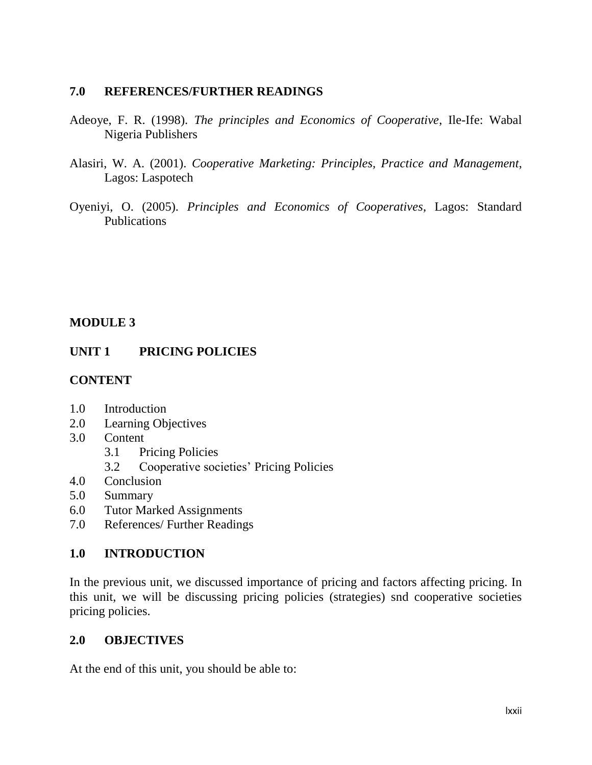#### **7.0 REFERENCES/FURTHER READINGS**

- Adeoye, F. R. (1998). *The principles and Economics of Cooperative*, Ile-Ife: Wabal Nigeria Publishers
- Alasiri, W. A. (2001). *Cooperative Marketing: Principles, Practice and Management*, Lagos: Laspotech
- Oyeniyi, O. (2005). *Principles and Economics of Cooperatives*, Lagos: Standard Publications

### **MODULE 3**

### **UNIT 1 PRICING POLICIES**

#### **CONTENT**

- 1.0 Introduction
- 2.0 Learning Objectives
- 3.0 Content
	- 3.1 Pricing Policies
	- 3.2 Cooperative societies' Pricing Policies
- 4.0 Conclusion
- 5.0 Summary
- 6.0 Tutor Marked Assignments
- 7.0 References/ Further Readings

#### **1.0 INTRODUCTION**

In the previous unit, we discussed importance of pricing and factors affecting pricing. In this unit, we will be discussing pricing policies (strategies) snd cooperative societies pricing policies.

#### **2.0 OBJECTIVES**

At the end of this unit, you should be able to: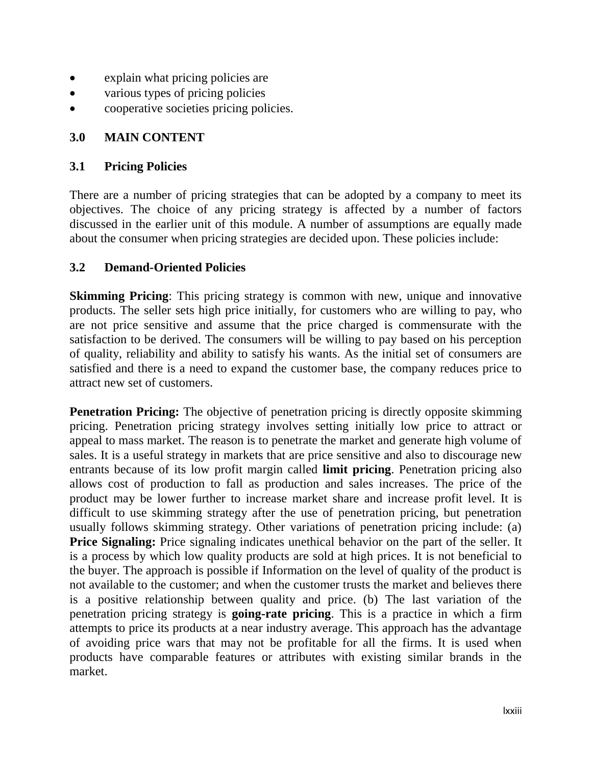- explain what pricing policies are
- various types of pricing policies
- cooperative societies pricing policies.

### **3.0 MAIN CONTENT**

#### **3.1 Pricing Policies**

There are a number of pricing strategies that can be adopted by a company to meet its objectives. The choice of any pricing strategy is affected by a number of factors discussed in the earlier unit of this module. A number of assumptions are equally made about the consumer when pricing strategies are decided upon. These policies include:

#### **3.2 Demand-Oriented Policies**

**Skimming Pricing**: This pricing strategy is common with new, unique and innovative products. The seller sets high price initially, for customers who are willing to pay, who are not price sensitive and assume that the price charged is commensurate with the satisfaction to be derived. The consumers will be willing to pay based on his perception of quality, reliability and ability to satisfy his wants. As the initial set of consumers are satisfied and there is a need to expand the customer base, the company reduces price to attract new set of customers.

**Penetration Pricing:** The objective of penetration pricing is directly opposite skimming pricing. Penetration pricing strategy involves setting initially low price to attract or appeal to mass market. The reason is to penetrate the market and generate high volume of sales. It is a useful strategy in markets that are price sensitive and also to discourage new entrants because of its low profit margin called **limit pricing**. Penetration pricing also allows cost of production to fall as production and sales increases. The price of the product may be lower further to increase market share and increase profit level. It is difficult to use skimming strategy after the use of penetration pricing, but penetration usually follows skimming strategy. Other variations of penetration pricing include: (a) **Price Signaling:** Price signaling indicates unethical behavior on the part of the seller. It is a process by which low quality products are sold at high prices. It is not beneficial to the buyer. The approach is possible if Information on the level of quality of the product is not available to the customer; and when the customer trusts the market and believes there is a positive relationship between quality and price. (b) The last variation of the penetration pricing strategy is **going-rate pricing**. This is a practice in which a firm attempts to price its products at a near industry average. This approach has the advantage of avoiding price wars that may not be profitable for all the firms. It is used when products have comparable features or attributes with existing similar brands in the market.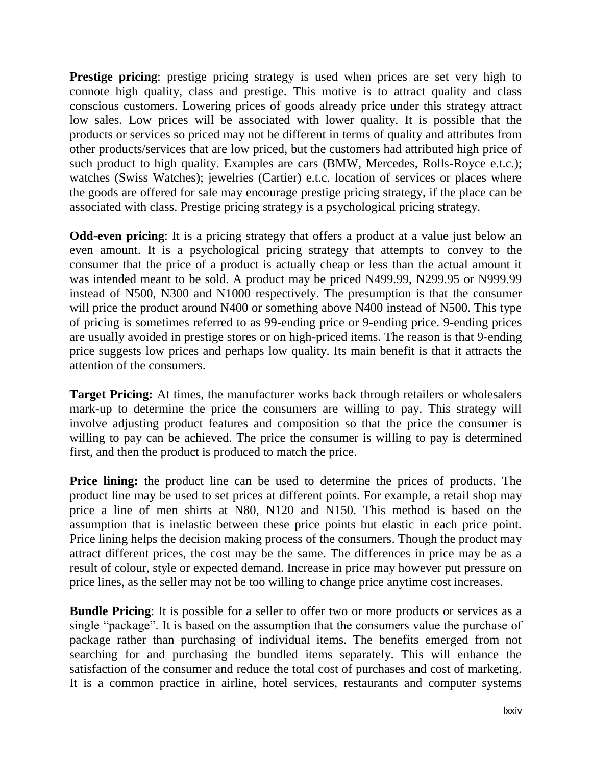**Prestige pricing**: prestige pricing strategy is used when prices are set very high to connote high quality, class and prestige. This motive is to attract quality and class conscious customers. Lowering prices of goods already price under this strategy attract low sales. Low prices will be associated with lower quality. It is possible that the products or services so priced may not be different in terms of quality and attributes from other products/services that are low priced, but the customers had attributed high price of such product to high quality. Examples are cars (BMW, Mercedes, Rolls-Royce e.t.c.); watches (Swiss Watches); jewelries (Cartier) e.t.c. location of services or places where the goods are offered for sale may encourage prestige pricing strategy, if the place can be associated with class. Prestige pricing strategy is a psychological pricing strategy.

**Odd-even pricing**: It is a pricing strategy that offers a product at a value just below an even amount. It is a psychological pricing strategy that attempts to convey to the consumer that the price of a product is actually cheap or less than the actual amount it was intended meant to be sold. A product may be priced N499.99, N299.95 or N999.99 instead of N500, N300 and N1000 respectively. The presumption is that the consumer will price the product around N400 or something above N400 instead of N500. This type of pricing is sometimes referred to as 99-ending price or 9-ending price. 9-ending prices are usually avoided in prestige stores or on high-priced items. The reason is that 9-ending price suggests low prices and perhaps low quality. Its main benefit is that it attracts the attention of the consumers.

**Target Pricing:** At times, the manufacturer works back through retailers or wholesalers mark-up to determine the price the consumers are willing to pay. This strategy will involve adjusting product features and composition so that the price the consumer is willing to pay can be achieved. The price the consumer is willing to pay is determined first, and then the product is produced to match the price.

**Price lining:** the product line can be used to determine the prices of products. The product line may be used to set prices at different points. For example, a retail shop may price a line of men shirts at N80, N120 and N150. This method is based on the assumption that is inelastic between these price points but elastic in each price point. Price lining helps the decision making process of the consumers. Though the product may attract different prices, the cost may be the same. The differences in price may be as a result of colour, style or expected demand. Increase in price may however put pressure on price lines, as the seller may not be too willing to change price anytime cost increases.

**Bundle Pricing**: It is possible for a seller to offer two or more products or services as a single "package". It is based on the assumption that the consumers value the purchase of package rather than purchasing of individual items. The benefits emerged from not searching for and purchasing the bundled items separately. This will enhance the satisfaction of the consumer and reduce the total cost of purchases and cost of marketing. It is a common practice in airline, hotel services, restaurants and computer systems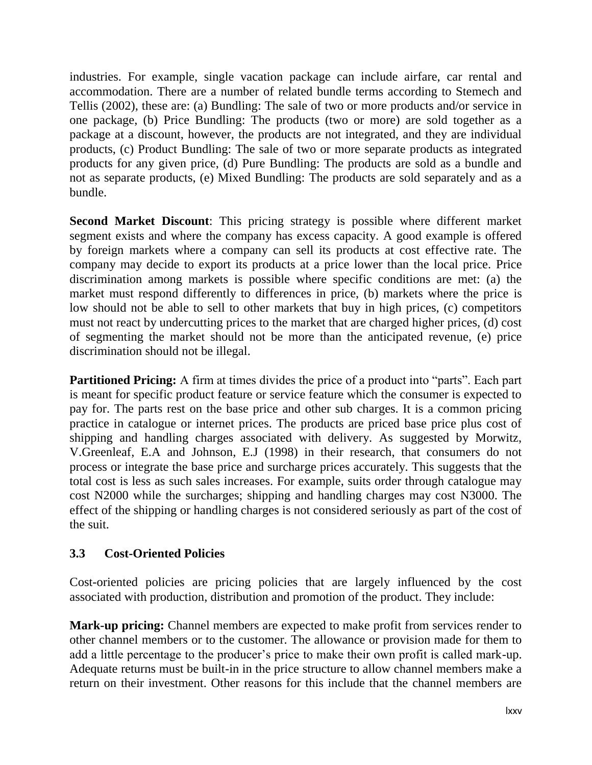industries. For example, single vacation package can include airfare, car rental and accommodation. There are a number of related bundle terms according to Stemech and Tellis (2002), these are: (a) Bundling: The sale of two or more products and/or service in one package, (b) Price Bundling: The products (two or more) are sold together as a package at a discount, however, the products are not integrated, and they are individual products, (c) Product Bundling: The sale of two or more separate products as integrated products for any given price, (d) Pure Bundling: The products are sold as a bundle and not as separate products, (e) Mixed Bundling: The products are sold separately and as a bundle.

**Second Market Discount**: This pricing strategy is possible where different market segment exists and where the company has excess capacity. A good example is offered by foreign markets where a company can sell its products at cost effective rate. The company may decide to export its products at a price lower than the local price. Price discrimination among markets is possible where specific conditions are met: (a) the market must respond differently to differences in price, (b) markets where the price is low should not be able to sell to other markets that buy in high prices, (c) competitors must not react by undercutting prices to the market that are charged higher prices, (d) cost of segmenting the market should not be more than the anticipated revenue, (e) price discrimination should not be illegal.

**Partitioned Pricing:** A firm at times divides the price of a product into "parts". Each part is meant for specific product feature or service feature which the consumer is expected to pay for. The parts rest on the base price and other sub charges. It is a common pricing practice in catalogue or internet prices. The products are priced base price plus cost of shipping and handling charges associated with delivery. As suggested by Morwitz, V.Greenleaf, E.A and Johnson, E.J (1998) in their research, that consumers do not process or integrate the base price and surcharge prices accurately. This suggests that the total cost is less as such sales increases. For example, suits order through catalogue may cost N2000 while the surcharges; shipping and handling charges may cost N3000. The effect of the shipping or handling charges is not considered seriously as part of the cost of the suit.

#### **3.3 Cost-Oriented Policies**

Cost-oriented policies are pricing policies that are largely influenced by the cost associated with production, distribution and promotion of the product. They include:

**Mark-up pricing:** Channel members are expected to make profit from services render to other channel members or to the customer. The allowance or provision made for them to add a little percentage to the producer's price to make their own profit is called mark-up. Adequate returns must be built-in in the price structure to allow channel members make a return on their investment. Other reasons for this include that the channel members are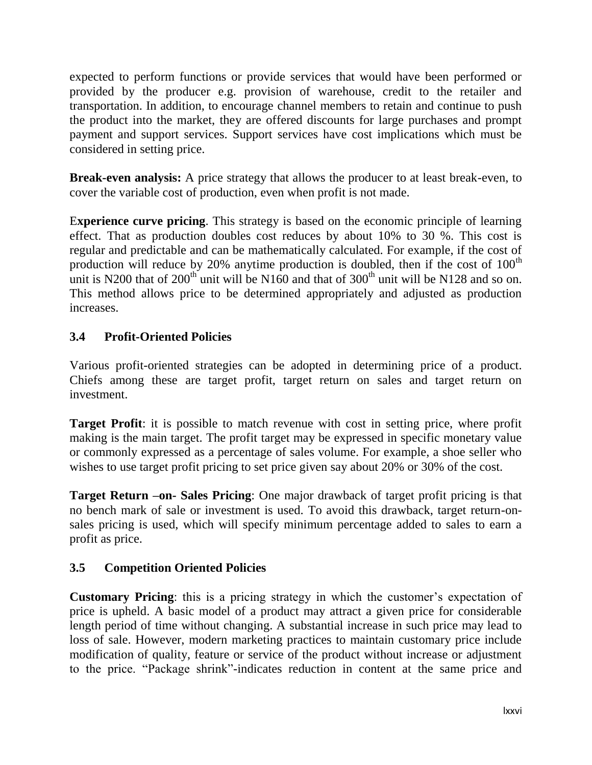expected to perform functions or provide services that would have been performed or provided by the producer e.g. provision of warehouse, credit to the retailer and transportation. In addition, to encourage channel members to retain and continue to push the product into the market, they are offered discounts for large purchases and prompt payment and support services. Support services have cost implications which must be considered in setting price.

**Break-even analysis:** A price strategy that allows the producer to at least break-even, to cover the variable cost of production, even when profit is not made.

E**xperience curve pricing**. This strategy is based on the economic principle of learning effect. That as production doubles cost reduces by about 10% to 30 %. This cost is regular and predictable and can be mathematically calculated. For example, if the cost of production will reduce by 20% anytime production is doubled, then if the cost of  $100<sup>th</sup>$ unit is N200 that of  $200<sup>th</sup>$  unit will be N160 and that of  $300<sup>th</sup>$  unit will be N128 and so on. This method allows price to be determined appropriately and adjusted as production increases.

# **3.4 Profit-Oriented Policies**

Various profit-oriented strategies can be adopted in determining price of a product. Chiefs among these are target profit, target return on sales and target return on investment.

**Target Profit**: it is possible to match revenue with cost in setting price, where profit making is the main target. The profit target may be expressed in specific monetary value or commonly expressed as a percentage of sales volume. For example, a shoe seller who wishes to use target profit pricing to set price given say about 20% or 30% of the cost.

**Target Return –on- Sales Pricing**: One major drawback of target profit pricing is that no bench mark of sale or investment is used. To avoid this drawback, target return-onsales pricing is used, which will specify minimum percentage added to sales to earn a profit as price.

# **3.5 Competition Oriented Policies**

**Customary Pricing:** this is a pricing strategy in which the customer's expectation of price is upheld. A basic model of a product may attract a given price for considerable length period of time without changing. A substantial increase in such price may lead to loss of sale. However, modern marketing practices to maintain customary price include modification of quality, feature or service of the product without increase or adjustment to the price. "Package shrink"-indicates reduction in content at the same price and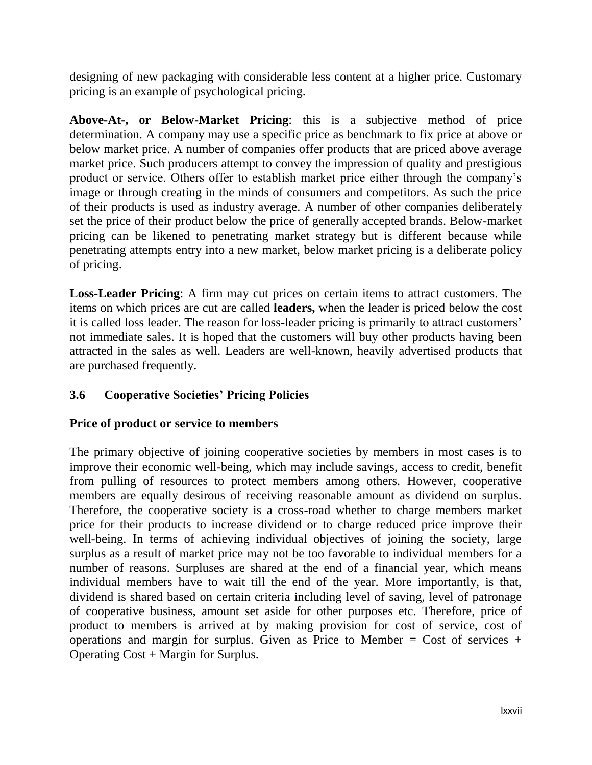designing of new packaging with considerable less content at a higher price. Customary pricing is an example of psychological pricing.

**Above-At-, or Below-Market Pricing**: this is a subjective method of price determination. A company may use a specific price as benchmark to fix price at above or below market price. A number of companies offer products that are priced above average market price. Such producers attempt to convey the impression of quality and prestigious product or service. Others offer to establish market price either through the company"s image or through creating in the minds of consumers and competitors. As such the price of their products is used as industry average. A number of other companies deliberately set the price of their product below the price of generally accepted brands. Below-market pricing can be likened to penetrating market strategy but is different because while penetrating attempts entry into a new market, below market pricing is a deliberate policy of pricing.

**Loss-Leader Pricing**: A firm may cut prices on certain items to attract customers. The items on which prices are cut are called **leaders,** when the leader is priced below the cost it is called loss leader. The reason for loss-leader pricing is primarily to attract customers" not immediate sales. It is hoped that the customers will buy other products having been attracted in the sales as well. Leaders are well-known, heavily advertised products that are purchased frequently.

# **3.6 Cooperative Societies' Pricing Policies**

#### **Price of product or service to members**

The primary objective of joining cooperative societies by members in most cases is to improve their economic well-being, which may include savings, access to credit, benefit from pulling of resources to protect members among others. However, cooperative members are equally desirous of receiving reasonable amount as dividend on surplus. Therefore, the cooperative society is a cross-road whether to charge members market price for their products to increase dividend or to charge reduced price improve their well-being. In terms of achieving individual objectives of joining the society, large surplus as a result of market price may not be too favorable to individual members for a number of reasons. Surpluses are shared at the end of a financial year, which means individual members have to wait till the end of the year. More importantly, is that, dividend is shared based on certain criteria including level of saving, level of patronage of cooperative business, amount set aside for other purposes etc. Therefore, price of product to members is arrived at by making provision for cost of service, cost of operations and margin for surplus. Given as Price to Member = Cost of services + Operating Cost + Margin for Surplus.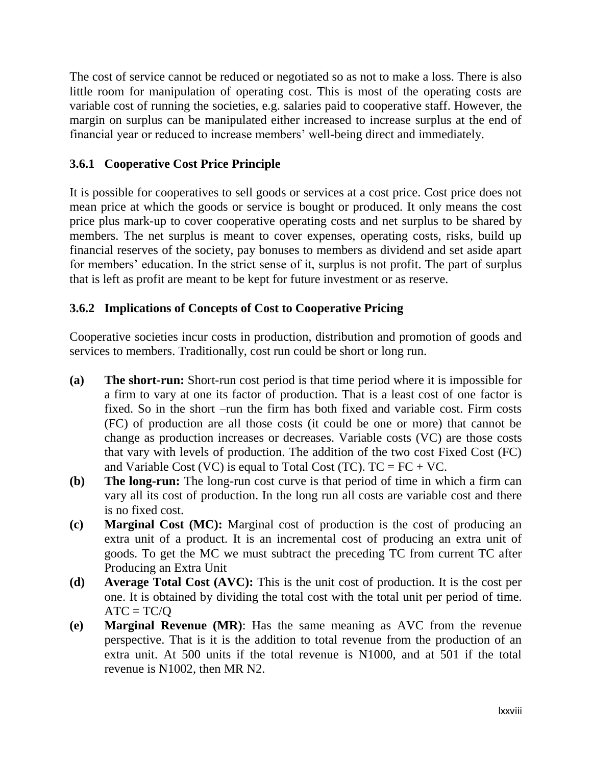The cost of service cannot be reduced or negotiated so as not to make a loss. There is also little room for manipulation of operating cost. This is most of the operating costs are variable cost of running the societies, e.g. salaries paid to cooperative staff. However, the margin on surplus can be manipulated either increased to increase surplus at the end of financial year or reduced to increase members' well-being direct and immediately.

### **3.6.1 Cooperative Cost Price Principle**

It is possible for cooperatives to sell goods or services at a cost price. Cost price does not mean price at which the goods or service is bought or produced. It only means the cost price plus mark-up to cover cooperative operating costs and net surplus to be shared by members. The net surplus is meant to cover expenses, operating costs, risks, build up financial reserves of the society, pay bonuses to members as dividend and set aside apart for members' education. In the strict sense of it, surplus is not profit. The part of surplus that is left as profit are meant to be kept for future investment or as reserve.

### **3.6.2 Implications of Concepts of Cost to Cooperative Pricing**

Cooperative societies incur costs in production, distribution and promotion of goods and services to members. Traditionally, cost run could be short or long run.

- **(a) The short-run:** Short-run cost period is that time period where it is impossible for a firm to vary at one its factor of production. That is a least cost of one factor is fixed. So in the short –run the firm has both fixed and variable cost. Firm costs (FC) of production are all those costs (it could be one or more) that cannot be change as production increases or decreases. Variable costs (VC) are those costs that vary with levels of production. The addition of the two cost Fixed Cost (FC) and Variable Cost (VC) is equal to Total Cost (TC).  $TC = FC + VC$ .
- **(b) The long-run:** The long-run cost curve is that period of time in which a firm can vary all its cost of production. In the long run all costs are variable cost and there is no fixed cost.
- **(c) Marginal Cost (MC):** Marginal cost of production is the cost of producing an extra unit of a product. It is an incremental cost of producing an extra unit of goods. To get the MC we must subtract the preceding TC from current TC after Producing an Extra Unit
- **(d) Average Total Cost (AVC):** This is the unit cost of production. It is the cost per one. It is obtained by dividing the total cost with the total unit per period of time.  $ATC = TC/O$
- **(e) Marginal Revenue (MR)**: Has the same meaning as AVC from the revenue perspective. That is it is the addition to total revenue from the production of an extra unit. At 500 units if the total revenue is N1000, and at 501 if the total revenue is N1002, then MR N2.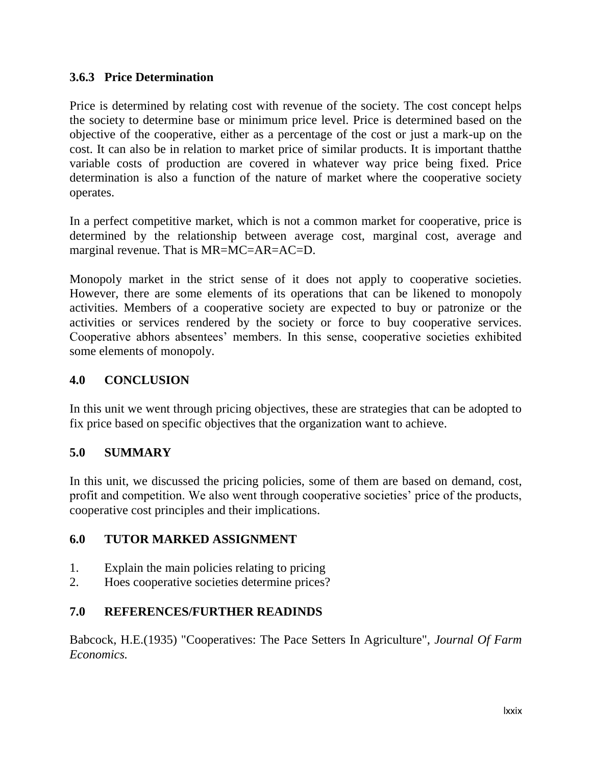### **3.6.3 Price Determination**

Price is determined by relating cost with revenue of the society. The cost concept helps the society to determine base or minimum price level. Price is determined based on the objective of the cooperative, either as a percentage of the cost or just a mark-up on the cost. It can also be in relation to market price of similar products. It is important thatthe variable costs of production are covered in whatever way price being fixed. Price determination is also a function of the nature of market where the cooperative society operates.

In a perfect competitive market, which is not a common market for cooperative, price is determined by the relationship between average cost, marginal cost, average and marginal revenue. That is MR=MC=AR=AC=D.

Monopoly market in the strict sense of it does not apply to cooperative societies. However, there are some elements of its operations that can be likened to monopoly activities. Members of a cooperative society are expected to buy or patronize or the activities or services rendered by the society or force to buy cooperative services. Cooperative abhors absentees" members. In this sense, cooperative societies exhibited some elements of monopoly.

## **4.0 CONCLUSION**

In this unit we went through pricing objectives, these are strategies that can be adopted to fix price based on specific objectives that the organization want to achieve.

#### **5.0 SUMMARY**

In this unit, we discussed the pricing policies, some of them are based on demand, cost, profit and competition. We also went through cooperative societies" price of the products, cooperative cost principles and their implications.

# **6.0 TUTOR MARKED ASSIGNMENT**

- 1. Explain the main policies relating to pricing
- 2. Hoes cooperative societies determine prices?

# **7.0 REFERENCES/FURTHER READINDS**

Babcock, H.E.(1935) "Cooperatives: The Pace Setters In Agriculture", *Journal Of Farm Economics.*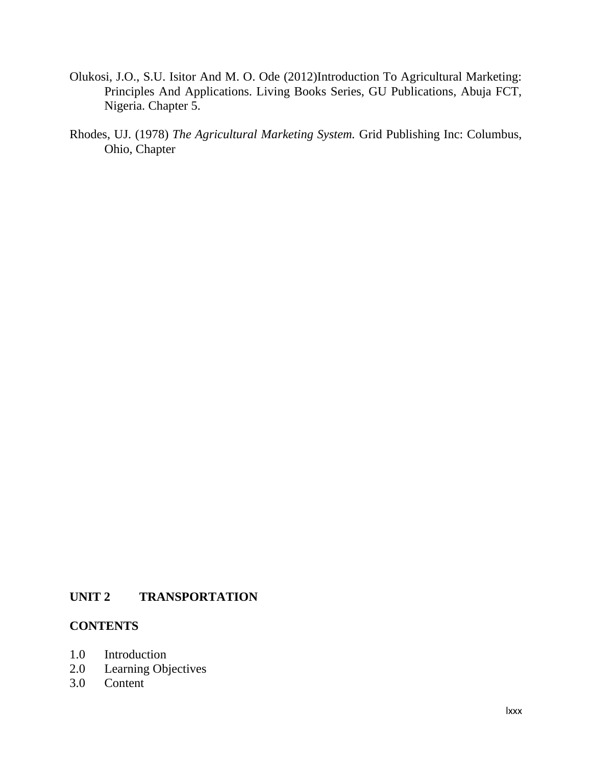- Olukosi, J.O., S.U. Isitor And M. O. Ode (2012)Introduction To Agricultural Marketing: Principles And Applications. Living Books Series, GU Publications, Abuja FCT, Nigeria. Chapter 5.
- Rhodes, UJ. (1978) *The Agricultural Marketing System.* Grid Publishing Inc: Columbus, Ohio, Chapter

#### **UNIT 2 TRANSPORTATION**

#### **CONTENTS**

- 1.0 Introduction
- 2.0 Learning Objectives
- 3.0 Content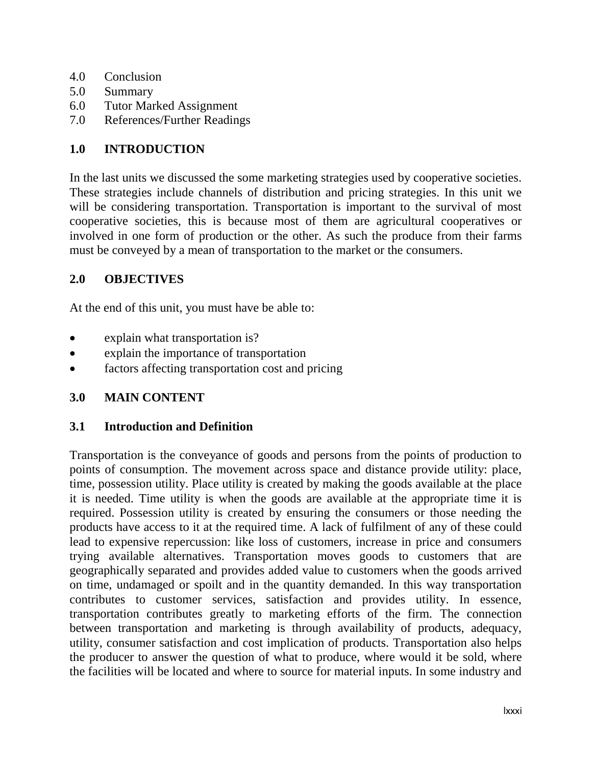- 4.0 Conclusion
- 5.0 Summary
- 6.0 Tutor Marked Assignment
- 7.0 References/Further Readings

#### **1.0 INTRODUCTION**

In the last units we discussed the some marketing strategies used by cooperative societies. These strategies include channels of distribution and pricing strategies. In this unit we will be considering transportation. Transportation is important to the survival of most cooperative societies, this is because most of them are agricultural cooperatives or involved in one form of production or the other. As such the produce from their farms must be conveyed by a mean of transportation to the market or the consumers.

#### **2.0 OBJECTIVES**

At the end of this unit, you must have be able to:

- explain what transportation is?
- explain the importance of transportation
- factors affecting transportation cost and pricing

#### **3.0 MAIN CONTENT**

#### **3.1 Introduction and Definition**

Transportation is the conveyance of goods and persons from the points of production to points of consumption. The movement across space and distance provide utility: place, time, possession utility. Place utility is created by making the goods available at the place it is needed. Time utility is when the goods are available at the appropriate time it is required. Possession utility is created by ensuring the consumers or those needing the products have access to it at the required time. A lack of fulfilment of any of these could lead to expensive repercussion: like loss of customers, increase in price and consumers trying available alternatives. Transportation moves goods to customers that are geographically separated and provides added value to customers when the goods arrived on time, undamaged or spoilt and in the quantity demanded. In this way transportation contributes to customer services, satisfaction and provides utility. In essence, transportation contributes greatly to marketing efforts of the firm. The connection between transportation and marketing is through availability of products, adequacy, utility, consumer satisfaction and cost implication of products. Transportation also helps the producer to answer the question of what to produce, where would it be sold, where the facilities will be located and where to source for material inputs. In some industry and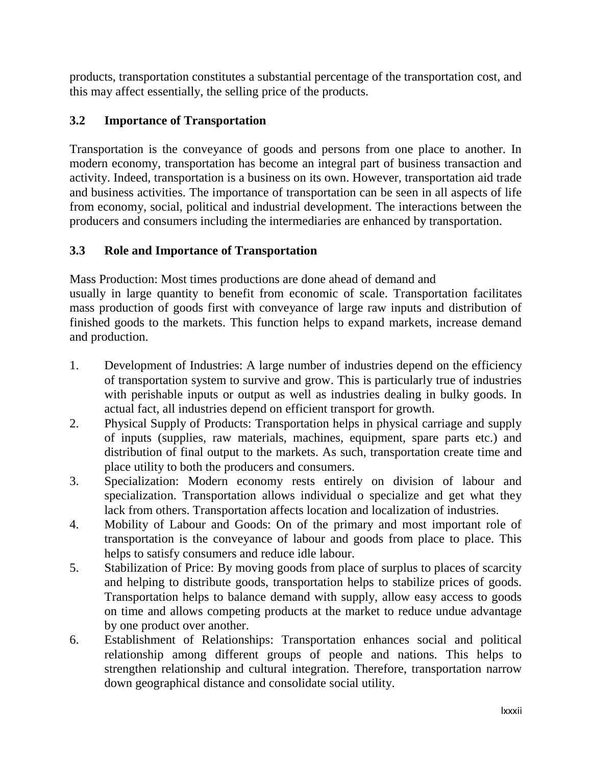products, transportation constitutes a substantial percentage of the transportation cost, and this may affect essentially, the selling price of the products.

## **3.2 Importance of Transportation**

Transportation is the conveyance of goods and persons from one place to another. In modern economy, transportation has become an integral part of business transaction and activity. Indeed, transportation is a business on its own. However, transportation aid trade and business activities. The importance of transportation can be seen in all aspects of life from economy, social, political and industrial development. The interactions between the producers and consumers including the intermediaries are enhanced by transportation.

### **3.3 Role and Importance of Transportation**

Mass Production: Most times productions are done ahead of demand and

usually in large quantity to benefit from economic of scale. Transportation facilitates mass production of goods first with conveyance of large raw inputs and distribution of finished goods to the markets. This function helps to expand markets, increase demand and production.

- 1. Development of Industries: A large number of industries depend on the efficiency of transportation system to survive and grow. This is particularly true of industries with perishable inputs or output as well as industries dealing in bulky goods. In actual fact, all industries depend on efficient transport for growth.
- 2. Physical Supply of Products: Transportation helps in physical carriage and supply of inputs (supplies, raw materials, machines, equipment, spare parts etc.) and distribution of final output to the markets. As such, transportation create time and place utility to both the producers and consumers.
- 3. Specialization: Modern economy rests entirely on division of labour and specialization. Transportation allows individual o specialize and get what they lack from others. Transportation affects location and localization of industries.
- 4. Mobility of Labour and Goods: On of the primary and most important role of transportation is the conveyance of labour and goods from place to place. This helps to satisfy consumers and reduce idle labour.
- 5. Stabilization of Price: By moving goods from place of surplus to places of scarcity and helping to distribute goods, transportation helps to stabilize prices of goods. Transportation helps to balance demand with supply, allow easy access to goods on time and allows competing products at the market to reduce undue advantage by one product over another.
- 6. Establishment of Relationships: Transportation enhances social and political relationship among different groups of people and nations. This helps to strengthen relationship and cultural integration. Therefore, transportation narrow down geographical distance and consolidate social utility.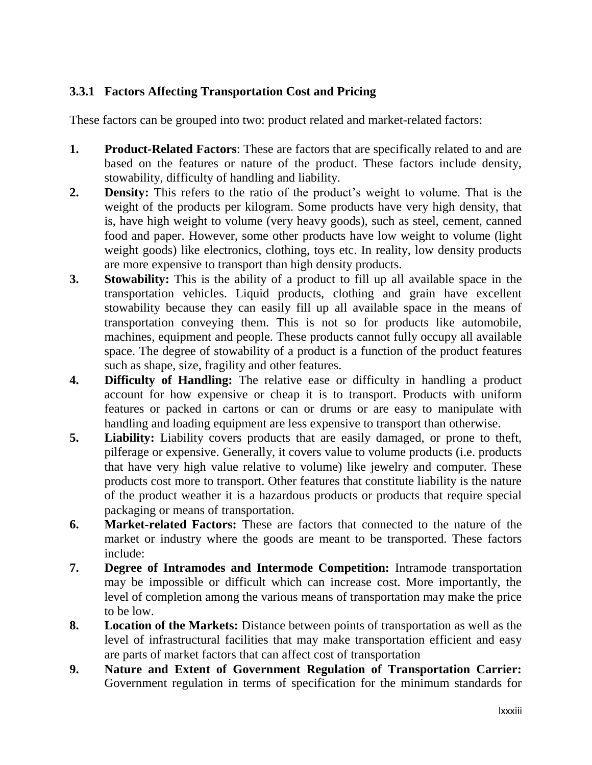# **3.3.1 Factors Affecting Transportation Cost and Pricing**

These factors can be grouped into two: product related and market-related factors:

- **1. Product-Related Factors**: These are factors that are specifically related to and are based on the features or nature of the product. These factors include density, stowability, difficulty of handling and liability.
- **2. Density:** This refers to the ratio of the product"s weight to volume. That is the weight of the products per kilogram. Some products have very high density, that is, have high weight to volume (very heavy goods), such as steel, cement, canned food and paper. However, some other products have low weight to volume (light weight goods) like electronics, clothing, toys etc. In reality, low density products are more expensive to transport than high density products.
- **3. Stowability:** This is the ability of a product to fill up all available space in the transportation vehicles. Liquid products, clothing and grain have excellent stowability because they can easily fill up all available space in the means of transportation conveying them. This is not so for products like automobile, machines, equipment and people. These products cannot fully occupy all available space. The degree of stowability of a product is a function of the product features such as shape, size, fragility and other features.
- **4. Difficulty of Handling:** The relative ease or difficulty in handling a product account for how expensive or cheap it is to transport. Products with uniform features or packed in cartons or can or drums or are easy to manipulate with handling and loading equipment are less expensive to transport than otherwise.
- **5. Liability:** Liability covers products that are easily damaged, or prone to theft, pilferage or expensive. Generally, it covers value to volume products (i.e. products that have very high value relative to volume) like jewelry and computer. These products cost more to transport. Other features that constitute liability is the nature of the product weather it is a hazardous products or products that require special packaging or means of transportation.
- **6. Market-related Factors:** These are factors that connected to the nature of the market or industry where the goods are meant to be transported. These factors include:
- **7. Degree of Intramodes and Intermode Competition:** Intramode transportation may be impossible or difficult which can increase cost. More importantly, the level of completion among the various means of transportation may make the price to be low.
- **8. Location of the Markets:** Distance between points of transportation as well as the level of infrastructural facilities that may make transportation efficient and easy are parts of market factors that can affect cost of transportation
- **9. Nature and Extent of Government Regulation of Transportation Carrier:** Government regulation in terms of specification for the minimum standards for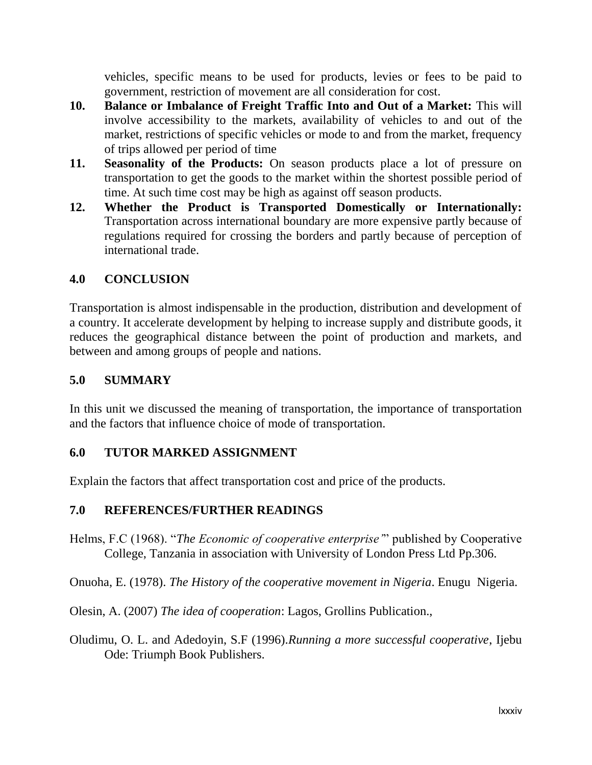vehicles, specific means to be used for products, levies or fees to be paid to government, restriction of movement are all consideration for cost.

- **10. Balance or Imbalance of Freight Traffic Into and Out of a Market:** This will involve accessibility to the markets, availability of vehicles to and out of the market, restrictions of specific vehicles or mode to and from the market, frequency of trips allowed per period of time
- **11. Seasonality of the Products:** On season products place a lot of pressure on transportation to get the goods to the market within the shortest possible period of time. At such time cost may be high as against off season products.
- **12. Whether the Product is Transported Domestically or Internationally:** Transportation across international boundary are more expensive partly because of regulations required for crossing the borders and partly because of perception of international trade.

#### **4.0 CONCLUSION**

Transportation is almost indispensable in the production, distribution and development of a country. It accelerate development by helping to increase supply and distribute goods, it reduces the geographical distance between the point of production and markets, and between and among groups of people and nations.

### **5.0 SUMMARY**

In this unit we discussed the meaning of transportation, the importance of transportation and the factors that influence choice of mode of transportation.

#### **6.0 TUTOR MARKED ASSIGNMENT**

Explain the factors that affect transportation cost and price of the products.

# **7.0 REFERENCES/FURTHER READINGS**

Helms, F.C (1968). "*The Economic of cooperative enterprise'*" published by Cooperative College, Tanzania in association with University of London Press Ltd Pp.306.

Onuoha, E. (1978). *The History of the cooperative movement in Nigeria*. Enugu Nigeria.

Olesin, A. (2007) *The idea of cooperation*: Lagos, Grollins Publication.,

Oludimu, O. L. and Adedoyin, S.F (1996).*Running a more successful cooperative*, Ijebu Ode: Triumph Book Publishers.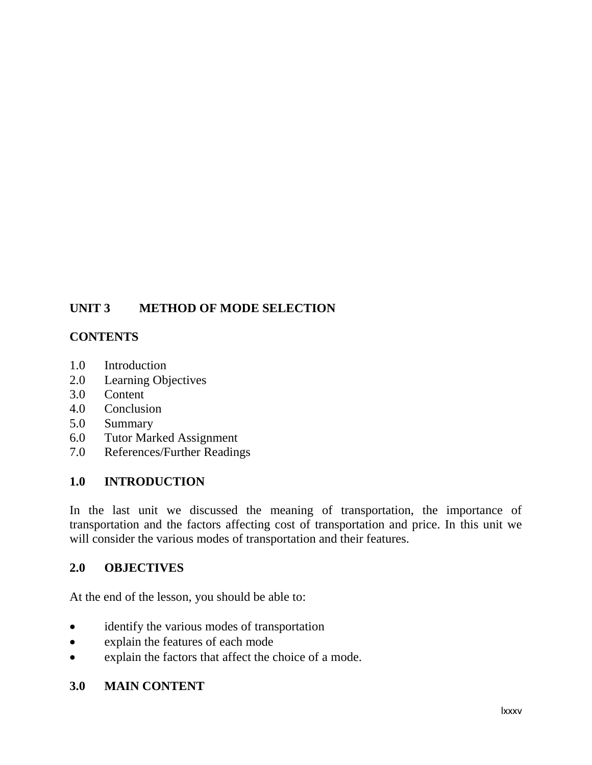# **UNIT 3 METHOD OF MODE SELECTION**

#### **CONTENTS**

- 1.0 Introduction
- 2.0 Learning Objectives
- 3.0 Content
- 4.0 Conclusion
- 5.0 Summary
- 6.0 Tutor Marked Assignment
- 7.0 References/Further Readings

#### **1.0 INTRODUCTION**

In the last unit we discussed the meaning of transportation, the importance of transportation and the factors affecting cost of transportation and price. In this unit we will consider the various modes of transportation and their features.

#### **2.0 OBJECTIVES**

At the end of the lesson, you should be able to:

- identify the various modes of transportation
- explain the features of each mode
- explain the factors that affect the choice of a mode.

#### **3.0 MAIN CONTENT**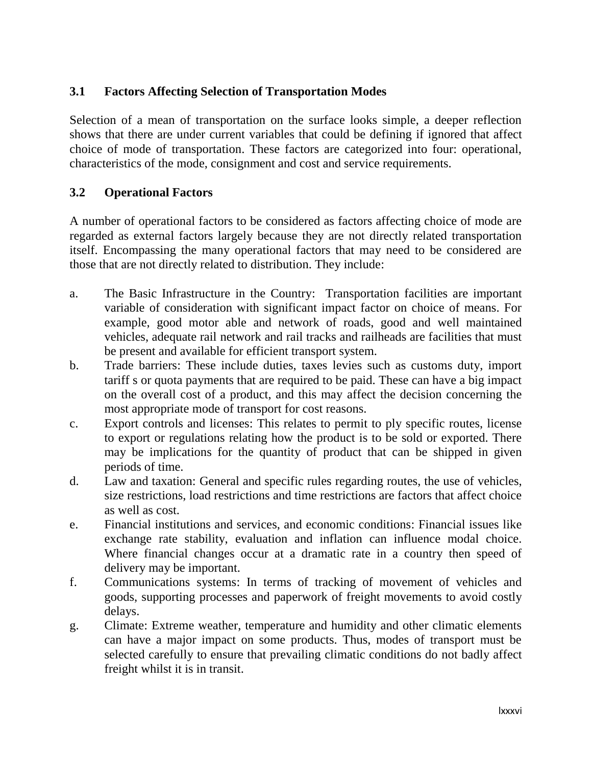## **3.1 Factors Affecting Selection of Transportation Modes**

Selection of a mean of transportation on the surface looks simple, a deeper reflection shows that there are under current variables that could be defining if ignored that affect choice of mode of transportation. These factors are categorized into four: operational, characteristics of the mode, consignment and cost and service requirements.

#### **3.2 Operational Factors**

A number of operational factors to be considered as factors affecting choice of mode are regarded as external factors largely because they are not directly related transportation itself. Encompassing the many operational factors that may need to be considered are those that are not directly related to distribution. They include:

- a. The Basic Infrastructure in the Country: Transportation facilities are important variable of consideration with significant impact factor on choice of means. For example, good motor able and network of roads, good and well maintained vehicles, adequate rail network and rail tracks and railheads are facilities that must be present and available for efficient transport system.
- b. Trade barriers: These include duties, taxes levies such as customs duty, import tariff s or quota payments that are required to be paid. These can have a big impact on the overall cost of a product, and this may affect the decision concerning the most appropriate mode of transport for cost reasons.
- c. Export controls and licenses: This relates to permit to ply specific routes, license to export or regulations relating how the product is to be sold or exported. There may be implications for the quantity of product that can be shipped in given periods of time.
- d. Law and taxation: General and specific rules regarding routes, the use of vehicles, size restrictions, load restrictions and time restrictions are factors that affect choice as well as cost.
- e. Financial institutions and services, and economic conditions: Financial issues like exchange rate stability, evaluation and inflation can influence modal choice. Where financial changes occur at a dramatic rate in a country then speed of delivery may be important.
- f. Communications systems: In terms of tracking of movement of vehicles and goods, supporting processes and paperwork of freight movements to avoid costly delays.
- g. Climate: Extreme weather, temperature and humidity and other climatic elements can have a major impact on some products. Thus, modes of transport must be selected carefully to ensure that prevailing climatic conditions do not badly affect freight whilst it is in transit.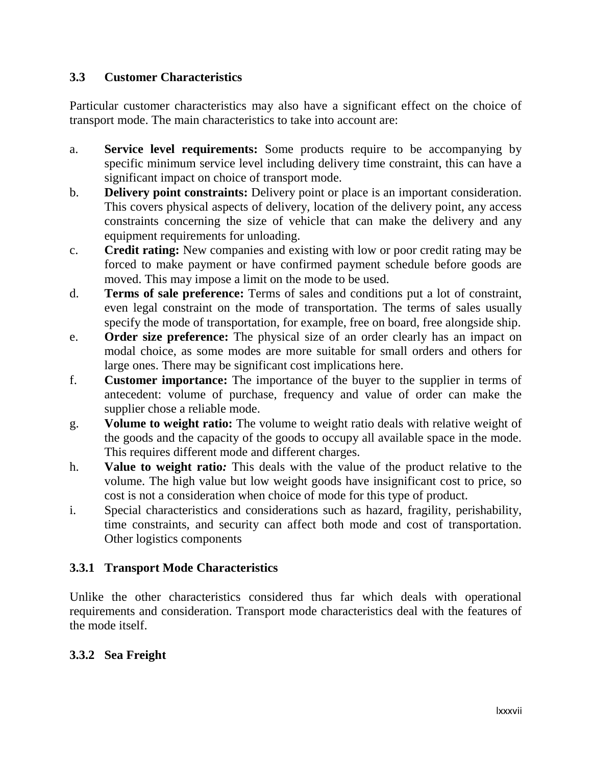#### **3.3 Customer Characteristics**

Particular customer characteristics may also have a significant effect on the choice of transport mode. The main characteristics to take into account are:

- a. **Service level requirements:** Some products require to be accompanying by specific minimum service level including delivery time constraint, this can have a significant impact on choice of transport mode.
- b. **Delivery point constraints:** Delivery point or place is an important consideration. This covers physical aspects of delivery, location of the delivery point, any access constraints concerning the size of vehicle that can make the delivery and any equipment requirements for unloading.
- c. **Credit rating:** New companies and existing with low or poor credit rating may be forced to make payment or have confirmed payment schedule before goods are moved. This may impose a limit on the mode to be used.
- d. **Terms of sale preference:** Terms of sales and conditions put a lot of constraint, even legal constraint on the mode of transportation. The terms of sales usually specify the mode of transportation, for example, free on board, free alongside ship.
- e. **Order size preference:** The physical size of an order clearly has an impact on modal choice, as some modes are more suitable for small orders and others for large ones. There may be significant cost implications here.
- f. **Customer importance:** The importance of the buyer to the supplier in terms of antecedent: volume of purchase, frequency and value of order can make the supplier chose a reliable mode.
- g. **Volume to weight ratio:** The volume to weight ratio deals with relative weight of the goods and the capacity of the goods to occupy all available space in the mode. This requires different mode and different charges.
- h. **Value to weight ratio***:* This deals with the value of the product relative to the volume. The high value but low weight goods have insignificant cost to price, so cost is not a consideration when choice of mode for this type of product.
- i. Special characteristics and considerations such as hazard, fragility, perishability, time constraints, and security can affect both mode and cost of transportation. Other logistics components

# **3.3.1 Transport Mode Characteristics**

Unlike the other characteristics considered thus far which deals with operational requirements and consideration. Transport mode characteristics deal with the features of the mode itself.

# **3.3.2 Sea Freight**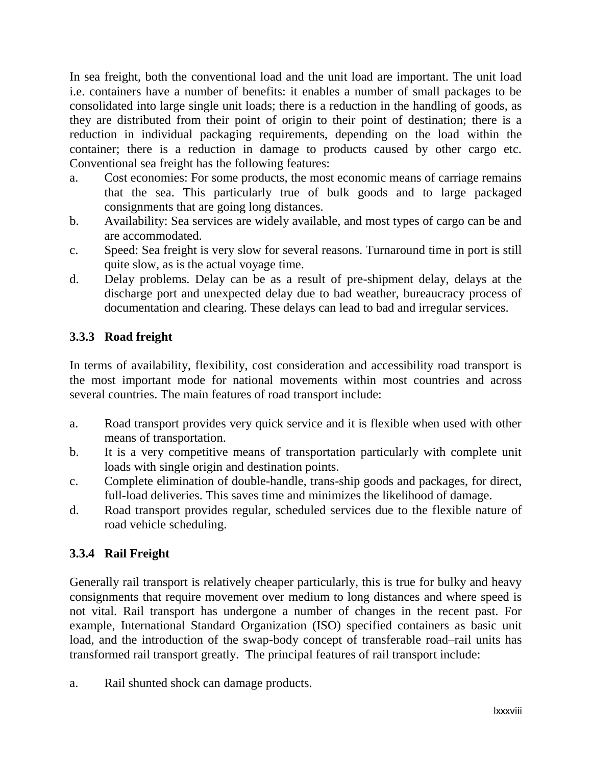In sea freight, both the conventional load and the unit load are important. The unit load i.e. containers have a number of benefits: it enables a number of small packages to be consolidated into large single unit loads; there is a reduction in the handling of goods, as they are distributed from their point of origin to their point of destination; there is a reduction in individual packaging requirements, depending on the load within the container; there is a reduction in damage to products caused by other cargo etc. Conventional sea freight has the following features:

- a. Cost economies: For some products, the most economic means of carriage remains that the sea. This particularly true of bulk goods and to large packaged consignments that are going long distances.
- b. Availability: Sea services are widely available, and most types of cargo can be and are accommodated.
- c. Speed: Sea freight is very slow for several reasons. Turnaround time in port is still quite slow, as is the actual voyage time.
- d. Delay problems. Delay can be as a result of pre-shipment delay, delays at the discharge port and unexpected delay due to bad weather, bureaucracy process of documentation and clearing. These delays can lead to bad and irregular services.

# **3.3.3 Road freight**

In terms of availability, flexibility, cost consideration and accessibility road transport is the most important mode for national movements within most countries and across several countries. The main features of road transport include:

- a. Road transport provides very quick service and it is flexible when used with other means of transportation.
- b. It is a very competitive means of transportation particularly with complete unit loads with single origin and destination points.
- c. Complete elimination of double-handle, trans-ship goods and packages, for direct, full-load deliveries. This saves time and minimizes the likelihood of damage.
- d. Road transport provides regular, scheduled services due to the flexible nature of road vehicle scheduling.

# **3.3.4 Rail Freight**

Generally rail transport is relatively cheaper particularly, this is true for bulky and heavy consignments that require movement over medium to long distances and where speed is not vital. Rail transport has undergone a number of changes in the recent past. For example, International Standard Organization (ISO) specified containers as basic unit load, and the introduction of the swap-body concept of transferable road–rail units has transformed rail transport greatly. The principal features of rail transport include:

a. Rail shunted shock can damage products.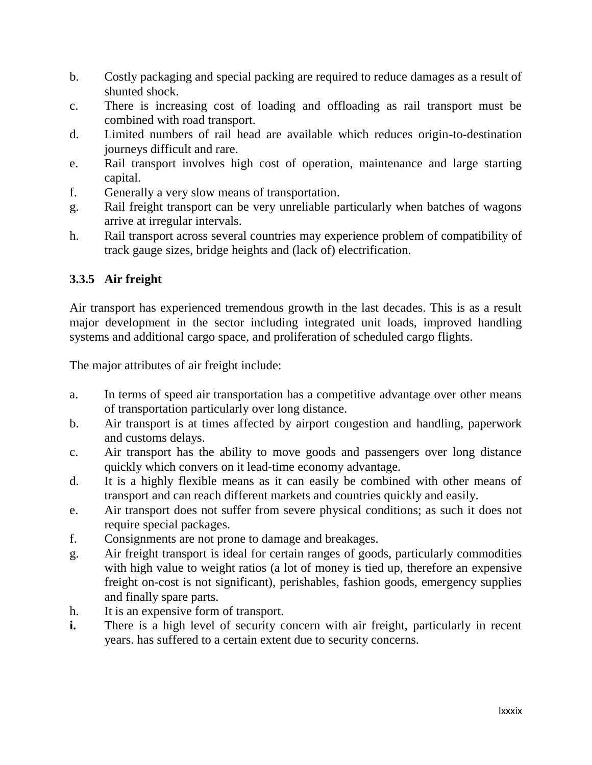- b. Costly packaging and special packing are required to reduce damages as a result of shunted shock.
- c. There is increasing cost of loading and offloading as rail transport must be combined with road transport.
- d. Limited numbers of rail head are available which reduces origin-to-destination journeys difficult and rare.
- e. Rail transport involves high cost of operation, maintenance and large starting capital.
- f. Generally a very slow means of transportation.
- g. Rail freight transport can be very unreliable particularly when batches of wagons arrive at irregular intervals.
- h. Rail transport across several countries may experience problem of compatibility of track gauge sizes, bridge heights and (lack of) electrification.

# **3.3.5 Air freight**

Air transport has experienced tremendous growth in the last decades. This is as a result major development in the sector including integrated unit loads, improved handling systems and additional cargo space, and proliferation of scheduled cargo flights.

The major attributes of air freight include:

- a. In terms of speed air transportation has a competitive advantage over other means of transportation particularly over long distance.
- b. Air transport is at times affected by airport congestion and handling, paperwork and customs delays.
- c. Air transport has the ability to move goods and passengers over long distance quickly which convers on it lead-time economy advantage.
- d. It is a highly flexible means as it can easily be combined with other means of transport and can reach different markets and countries quickly and easily.
- e. Air transport does not suffer from severe physical conditions; as such it does not require special packages.
- f. Consignments are not prone to damage and breakages.
- g. Air freight transport is ideal for certain ranges of goods, particularly commodities with high value to weight ratios (a lot of money is tied up, therefore an expensive freight on-cost is not significant), perishables, fashion goods, emergency supplies and finally spare parts.
- h. It is an expensive form of transport.
- **i.** There is a high level of security concern with air freight, particularly in recent years. has suffered to a certain extent due to security concerns.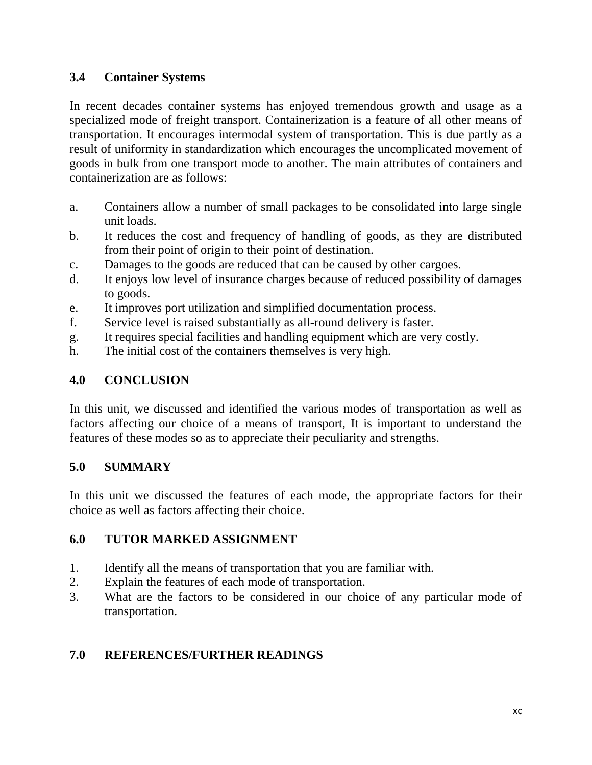### **3.4 Container Systems**

In recent decades container systems has enjoyed tremendous growth and usage as a specialized mode of freight transport. Containerization is a feature of all other means of transportation. It encourages intermodal system of transportation. This is due partly as a result of uniformity in standardization which encourages the uncomplicated movement of goods in bulk from one transport mode to another. The main attributes of containers and containerization are as follows:

- a. Containers allow a number of small packages to be consolidated into large single unit loads.
- b. It reduces the cost and frequency of handling of goods, as they are distributed from their point of origin to their point of destination.
- c. Damages to the goods are reduced that can be caused by other cargoes.
- d. It enjoys low level of insurance charges because of reduced possibility of damages to goods.
- e. It improves port utilization and simplified documentation process.
- f. Service level is raised substantially as all-round delivery is faster.
- g. It requires special facilities and handling equipment which are very costly.
- h. The initial cost of the containers themselves is very high.

# **4.0 CONCLUSION**

In this unit, we discussed and identified the various modes of transportation as well as factors affecting our choice of a means of transport, It is important to understand the features of these modes so as to appreciate their peculiarity and strengths.

# **5.0 SUMMARY**

In this unit we discussed the features of each mode, the appropriate factors for their choice as well as factors affecting their choice.

# **6.0 TUTOR MARKED ASSIGNMENT**

- 1. Identify all the means of transportation that you are familiar with.
- 2. Explain the features of each mode of transportation.
- 3. What are the factors to be considered in our choice of any particular mode of transportation.

# **7.0 REFERENCES/FURTHER READINGS**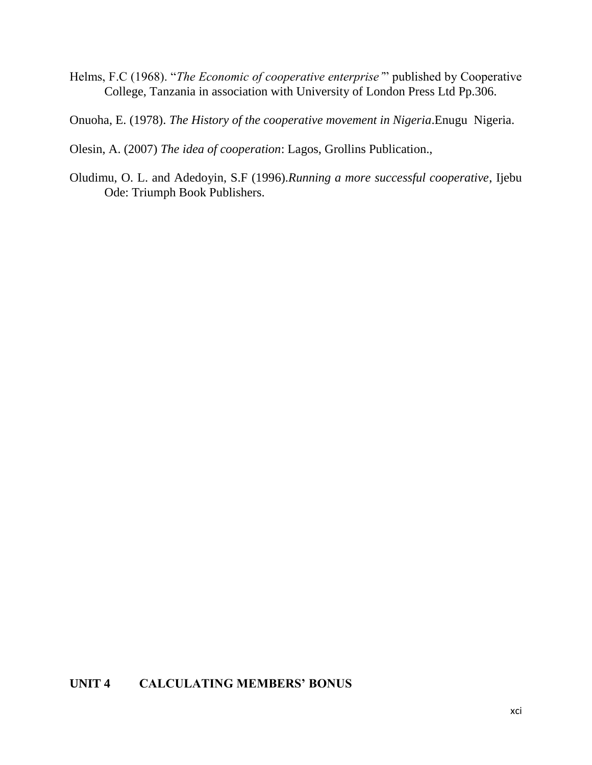- Helms, F.C (1968). "*The Economic of cooperative enterprise'*" published by Cooperative College, Tanzania in association with University of London Press Ltd Pp.306.
- Onuoha, E. (1978). *The History of the cooperative movement in Nigeria*.Enugu Nigeria.

Olesin, A. (2007) *The idea of cooperation*: Lagos, Grollins Publication.,

Oludimu, O. L. and Adedoyin, S.F (1996).*Running a more successful cooperative*, Ijebu Ode: Triumph Book Publishers.

### **UNIT 4 CALCULATING MEMBERS' BONUS**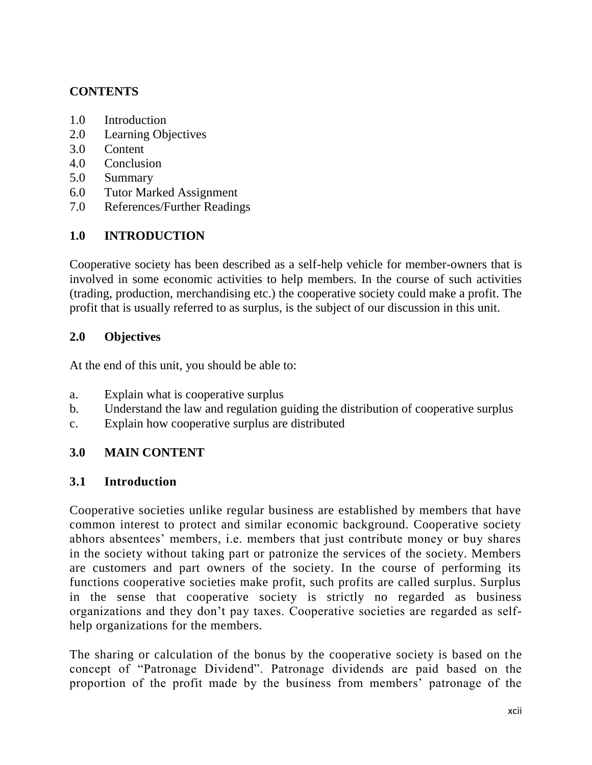# **CONTENTS**

- 1.0 Introduction
- 2.0 Learning Objectives
- 3.0 Content
- 4.0 Conclusion
- 5.0 Summary
- 6.0 Tutor Marked Assignment
- 7.0 References/Further Readings

# **1.0 INTRODUCTION**

Cooperative society has been described as a self-help vehicle for member-owners that is involved in some economic activities to help members. In the course of such activities (trading, production, merchandising etc.) the cooperative society could make a profit. The profit that is usually referred to as surplus, is the subject of our discussion in this unit.

### **2.0 Objectives**

At the end of this unit, you should be able to:

- a. Explain what is cooperative surplus
- b. Understand the law and regulation guiding the distribution of cooperative surplus
- c. Explain how cooperative surplus are distributed

# **3.0 MAIN CONTENT**

#### **3.1 Introduction**

Cooperative societies unlike regular business are established by members that have common interest to protect and similar economic background. Cooperative society abhors absentees' members, *i.e.* members that just contribute money or buy shares in the society without taking part or patronize the services of the society. Members are customers and part owners of the society. In the course of performing its functions cooperative societies make profit, such profits are called surplus. Surplus in the sense that cooperative society is strictly no regarded as business organizations and they don"t pay taxes. Cooperative societies are regarded as selfhelp organizations for the members.

The sharing or calculation of the bonus by the cooperative society is based on the concept of "Patronage Dividend". Patronage dividends are paid based on the proportion of the profit made by the business from members" patronage of the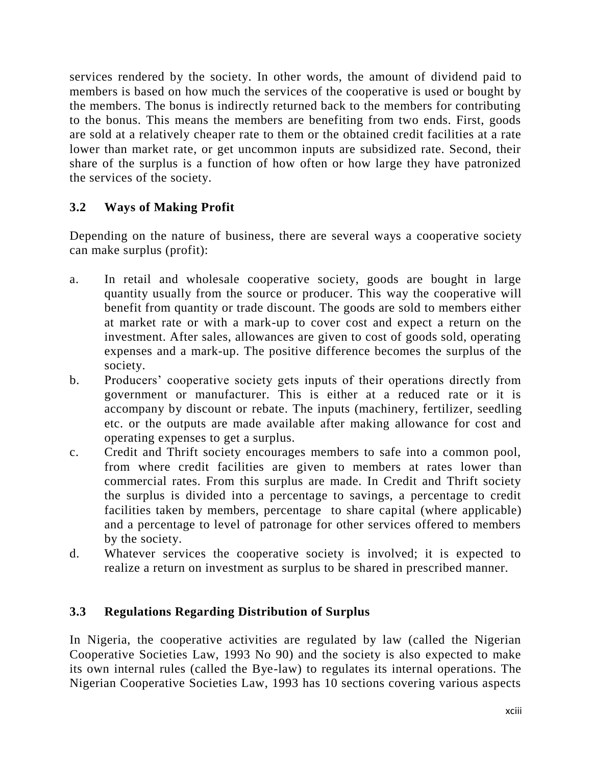services rendered by the society. In other words, the amount of dividend paid to members is based on how much the services of the cooperative is used or bought by the members. The bonus is indirectly returned back to the members for contributing to the bonus. This means the members are benefiting from two ends. First, goods are sold at a relatively cheaper rate to them or the obtained credit facilities at a rate lower than market rate, or get uncommon inputs are subsidized rate. Second, their share of the surplus is a function of how often or how large they have patronized the services of the society.

# **3.2 Ways of Making Profit**

Depending on the nature of business, there are several ways a cooperative society can make surplus (profit):

- a. In retail and wholesale cooperative society, goods are bought in large quantity usually from the source or producer. This way the cooperative will benefit from quantity or trade discount. The goods are sold to members either at market rate or with a mark-up to cover cost and expect a return on the investment. After sales, allowances are given to cost of goods sold, operating expenses and a mark-up. The positive difference becomes the surplus of the society.
- b. Producers" cooperative society gets inputs of their operations directly from government or manufacturer. This is either at a reduced rate or it is accompany by discount or rebate. The inputs (machinery, fertilizer, seedling etc. or the outputs are made available after making allowance for cost and operating expenses to get a surplus.
- c. Credit and Thrift society encourages members to safe into a common pool, from where credit facilities are given to members at rates lower than commercial rates. From this surplus are made. In Credit and Thrift society the surplus is divided into a percentage to savings, a percentage to credit facilities taken by members, percentage to share capital (where applicable) and a percentage to level of patronage for other services offered to members by the society.
- d. Whatever services the cooperative society is involved; it is expected to realize a return on investment as surplus to be shared in prescribed manner.

# **3.3 Regulations Regarding Distribution of Surplus**

In Nigeria, the cooperative activities are regulated by law (called the Nigerian Cooperative Societies Law, 1993 No 90) and the society is also expected to make its own internal rules (called the Bye-law) to regulates its internal operations. The Nigerian Cooperative Societies Law, 1993 has 10 sections covering various aspects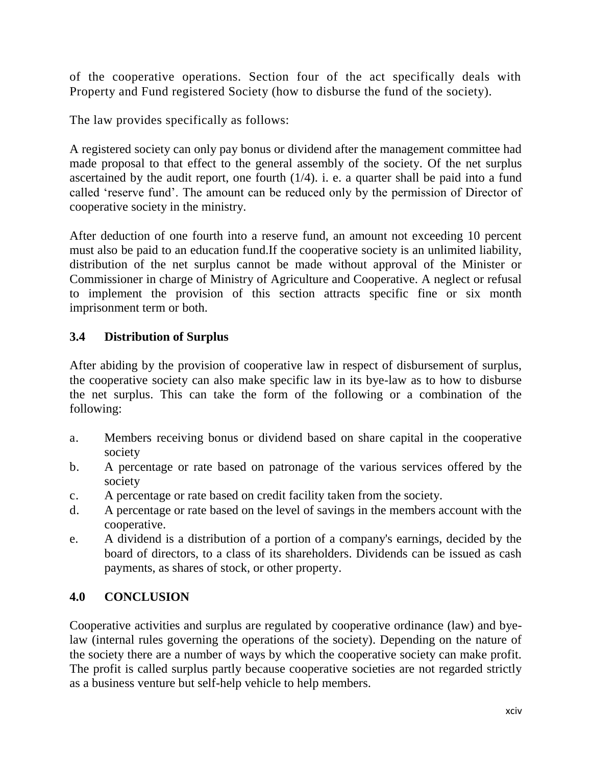of the cooperative operations. Section four of the act specifically deals with Property and Fund registered Society (how to disburse the fund of the society).

The law provides specifically as follows:

A registered society can only pay bonus or dividend after the management committee had made proposal to that effect to the general assembly of the society. Of the net surplus ascertained by the audit report, one fourth  $(1/4)$ . i. e. a quarter shall be paid into a fund called "reserve fund". The amount can be reduced only by the permission of Director of cooperative society in the ministry.

After deduction of one fourth into a reserve fund, an amount not exceeding 10 percent must also be paid to an education fund.If the cooperative society is an unlimited liability, distribution of the net surplus cannot be made without approval of the Minister or Commissioner in charge of Ministry of Agriculture and Cooperative. A neglect or refusal to implement the provision of this section attracts specific fine or six month imprisonment term or both.

# **3.4 Distribution of Surplus**

After abiding by the provision of cooperative law in respect of disbursement of surplus, the cooperative society can also make specific law in its bye-law as to how to disburse the net surplus. This can take the form of the following or a combination of the following:

- a. Members receiving bonus or dividend based on share capital in the cooperative society
- b. A percentage or rate based on patronage of the various services offered by the society
- c. A percentage or rate based on credit facility taken from the society.
- d. A percentage or rate based on the level of savings in the members account with the cooperative.
- e. A dividend is a distribution of a portion of a company's earnings, decided by the board of directors, to a class of its shareholders. Dividends can be issued as cash payments, as shares of stock, or other property.

# **4.0 CONCLUSION**

Cooperative activities and surplus are regulated by cooperative ordinance (law) and byelaw (internal rules governing the operations of the society). Depending on the nature of the society there are a number of ways by which the cooperative society can make profit. The profit is called surplus partly because cooperative societies are not regarded strictly as a business venture but self-help vehicle to help members.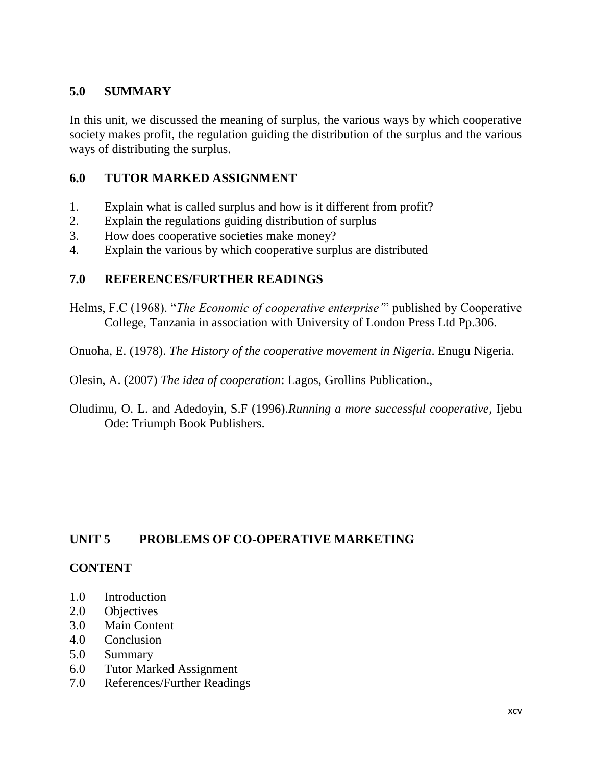### **5.0 SUMMARY**

In this unit, we discussed the meaning of surplus, the various ways by which cooperative society makes profit, the regulation guiding the distribution of the surplus and the various ways of distributing the surplus.

### **6.0 TUTOR MARKED ASSIGNMENT**

- 1. Explain what is called surplus and how is it different from profit?
- 2. Explain the regulations guiding distribution of surplus
- 3. How does cooperative societies make money?
- 4. Explain the various by which cooperative surplus are distributed

#### **7.0 REFERENCES/FURTHER READINGS**

Helms, F.C (1968). "*The Economic of cooperative enterprise'*" published by Cooperative College, Tanzania in association with University of London Press Ltd Pp.306.

Onuoha, E. (1978). *The History of the cooperative movement in Nigeria*. Enugu Nigeria.

Olesin, A. (2007) *The idea of cooperation*: Lagos, Grollins Publication.,

Oludimu, O. L. and Adedoyin, S.F (1996).*Running a more successful cooperative*, Ijebu Ode: Triumph Book Publishers.

#### **UNIT 5 PROBLEMS OF CO-OPERATIVE MARKETING**

#### **CONTENT**

- 1.0 Introduction
- 2.0 Objectives
- 3.0 Main Content
- 4.0 Conclusion
- 5.0 Summary
- 6.0 Tutor Marked Assignment
- 7.0 References/Further Readings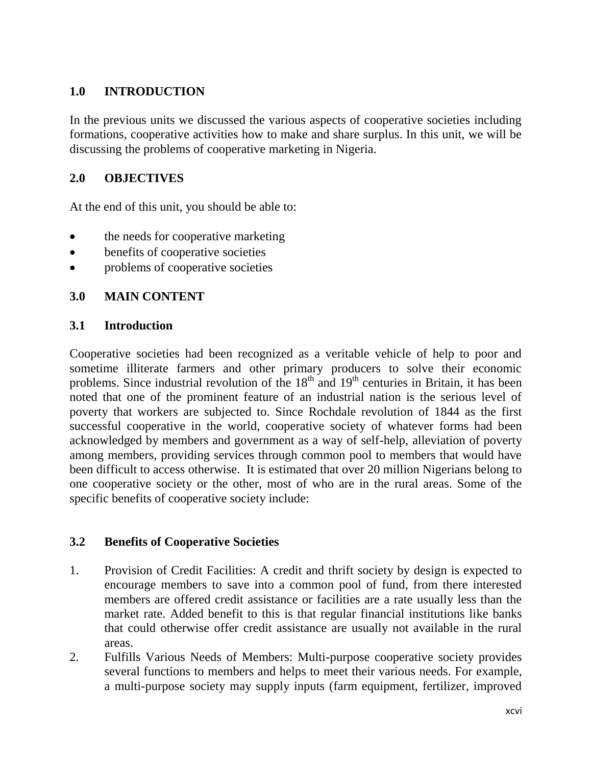# **1.0 INTRODUCTION**

In the previous units we discussed the various aspects of cooperative societies including formations, cooperative activities how to make and share surplus. In this unit, we will be discussing the problems of cooperative marketing in Nigeria.

## **2.0 OBJECTIVES**

At the end of this unit, you should be able to:

- the needs for cooperative marketing
- benefits of cooperative societies
- problems of cooperative societies

# **3.0 MAIN CONTENT**

### **3.1 Introduction**

Cooperative societies had been recognized as a veritable vehicle of help to poor and sometime illiterate farmers and other primary producers to solve their economic problems. Since industrial revolution of the  $18<sup>th</sup>$  and  $19<sup>th</sup>$  centuries in Britain, it has been noted that one of the prominent feature of an industrial nation is the serious level of poverty that workers are subjected to. Since Rochdale revolution of 1844 as the first successful cooperative in the world, cooperative society of whatever forms had been acknowledged by members and government as a way of self-help, alleviation of poverty among members, providing services through common pool to members that would have been difficult to access otherwise. It is estimated that over 20 million Nigerians belong to one cooperative society or the other, most of who are in the rural areas. Some of the specific benefits of cooperative society include:

#### **3.2 Benefits of Cooperative Societies**

- 1. Provision of Credit Facilities: A credit and thrift society by design is expected to encourage members to save into a common pool of fund, from there interested members are offered credit assistance or facilities are a rate usually less than the market rate. Added benefit to this is that regular financial institutions like banks that could otherwise offer credit assistance are usually not available in the rural areas.
- 2. Fulfills Various Needs of Members: Multi-purpose cooperative society provides several functions to members and helps to meet their various needs. For example, a multi-purpose society may supply inputs (farm equipment, fertilizer, improved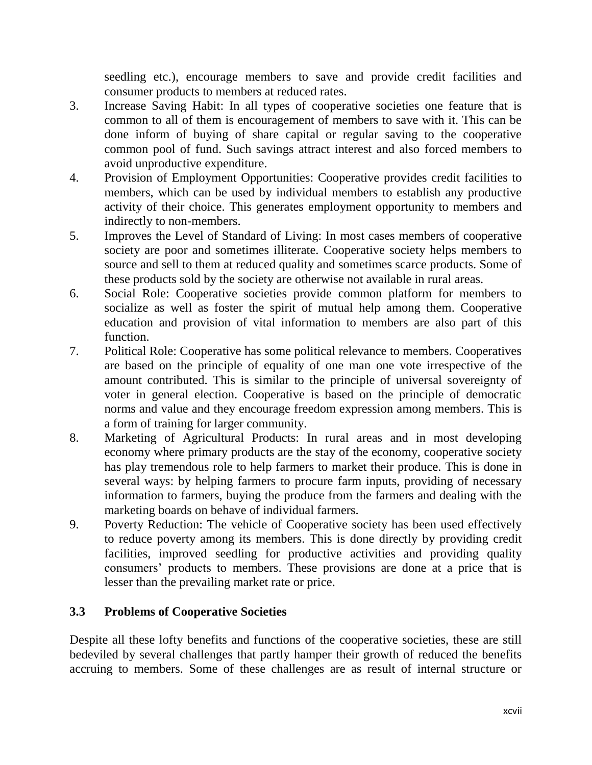seedling etc.), encourage members to save and provide credit facilities and consumer products to members at reduced rates.

- 3. Increase Saving Habit: In all types of cooperative societies one feature that is common to all of them is encouragement of members to save with it. This can be done inform of buying of share capital or regular saving to the cooperative common pool of fund. Such savings attract interest and also forced members to avoid unproductive expenditure.
- 4. Provision of Employment Opportunities: Cooperative provides credit facilities to members, which can be used by individual members to establish any productive activity of their choice. This generates employment opportunity to members and indirectly to non-members.
- 5. Improves the Level of Standard of Living: In most cases members of cooperative society are poor and sometimes illiterate. Cooperative society helps members to source and sell to them at reduced quality and sometimes scarce products. Some of these products sold by the society are otherwise not available in rural areas.
- 6. Social Role: Cooperative societies provide common platform for members to socialize as well as foster the spirit of mutual help among them. Cooperative education and provision of vital information to members are also part of this function.
- 7. Political Role: Cooperative has some political relevance to members. Cooperatives are based on the principle of equality of one man one vote irrespective of the amount contributed. This is similar to the principle of universal sovereignty of voter in general election. Cooperative is based on the principle of democratic norms and value and they encourage freedom expression among members. This is a form of training for larger community.
- 8. Marketing of Agricultural Products: In rural areas and in most developing economy where primary products are the stay of the economy, cooperative society has play tremendous role to help farmers to market their produce. This is done in several ways: by helping farmers to procure farm inputs, providing of necessary information to farmers, buying the produce from the farmers and dealing with the marketing boards on behave of individual farmers.
- 9. Poverty Reduction: The vehicle of Cooperative society has been used effectively to reduce poverty among its members. This is done directly by providing credit facilities, improved seedling for productive activities and providing quality consumers" products to members. These provisions are done at a price that is lesser than the prevailing market rate or price.

# **3.3 Problems of Cooperative Societies**

Despite all these lofty benefits and functions of the cooperative societies, these are still bedeviled by several challenges that partly hamper their growth of reduced the benefits accruing to members. Some of these challenges are as result of internal structure or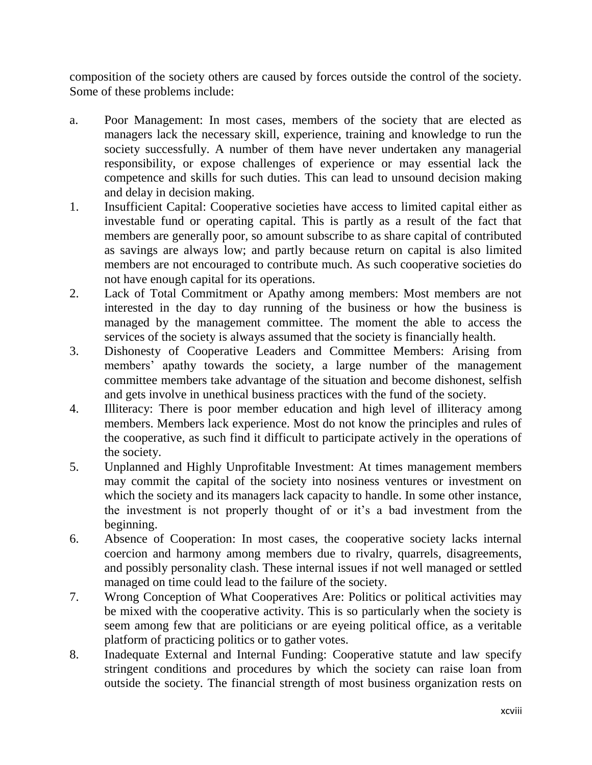composition of the society others are caused by forces outside the control of the society. Some of these problems include:

- a. Poor Management: In most cases, members of the society that are elected as managers lack the necessary skill, experience, training and knowledge to run the society successfully. A number of them have never undertaken any managerial responsibility, or expose challenges of experience or may essential lack the competence and skills for such duties. This can lead to unsound decision making and delay in decision making.
- 1. Insufficient Capital: Cooperative societies have access to limited capital either as investable fund or operating capital. This is partly as a result of the fact that members are generally poor, so amount subscribe to as share capital of contributed as savings are always low; and partly because return on capital is also limited members are not encouraged to contribute much. As such cooperative societies do not have enough capital for its operations.
- 2. Lack of Total Commitment or Apathy among members: Most members are not interested in the day to day running of the business or how the business is managed by the management committee. The moment the able to access the services of the society is always assumed that the society is financially health.
- 3. Dishonesty of Cooperative Leaders and Committee Members: Arising from members' apathy towards the society, a large number of the management committee members take advantage of the situation and become dishonest, selfish and gets involve in unethical business practices with the fund of the society.
- 4. Illiteracy: There is poor member education and high level of illiteracy among members. Members lack experience. Most do not know the principles and rules of the cooperative, as such find it difficult to participate actively in the operations of the society.
- 5. Unplanned and Highly Unprofitable Investment: At times management members may commit the capital of the society into nosiness ventures or investment on which the society and its managers lack capacity to handle. In some other instance, the investment is not properly thought of or it's a bad investment from the beginning.
- 6. Absence of Cooperation: In most cases, the cooperative society lacks internal coercion and harmony among members due to rivalry, quarrels, disagreements, and possibly personality clash. These internal issues if not well managed or settled managed on time could lead to the failure of the society.
- 7. Wrong Conception of What Cooperatives Are: Politics or political activities may be mixed with the cooperative activity. This is so particularly when the society is seem among few that are politicians or are eyeing political office, as a veritable platform of practicing politics or to gather votes.
- 8. Inadequate External and Internal Funding: Cooperative statute and law specify stringent conditions and procedures by which the society can raise loan from outside the society. The financial strength of most business organization rests on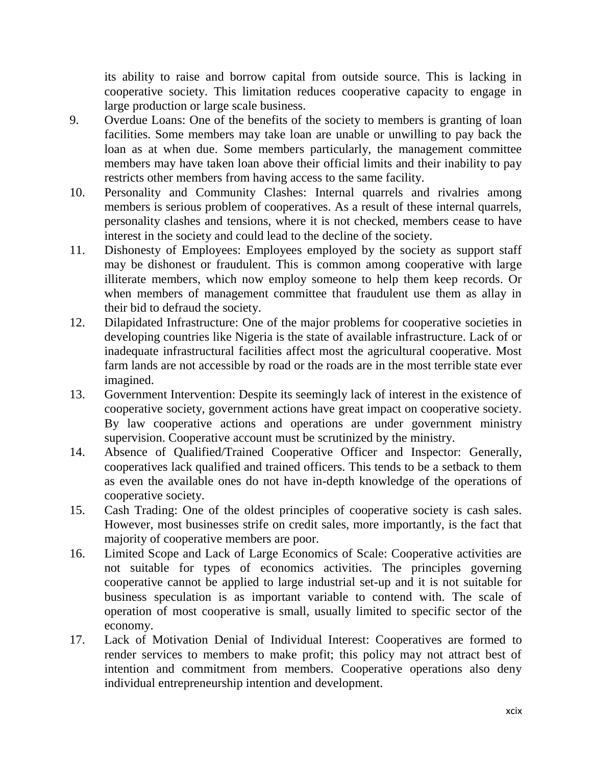its ability to raise and borrow capital from outside source. This is lacking in cooperative society. This limitation reduces cooperative capacity to engage in large production or large scale business.

- 9. Overdue Loans: One of the benefits of the society to members is granting of loan facilities. Some members may take loan are unable or unwilling to pay back the loan as at when due. Some members particularly, the management committee members may have taken loan above their official limits and their inability to pay restricts other members from having access to the same facility.
- 10. Personality and Community Clashes: Internal quarrels and rivalries among members is serious problem of cooperatives. As a result of these internal quarrels, personality clashes and tensions, where it is not checked, members cease to have interest in the society and could lead to the decline of the society.
- 11. Dishonesty of Employees: Employees employed by the society as support staff may be dishonest or fraudulent. This is common among cooperative with large illiterate members, which now employ someone to help them keep records. Or when members of management committee that fraudulent use them as allay in their bid to defraud the society.
- 12. Dilapidated Infrastructure: One of the major problems for cooperative societies in developing countries like Nigeria is the state of available infrastructure. Lack of or inadequate infrastructural facilities affect most the agricultural cooperative. Most farm lands are not accessible by road or the roads are in the most terrible state ever imagined.
- 13. Government Intervention: Despite its seemingly lack of interest in the existence of cooperative society, government actions have great impact on cooperative society. By law cooperative actions and operations are under government ministry supervision. Cooperative account must be scrutinized by the ministry.
- 14. Absence of Qualified/Trained Cooperative Officer and Inspector: Generally, cooperatives lack qualified and trained officers. This tends to be a setback to them as even the available ones do not have in-depth knowledge of the operations of cooperative society.
- 15. Cash Trading: One of the oldest principles of cooperative society is cash sales. However, most businesses strife on credit sales, more importantly, is the fact that majority of cooperative members are poor.
- 16. Limited Scope and Lack of Large Economics of Scale: Cooperative activities are not suitable for types of economics activities. The principles governing cooperative cannot be applied to large industrial set-up and it is not suitable for business speculation is as important variable to contend with. The scale of operation of most cooperative is small, usually limited to specific sector of the economy.
- 17. Lack of Motivation Denial of Individual Interest: Cooperatives are formed to render services to members to make profit; this policy may not attract best of intention and commitment from members. Cooperative operations also deny individual entrepreneurship intention and development.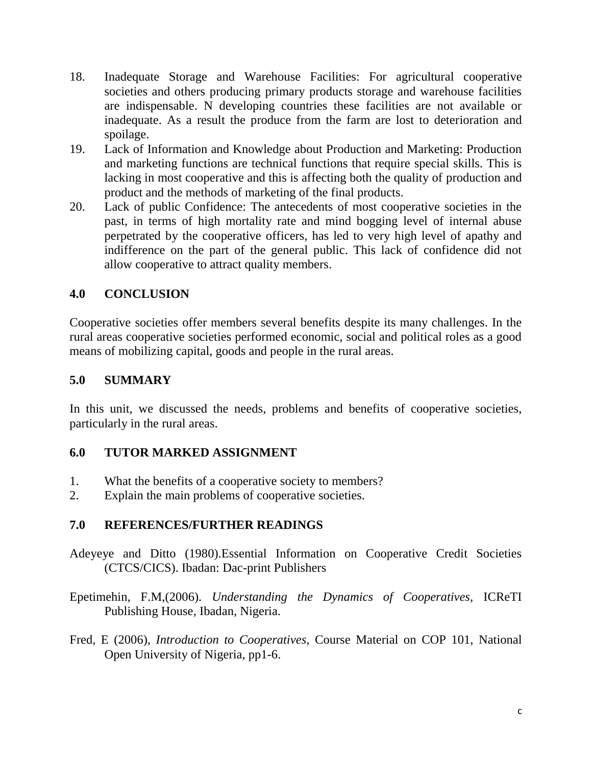- 18. Inadequate Storage and Warehouse Facilities: For agricultural cooperative societies and others producing primary products storage and warehouse facilities are indispensable. N developing countries these facilities are not available or inadequate. As a result the produce from the farm are lost to deterioration and spoilage.
- 19. Lack of Information and Knowledge about Production and Marketing: Production and marketing functions are technical functions that require special skills. This is lacking in most cooperative and this is affecting both the quality of production and product and the methods of marketing of the final products.
- 20. Lack of public Confidence: The antecedents of most cooperative societies in the past, in terms of high mortality rate and mind bogging level of internal abuse perpetrated by the cooperative officers, has led to very high level of apathy and indifference on the part of the general public. This lack of confidence did not allow cooperative to attract quality members.

# **4.0 CONCLUSION**

Cooperative societies offer members several benefits despite its many challenges. In the rural areas cooperative societies performed economic, social and political roles as a good means of mobilizing capital, goods and people in the rural areas.

# **5.0 SUMMARY**

In this unit, we discussed the needs, problems and benefits of cooperative societies, particularly in the rural areas.

# **6.0 TUTOR MARKED ASSIGNMENT**

- 1. What the benefits of a cooperative society to members?
- 2. Explain the main problems of cooperative societies.

# **7.0 REFERENCES/FURTHER READINGS**

Adeyeye and Ditto (1980).Essential Information on Cooperative Credit Societies (CTCS/CICS). Ibadan: Dac-print Publishers

Epetimehin, F.M,(2006). *Understanding the Dynamics of Cooperatives,* ICReTI Publishing House, Ibadan, Nigeria.

Fred, E (2006), *Introduction to Cooperatives,* Course Material on COP 101, National Open University of Nigeria, pp1-6.